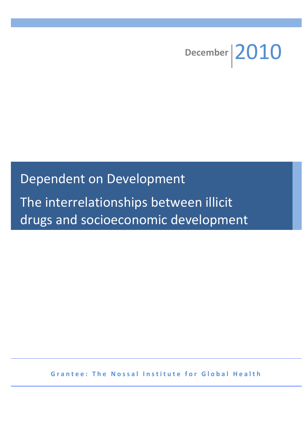

# Dependent on Development

The interrelationships between illicit drugs and socioeconomic development

**Grantee: The Nossal Institute for Global Health**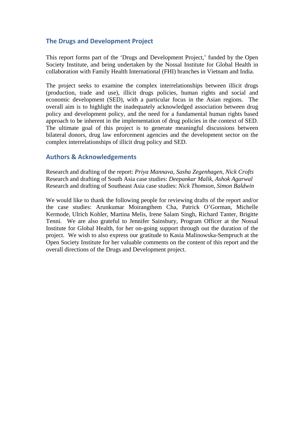## **The Drugs and Development Project**

This report forms part of the 'Drugs and Development Project,' funded by the Open Society Institute, and being undertaken by the Nossal Institute for Global Health in collaboration with Family Health International (FHI) branches in Vietnam and India.

The project seeks to examine the complex interrelationships between illicit drugs (production, trade and use), illicit drugs policies, human rights and social and economic development (SED), with a particular focus in the Asian regions. The overall aim is to highlight the inadequately acknowledged association between drug policy and development policy, and the need for a fundamental human rights based approach to be inherent in the implementation of drug policies in the context of SED. The ultimate goal of this project is to generate meaningful discussions between bilateral donors, drug law enforcement agencies and the development sector on the complex interrelationships of illicit drug policy and SED.

## **Authors & Acknowledgements**

Research and drafting of the report: *Priya Mannava, Sasha Zegenhagen, Nick Crofts* Research and drafting of South Asia case studies: *Deepankar Malik, Ashok Agarwal* Research and drafting of Southeast Asia case studies: *Nick Thomson, Simon Baldwin*

We would like to thank the following people for reviewing drafts of the report and/or the case studies: Arunkumar Moirangthem Cha, Patrick O'Gorman, Michelle Kermode, Ulrich Kohler, Martina Melis, Irene Salam Singh, Richard Tanter, Brigitte Tenni. We are also grateful to Jennifer Sainsbury, Program Officer at the Nossal Institute for Global Health, for her on-going support through out the duration of the project. We wish to also express our gratitude to Kasia Malinowska-Sempruch at the Open Society Institute for her valuable comments on the content of this report and the overall directions of the Drugs and Development project.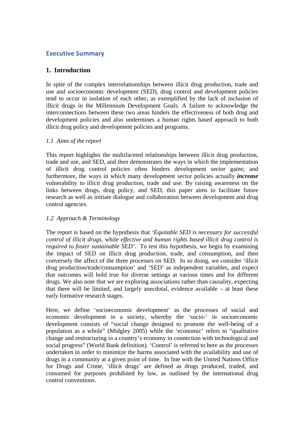## **Executive Summary**

## **1. Introduction**

In spite of the complex interrelationships between illicit drug production, trade and use and socioeconomic development (SED), drug control and development policies tend to occur in isolation of each other, as exemplified by the lack of inclusion of illicit drugs in the Millennium Development Goals. A failure to acknowledge the interconnections between these two areas hinders the effectiveness of both drug and development policies and also undermines a human rights based approach to both illicit drug policy and development policies and programs.

#### *1.1 Aims of the report*

This report highlights the multifaceted relationships between illicit drug production, trade and use, and SED, and then demonstrates the ways in which the implementation of illicit drug control policies often hinders development sector gains; and furthermore, the ways in which many development sector policies actually *increase* vulnerability to illicit drug production, trade and use. By raising awareness on the links between drugs, drug policy, and SED, this paper aims to facilitate future research as well as initiate dialogue and collaboration between development and drug control agencies.

#### *1.2 Approach & Terminology*

The report is based on the hypothesis that *'Equitable SED is necessary for successful control of illicit drugs,* while *effective and human rights based illicit drug control is required to foster sustainable SED'*. To test this hypothesis, we begin by examining the impact of SED on illicit drug production, trade, and consumption, and then conversely the affect of the three processes on SED. In so doing, we consider 'illicit drug production/trade/consumption' and 'SED' as independent variables, and expect that outcomes will hold true for diverse settings at various times and for different drugs. We also note that we are exploring associations rather than causality, expecting that there will be limited, and largely anecdotal, evidence available – at least these early formative research stages.

Here, we define 'socioeconomic development' as the processes of social and economic development in a society, whereby the 'socio-' in socioeconomic development consists of "social change designed to promote the well-being of a population as a whole" (Midgley 2005) while the 'economic' refers to "qualitative change and restructuring in a country's economy in connection with technological and social progress" (World Bank definition). 'Control' is referred to here as the processes undertaken in order to minimize the harms associated with the availability and use of drugs in a community at a given point of time. In line with the United Nations Office for Drugs and Crime, 'illicit drugs' are defined as drugs produced, traded, and consumed for purposes prohibited by law, as outlined by the international drug control conventions.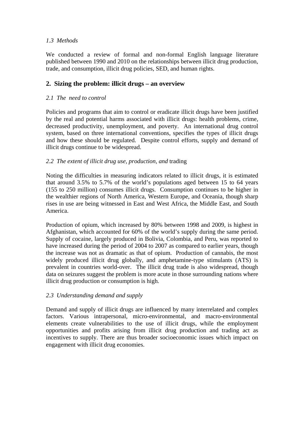## *1.3 Methods*

We conducted a review of formal and non-formal English language literature published between 1990 and 2010 on the relationships between illicit drug production, trade, and consumption, illicit drug policies, SED, and human rights.

## **2. Sizing the problem: illicit drugs – an overview**

#### *2.1 The need to control*

Policies and programs that aim to control or eradicate illicit drugs have been justified by the real and potential harms associated with illicit drugs: health problems, crime, decreased productivity, unemployment, and poverty. An international drug control system, based on three international conventions, specifies the types of illicit drugs and how these should be regulated. Despite control efforts, supply and demand of illicit drugs continue to be widespread.

#### *2.2 The extent of illicit drug use, production, and* trading

Noting the difficulties in measuring indicators related to illicit drugs, it is estimated that around 3.5% to 5.7% of the world's populations aged between 15 to 64 years (155 to 250 million) consumes illicit drugs. Consumption continues to be higher in the wealthier regions of North America, Western Europe, and Oceania, though sharp rises in use are being witnessed in East and West Africa, the Middle East, and South America.

Production of opium, which increased by 80% between 1998 and 2009, is highest in Afghanistan, which accounted for 60% of the world's supply during the same period. Supply of cocaine, largely produced in Bolivia, Colombia, and Peru, was reported to have increased during the period of 2004 to 2007 as compared to earlier years, though the increase was not as dramatic as that of opium. Production of cannabis, the most widely produced illicit drug globally, and amphetamine-type stimulants (ATS) is prevalent in countries world-over. The illicit drug trade is also widespread, though data on seizures suggest the problem is more acute in those surrounding nations where illicit drug production or consumption is high.

## *2.3 Understanding demand and supply*

Demand and supply of illicit drugs are influenced by many interrelated and complex factors. Various intrapersonal, micro-environmental, and macro-environmental elements create vulnerabilities to the use of illicit drugs, while the employment opportunities and profits arising from illicit drug production and trading act as incentives to supply. There are thus broader socioeconomic issues which impact on engagement with illicit drug economies.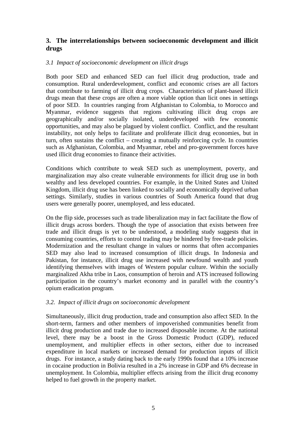## **3. The interrelationships between socioeconomic development and illicit drugs**

#### *3.1 Impact of socioeconomic development on illicit drugs*

Both poor SED and enhanced SED can fuel illicit drug production, trade and consumption. Rural underdevelopment, conflict and economic crises are all factors that contribute to farming of illicit drug crops. Characteristics of plant-based illicit drugs mean that these crops are often a more viable option than licit ones in settings of poor SED. In countries ranging from Afghanistan to Colombia, to Morocco and Myanmar, evidence suggests that regions cultivating illicit drug crops are geographically and/or socially isolated, underdeveloped with few economic opportunities, and may also be plagued by violent conflict. Conflict, and the resultant instability, not only helps to facilitate and proliferate illicit drug economies, but in turn, often sustains the conflict – creating a mutually reinforcing cycle. In countries such as Afghanistan, Colombia, and Myanmar, rebel and pro-government forces have used illicit drug economies to finance their activities.

Conditions which contribute to weak SED such as unemployment, poverty, and marginalization may also create vulnerable environments for illicit drug use in both wealthy and less developed countries. For example, in the United States and United Kingdom, illicit drug use has been linked to socially and economically deprived urban settings. Similarly, studies in various countries of South America found that drug users were generally poorer, unemployed, and less educated.

On the flip side, processes such as trade liberalization may in fact facilitate the flow of illicit drugs across borders. Though the type of association that exists between free trade and illicit drugs is yet to be understood, a modeling study suggests that in consuming countries, efforts to control trading may be hindered by free-trade policies. Modernization and the resultant change in values or norms that often accompanies SED may also lead to increased consumption of illicit drugs. In Indonesia and Pakistan, for instance, illicit drug use increased with newfound wealth and youth identifying themselves with images of Western popular culture. Within the socially marginalized Akha tribe in Laos, consumption of heroin and ATS increased following participation in the country's market economy and in parallel with the country's opium eradication program.

## *3.2. Impact of illicit drugs on socioeconomic development*

Simultaneously, illicit drug production, trade and consumption also affect SED. In the short-term, farmers and other members of impoverished communities benefit from illicit drug production and trade due to increased disposable income. At the national level, there may be a boost in the Gross Domestic Product (GDP), reduced unemployment, and multiplier effects in other sectors, either due to increased expenditure in local markets or increased demand for production inputs of illicit drugs. For instance, a study dating back to the early 1990s found that a 10% increase in cocaine production in Bolivia resulted in a 2% increase in GDP and 6% decrease in unemployment. In Colombia, multiplier effects arising from the illicit drug economy helped to fuel growth in the property market.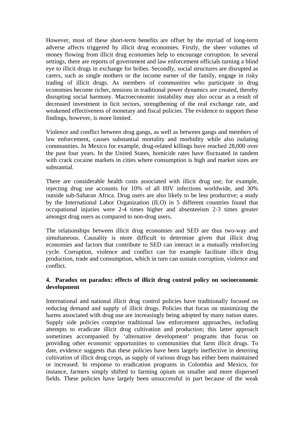However, most of these short-term benefits are offset by the myriad of long-term adverse affects triggered by illicit drug economies. Firstly, the sheer volumes of money flowing from illicit drug economies help to encourage corruption. In several settings, there are reports of government and law enforcement officials turning a blind eye to illicit drugs in exchange for bribes. Secondly, social structures are disrupted as carers, such as single mothers or the income earner of the family, engage in risky trading of illicit drugs. As members of communities who participate in drug economies become richer, tensions in traditional power dynamics are created, thereby disrupting social harmony. Macroeconomic instability may also occur as a result of decreased investment in licit sectors, strengthening of the real exchange rate, and weakened effectiveness of monetary and fiscal policies. The evidence to support these findings, however, is more limited.

Violence and conflict between drug gangs, as well as between gangs and members of law enforcement, causes substantial mortality and morbidity while also isolating communities. In Mexico for example, drug-related killings have reached 28,000 over the past four years. In the United States, homicide rates have fluctuated in tandem with crack cocaine markets in cities where consumption is high and market sizes are substantial.

There are considerable health costs associated with illicit drug use; for example, injecting drug use accounts for 10% of all HIV infections worldwide, and 30% outside sub-Saharan Africa. Drug users are also likely to be less productive; a study by the International Labor Organization (ILO) in 5 different countries found that occupational injuries were 2-4 times higher and absenteeism 2-3 times greater amongst drug users as compared to non-drug users.

The relationships between illicit drug economies and SED are thus two-way and simultaneous. Causality is more difficult to determine given that illicit drug economies and factors that contribute to SED can interact in a mutually reinforcing cycle. Corruption, violence and conflict can for example facilitate illicit drug production, trade and consumption, which in turn can sustain corruption, violence and conflict.

#### **4. Paradox on paradox: effects of illicit drug control policy on socioeconomic development**

International and national illicit drug control policies have traditionally focused on reducing demand and supply of illicit drugs. Policies that focus on minimizing the harms associated with drug use are increasingly being adopted by many nation states. Supply side policies comprise traditional law enforcement approaches, including attempts to eradicate illicit drug cultivation and production; this latter approach sometimes accompanied by 'alternative development' programs that focus on providing other economic opportunities to communities that farm illicit drugs. To date, evidence suggests that these policies have been largely ineffective in deterring cultivation of illicit drug crops, as supply of various drugs has either been maintained or increased. In response to eradication programs in Colombia and Mexico, for instance, farmers simply shifted to farming opium on smaller and more dispersed fields. These policies have largely been unsuccessful in part because of the weak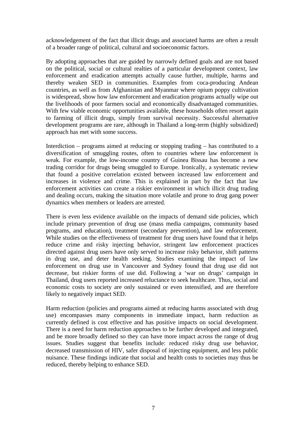acknowledgement of the fact that illicit drugs and associated harms are often a result of a broader range of political, cultural and socioeconomic factors.

By adopting approaches that are guided by narrowly defined goals and are not based on the political, social or cultural realties of a particular development context, law enforcement and eradication attempts actually cause further, multiple, harms and thereby weaken SED in communities. Examples from coca-producing Andean countries, as well as from Afghanistan and Myanmar where opium poppy cultivation is widespread, show how law enforcement and eradication programs actually wipe out the livelihoods of poor farmers social and economically disadvantaged communities. With few viable economic opportunities available, these households often resort again to farming of illicit drugs, simply from survival necessity. Successful alternative development programs are rare, although in Thailand a long-term (highly subsidized) approach has met with some success.

Interdiction – programs aimed at reducing or stopping trading – has contributed to a diversification of smuggling routes, often to countries where law enforcement is weak. For example, the low-income country of Guinea Bissau has become a new trading corridor for drugs being smuggled to Europe. Ironically, a systematic review that found a positive correlation existed between increased law enforcement and increases in violence and crime. This is explained in part by the fact that law enforcement activities can create a riskier environment in which illicit drug trading and dealing occurs, making the situation more volatile and prone to drug gang power dynamics when members or leaders are arrested.

There is even less evidence available on the impacts of demand side policies, which include primary prevention of drug use (mass media campaigns, community based programs, and education), treatment (secondary prevention), and law enforcement. While studies on the effectiveness of treatment for drug users have found that it helps reduce crime and risky injecting behavior, stringent law enforcement practices directed against drug users have only served to increase risky behavior, shift patterns in drug use, and deter health seeking. Studies examining the impact of law enforcement on drug use in Vancouver and Sydney found that drug use did not decrease, but riskier forms of use did. Following a 'war on drugs' campaign in Thailand, drug users reported increased reluctance to seek healthcare. Thus, social and economic costs to society are only sustained or even intensified, and are therefore likely to negatively impact SED.

Harm reduction (policies and programs aimed at reducing harms associated with drug use) encompasses many components in immediate impact, harm reduction as currently defined is cost effective and has positive impacts on social development. There is a need for harm reduction approaches to be further developed and integrated, and be more broadly defined so they can have more impact across the range of drug issues. Studies suggest that benefits include: reduced risky drug use behavior, decreased transmission of HIV, safer disposal of injecting equipment, and less public nuisance. These findings indicate that social and health costs to societies may thus be reduced, thereby helping to enhance SED.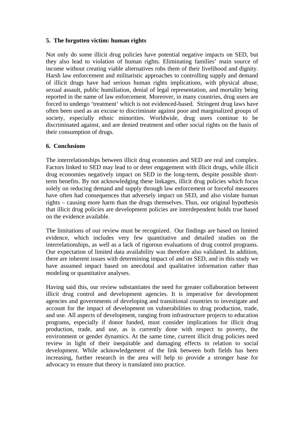#### **5. The forgotten victim: human rights**

Not only do some illicit drug policies have potential negative impacts on SED, but they also lead to violation of human rights. Eliminating families' main source of income without creating viable alternatives robs them of their livelihood and dignity. Harsh law enforcement and militaristic approaches to controlling supply and demand of illicit drugs have had serious human rights implications, with physical abuse, sexual assault, public humiliation, denial of legal representation, and mortality being reported in the name of law enforcement. Moreover, in many countries, drug users are forced to undergo 'treatment' which is not evidenced-based. Stringent drug laws have often been used as an excuse to discriminate against poor and marginalized groups of society, especially ethnic minorities. Worldwide, drug users continue to be discriminated against, and are denied treatment and other social rights on the basis of their consumption of drugs.

#### **6. Conclusions**

The interrelationships between illicit drug economies and SED are real and complex. Factors linked to SED may lead to or deter engagement with illicit drugs, while illicit drug economies negatively impact on SED in the long-term, despite possible shortterm benefits. By not acknowledging these linkages, illicit drug policies which focus solely on reducing demand and supply through law enforcement or forceful measures have often had consequences that adversely impact on SED, and also violate human rights – causing more harm than the drugs themselves. Thus, our original hypothesis that illicit drug policies are development policies are interdependent holds true based on the evidence available.

The limitations of our review must be recognized. Our findings are based on limited evidence, which includes very few quantitative and detailed studies on the interrelationships, as well as a lack of rigorous evaluations of drug control programs. Our expectation of limited data availability was therefore also validated. In addition, there are inherent issues with determining impact of and on SED, and in this study we have assumed impact based on anecdotal and qualitative information rather than modeling or quantitative analyses.

Having said this, our review substantiates the need for greater collaboration between illicit drug control and development agencies. It is imperative for development agencies and governments of developing and transitional countries to investigate and account for the impact of development on vulnerabilities to drug production, trade, and use. All aspects of development, ranging from infrastructure projects to education programs, especially if donor funded, must consider implications for illicit drug production, trade, and use, as is currently done with respect to poverty, the environment or gender dynamics. At the same time, current illicit drug policies need review in light of their inequitable and damaging effects in relation to social development. While acknowledgement of the link between both fields has been increasing, further research in the area will help to provide a stronger base for advocacy to ensure that theory is translated into practice.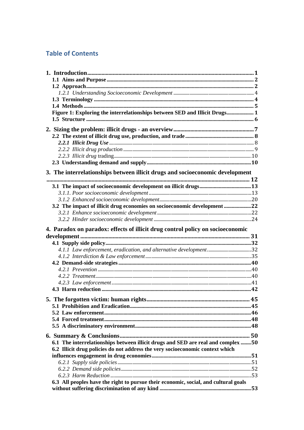# **Table of Contents**

| Figure 1: Exploring the interrelationships between SED and Illicit Drugs 1          |  |
|-------------------------------------------------------------------------------------|--|
|                                                                                     |  |
|                                                                                     |  |
|                                                                                     |  |
|                                                                                     |  |
|                                                                                     |  |
|                                                                                     |  |
|                                                                                     |  |
| 3. The interrelationships between illicit drugs and socioeconomic development       |  |
|                                                                                     |  |
|                                                                                     |  |
|                                                                                     |  |
| 3.2 The impact of illicit drug economies on socioeconomic development 22            |  |
|                                                                                     |  |
|                                                                                     |  |
| 4. Paradox on paradox: effects of illicit drug control policy on socioeconomic      |  |
|                                                                                     |  |
|                                                                                     |  |
|                                                                                     |  |
|                                                                                     |  |
|                                                                                     |  |
|                                                                                     |  |
|                                                                                     |  |
|                                                                                     |  |
|                                                                                     |  |
|                                                                                     |  |
|                                                                                     |  |
|                                                                                     |  |
|                                                                                     |  |
|                                                                                     |  |
|                                                                                     |  |
|                                                                                     |  |
| 6.1 The interrelationships between illicit drugs and SED are real and complex 50    |  |
| 6.2 Illicit drug policies do not address the very socioeconomic context which       |  |
|                                                                                     |  |
|                                                                                     |  |
|                                                                                     |  |
|                                                                                     |  |
| 6.3 All peoples have the right to pursue their economic, social, and cultural goals |  |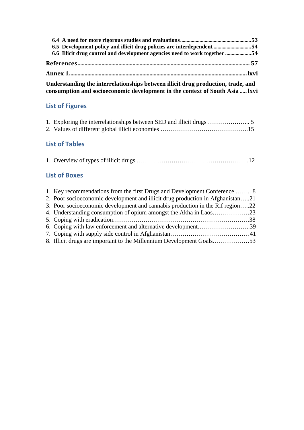| 6.5 Development policy and illicit drug policies are interdependent 54     |  |
|----------------------------------------------------------------------------|--|
| 6.6 Illicit drug control and development agencies need to work together 54 |  |
|                                                                            |  |
|                                                                            |  |

**[Understanding the interrelationships between illicit drug production, trade, and](#page-77-0)  [consumption and socioeconomic development in the context of South Asia](#page-77-0) ..... lxvi**

# **List of Figures**

# **List of Tables**

## **List of Boxes**

| 1. Key recommendations from the first Drugs and Development Conference  8      |  |
|--------------------------------------------------------------------------------|--|
| 2. Poor socioeconomic development and illicit drug production in Afghanistan21 |  |
| 3. Poor socioeconomic development and cannabis production in the Rif region22  |  |
|                                                                                |  |
|                                                                                |  |
| 6. Coping with law enforcement and alternative development39                   |  |
|                                                                                |  |
|                                                                                |  |
|                                                                                |  |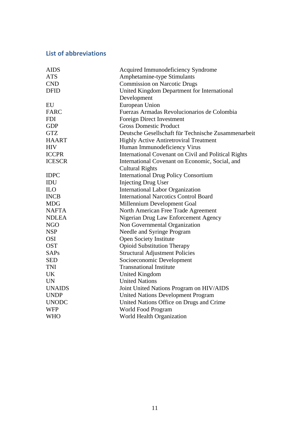# **List of abbreviations**

| <b>AIDS</b>   | Acquired Immunodeficiency Syndrome                   |  |  |
|---------------|------------------------------------------------------|--|--|
| <b>ATS</b>    | Amphetamine-type Stimulants                          |  |  |
| <b>CND</b>    | <b>Commission on Narcotic Drugs</b>                  |  |  |
| <b>DFID</b>   | United Kingdom Department for International          |  |  |
|               | Development                                          |  |  |
| EU            | European Union                                       |  |  |
| <b>FARC</b>   | Fuerzas Armadas Revolucionarios de Colombia          |  |  |
| <b>FDI</b>    | <b>Foreign Direct Investment</b>                     |  |  |
| <b>GDP</b>    | <b>Gross Domestic Product</b>                        |  |  |
| <b>GTZ</b>    | Deutsche Gesellschaft für Technische Zusammenarbeit  |  |  |
| <b>HAART</b>  | <b>Highly Active Antiretroviral Treatment</b>        |  |  |
| <b>HIV</b>    | Human Immunodeficiency Virus                         |  |  |
| <b>ICCPR</b>  | International Covenant on Civil and Political Rights |  |  |
| <b>ICESCR</b> | International Covenant on Economic, Social, and      |  |  |
|               | <b>Cultural Rights</b>                               |  |  |
| <b>IDPC</b>   | <b>International Drug Policy Consortium</b>          |  |  |
| IDU           | <b>Injecting Drug User</b>                           |  |  |
| <b>ILO</b>    | <b>International Labor Organization</b>              |  |  |
| <b>INCB</b>   | <b>International Narcotics Control Board</b>         |  |  |
| <b>MDG</b>    | Millennium Development Goal                          |  |  |
| <b>NAFTA</b>  | North American Free Trade Agreement                  |  |  |
| <b>NDLEA</b>  | Nigerian Drug Law Enforcement Agency                 |  |  |
| <b>NGO</b>    | Non Governmental Organization                        |  |  |
| <b>NSP</b>    | Needle and Syringe Program                           |  |  |
| <b>OSI</b>    | <b>Open Society Institute</b>                        |  |  |
| <b>OST</b>    | <b>Opioid Substitution Therapy</b>                   |  |  |
| <b>SAPs</b>   | <b>Structural Adjustment Policies</b>                |  |  |
| <b>SED</b>    | Socioeconomic Development                            |  |  |
| <b>TNI</b>    | <b>Transnational Institute</b>                       |  |  |
| <b>UK</b>     | <b>United Kingdom</b>                                |  |  |
| <b>UN</b>     | <b>United Nations</b>                                |  |  |
| <b>UNAIDS</b> | Joint United Nations Program on HIV/AIDS             |  |  |
| <b>UNDP</b>   | <b>United Nations Development Program</b>            |  |  |
| <b>UNODC</b>  | United Nations Office on Drugs and Crime             |  |  |
| <b>WFP</b>    | World Food Program                                   |  |  |
| <b>WHO</b>    | World Health Organization                            |  |  |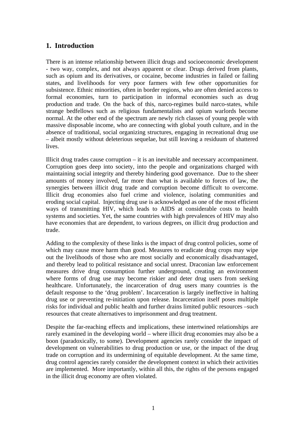## <span id="page-12-0"></span>**1. Introduction**

There is an intense relationship between illicit drugs and socioeconomic development - two way, complex, and not always apparent or clear. Drugs derived from plants, such as opium and its derivatives, or cocaine, become industries in failed or failing states, and livelihoods for very poor farmers with few other opportunities for subsistence. Ethnic minorities, often in border regions, who are often denied access to formal economies, turn to participation in informal economies such as drug production and trade. On the back of this, narco-regimes build narco-states, while strange bedfellows such as religious fundamentalists and opium warlords become normal. At the other end of the spectrum are newly rich classes of young people with massive disposable income, who are connecting with global youth culture, and in the absence of traditional, social organizing structures, engaging in recreational drug use – albeit mostly without deleterious sequelae, but still leaving a residuum of shattered lives.

Illicit drug trades cause corruption – it is an inevitable and necessary accompaniment. Corruption goes deep into society, into the people and organizations charged with maintaining social integrity and thereby hindering good governance. Due to the sheer amounts of money involved, far more than what is available to forces of law, the synergies between illicit drug trade and corruption become difficult to overcome. Illicit drug economies also fuel crime and violence, isolating communities and eroding social capital. Injecting drug use is acknowledged as one of the most efficient ways of transmitting HIV, which leads to AIDS at considerable costs to health systems and societies. Yet, the same countries with high prevalences of HIV may also have economies that are dependent, to various degrees, on illicit drug production and trade.

Adding to the complexity of these links is the impact of drug control policies, some of which may cause more harm than good. Measures to eradicate drug crops may wipe out the livelihoods of those who are most socially and economically disadvantaged, and thereby lead to political resistance and social unrest. Draconian law enforcement measures drive drug consumption further underground, creating an environment where forms of drug use may become riskier and deter drug users from seeking healthcare. Unfortunately, the incarceration of drug users many countries is the default response to the 'drug problem'. Incarceration is largely ineffective in halting drug use or preventing re-initiation upon release. Incarceration itself poses multiple risks for individual and public health and further drains limited public resources –such resources that create alternatives to imprisonment and drug treatment.

Despite the far-reaching effects and implications, these intertwined relationships are rarely examined in the developing world – where illicit drug economies may also be a boon (paradoxically, to some). Development agencies rarely consider the impact of development on vulnerabilities to drug production or use, or the impact of the drug trade on corruption and its undermining of equitable development. At the same time, drug control agencies rarely consider the development context in which their activities are implemented. More importantly, within all this, the rights of the persons engaged in the illicit drug economy are often violated.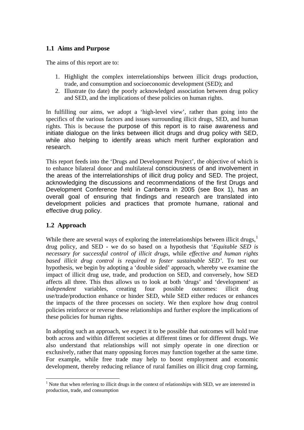## <span id="page-13-0"></span>**1.1 Aims and Purpose**

The aims of this report are to:

- 1. Highlight the complex interrelationships between illicit drugs production, trade, and consumption and socioeconomic development (SED); and
- 2. Illustrate (to date) the poorly acknowledged association between drug policy and SED, and the implications of these policies on human rights.

In fulfilling our aims, we adopt a 'high-level view', rather than going into the specifics of the various factors and issues surrounding illicit drugs, SED, and human rights. This is because the purpose of this report is to raise awareness and initiate dialogue on the links between illicit drugs and drug policy with SED, while also helping to identify areas which merit further exploration and research.

This report feeds into the 'Drugs and Development Project', the objective of which is to enhance bilateral donor and multilateral consciousness of and involvement in the areas of the interrelationships of illicit drug policy and SED. The project, acknowledging the discussions and recommendations of the first Drugs and Development Conference held in Canberra in 2005 (see Box 1), has an overall goal of ensuring that findings and research are translated into development policies and practices that promote humane, rational and effective drug policy.

## **1.2 Approach**

While there are several ways of exploring the interrelationships between illicit drugs, $<sup>1</sup>$  $<sup>1</sup>$  $<sup>1</sup>$ </sup> drug policy, and SED - we do so based on a hypothesis that '*Equitable SED is necessary for successful control of illicit drugs,* while *effective and human rights based illicit drug control is required to foster sustainable SED'*. To test our hypothesis, we begin by adopting a 'double sided' approach, whereby we examine the impact of illicit drug use, trade, and production on SED, and conversely, how SED affects all three. This thus allows us to look at both 'drugs' and 'development' as *independent* variables, creating four possible outcomes: illicit drug use/trade/production enhance or hinder SED, while SED either reduces or enhances the impacts of the three processes on society. We then explore how drug control policies reinforce or reverse these relationships and further explore the implications of these policies for human rights.

In adopting such an approach, we expect it to be possible that outcomes will hold true both across and within different societies at different times or for different drugs. We also understand that relationships will not simply operate in one direction or exclusively, rather that many opposing forces may function together at the same time. For example, while free trade may help to boost employment and economic development, thereby reducing reliance of rural families on illicit drug crop farming,

<span id="page-13-1"></span> $\overline{a}$  $1$  Note that when referring to illicit drugs in the context of relationships with SED, we are interested in production, trade, and consumption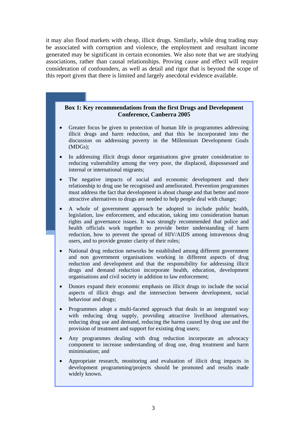it may also flood markets with cheap, illicit drugs. Similarly, while drug trading may be associated with corruption and violence, the employment and resultant income generated may be significant in certain economies. We also note that we are studying associations, rather than causal relationships. Proving cause and effect will require consideration of confounders, as well as detail and rigor that is beyond the scope of this report given that there is limited and largely anecdotal evidence available.

#### **Box 1: Key recommendations from the first Drugs and Development Conference, Canberra 2005**

- Greater focus be given to protection of human life in programmes addressing illicit drugs and harm reduction, and that this be incorporated into the discussion on addressing poverty in the Millennium Development Goals (MDGs);
- In addressing illicit drugs donor organisations give greater consideration to reducing vulnerability among the very poor, the displaced, dispossessed and internal or international migrants;
- The negative impacts of social and economic development and their relationship to drug use be recognised and ameliorated. Prevention programmes must address the fact that development is about change and that better and more attractive alternatives to drugs are needed to help people deal with change;
- A whole of government approach be adopted to include public health, legislation, law enforcement, and education, taking into consideration human rights and governance issues. It was strongly recommended that police and health officials work together to provide better understanding of harm reduction, how to prevent the spread of HIV/AIDS among intravenous drug users, and to provide greater clarity of their roles;
- National drug reduction networks be established among different government and non government organisations working in different aspects of drug reduction and development and that the responsibility for addressing illicit drugs and demand reduction incorporate health, education, development organisations and civil society in addition to law enforcement;
- Donors expand their economic emphasis on illicit drugs to include the social aspects of illicit drugs and the intersection between development, social behaviour and drugs;
- Programmes adopt a multi-faceted approach that deals in an integrated way with reducing drug supply, providing attractive livelihood alternatives, reducing drug use and demand, reducing the harms caused by drug use and the provision of treatment and support for existing drug users;
- Any programmes dealing with drug reduction incorporate an advocacy component to increase understanding of drug use, drug treatment and harm minimisation; and
- Appropriate research, monitoring and evaluation of illicit drug impacts in development programming/projects should be promoted and results made widely known.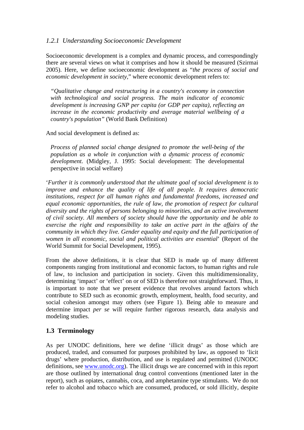## <span id="page-15-0"></span>*1.2.1 Understanding Socioeconomic Development*

Socioeconomic development is a complex and dynamic process, and correspondingly there are several views on what it comprises and how it should be measured (Szirmai 2005). Here, we define socioeconomic development as "*the process of social and economic development in society,*" where economic development refers to:

*"Qualitative change and restructuring in a country's economy in connection with technological and social progress. The main indicator of economic development is increasing GNP per capita (or GDP per capita), reflecting an increase in the economic productivity and average material wellbeing of a country's population"* (World Bank Definition)

And social development is defined as:

*Process of planned social change designed to promote the well-being of the population as a whole in conjunction with a dynamic process of economic development*. (Midgley, J. 1995: Social development: The developmental perspective in social welfare)

'*Further it is commonly understood that the ultimate goal of social development is to improve and enhance the quality of life of all people. It requires democratic institutions, respect for all human rights and fundamental freedoms, increased and equal economic opportunities, the rule of law, the promotion of respect for cultural diversity and the rights of persons belonging to minorities, and an active involvement of civil society. All members of society should have the opportunity and be able to exercise the right and responsibility to take an active part in the affairs of the community in which they live. Gender equality and equity and the full participation of women in all economic, social and political activities are essential*' (Report of the World Summit for Social Development, 1995).

From the above definitions, it is clear that SED is made up of many different components ranging from institutional and economic factors, to human rights and rule of law, to inclusion and participation in society. Given this multidimensionality, determining 'impact' or 'effect' on or of SED is therefore not straightforward. Thus, it is important to note that we present evidence that revolves around factors which contribute to SED such as economic growth, employment, health, food security, and social cohesion amongst may others (see Figure 1). Being able to measure and determine impact *per se* will require further rigorous research, data analysis and modeling studies.

## **1.3 Terminology**

As per UNODC definitions, here we define 'illicit drugs' as those which are produced, traded, and consumed for purposes prohibited by law, as opposed to 'licit drugs' where production, distribution, and use is regulated and permitted (UNODC definitions, see [www.unodc.org](http://www.unodc.org/)). The illicit drugs we are concerned with in this report are those outlined by international drug control conventions (mentioned later in the report), such as opiates, cannabis, coca, and amphetamine type stimulants. We do not refer to alcohol and tobacco which are consumed, produced, or sold illicitly, despite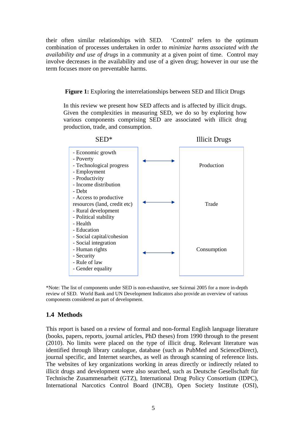<span id="page-16-0"></span>their often similar relationships with SED. 'Control' refers to the optimum combination of processes undertaken in order to *minimize harms associated with the availability and use of drugs* in a community at a given point of time. Control may involve decreases in the availability and use of a given drug; however in our use the term focuses more on preventable harms.

#### **Figure 1:** Exploring the interrelationships between SED and Illicit Drugs

In this review we present how SED affects and is affected by illicit drugs. Given the complexities in measuring SED, we do so by exploring how various components comprising SED are associated with illicit drug production, trade, and consumption.



\*Note: The list of components under SED is non-exhaustive, see Szirmai 2005 for a more in-depth review of SED. World Bank and UN Development Indicators also provide an overview of various components considered as part of development.

## **1.4 Methods**

This report is based on a review of formal and non-formal English language literature (books, papers, reports, journal articles, PhD theses) from 1990 through to the present (2010). No limits were placed on the type of illicit drug. Relevant literature was identified through library catalogue, database (such as PubMed and ScienceDirect), journal specific, and Internet searches, as well as through scanning of reference lists. The websites of key organizations working in areas directly or indirectly related to illicit drugs and development were also searched, such as Deutsche Gesellschaft für Technische Zusammenarbeit (GTZ), International Drug Policy Consortium (IDPC), International Narcotics Control Board (INCB), Open Society Institute (OSI),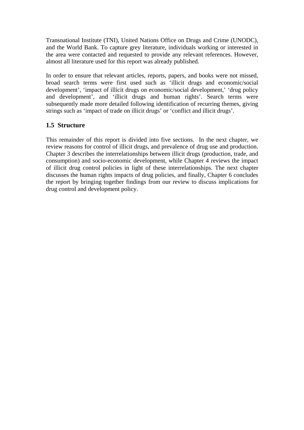<span id="page-17-0"></span>Transnational Institute (TNI), United Nations Office on Drugs and Crime (UNODC), and the World Bank. To capture grey literature, individuals working or interested in the area were contacted and requested to provide any relevant references. However, almost all literature used for this report was already published.

In order to ensure that relevant articles, reports, papers, and books were not missed, broad search terms were first used such as 'illicit drugs and economic/social development', 'impact of illicit drugs on economic/social development,' 'drug policy and development', and 'illicit drugs and human rights'. Search terms were subsequently made more detailed following identification of recurring themes, giving strings such as 'impact of trade on illicit drugs' or 'conflict and illicit drugs'.

## **1.5 Structure**

This remainder of this report is divided into five sections. In the next chapter, we review reasons for control of illicit drugs, and prevalence of drug use and production. Chapter 3 describes the interrelationships between illicit drugs (production, trade, and consumption) and socio-economic development, while Chapter 4 reviews the impact of illicit drug control policies in light of these interrelationships. The next chapter discusses the human rights impacts of drug policies, and finally, Chapter 6 concludes the report by bringing together findings from our review to discuss implications for drug control and development policy.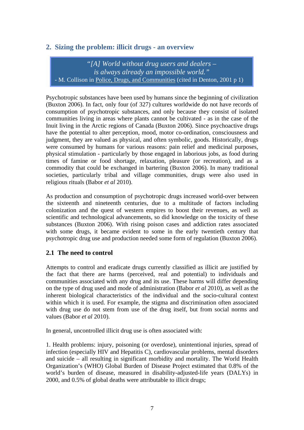## <span id="page-18-0"></span>**2. Sizing the problem: illicit drugs - an overview**

"*[A] World without drug users and dealers – is always already an impossible world."*  - M. Collison in Police, Drugs, and Communities (cited in Denton, 2001 p 1)

Psychotropic substances have been used by humans since the beginning of civilization (Buxton 2006). In fact, only four (of 327) cultures worldwide do not have records of consumption of psychotropic substances, and only because they consist of isolated communities living in areas where plants cannot be cultivated - as in the case of the Inuit living in the Arctic regions of Canada (Buxton 2006). Since psychoactive drugs have the potential to alter perception, mood, motor co-ordination, consciousness and judgment, they are valued as physical, and often symbolic, goods. Historically, drugs were consumed by humans for various reasons: pain relief and medicinal purposes, physical stimulation - particularly by those engaged in laborious jobs, as food during times of famine or food shortage, relaxation, pleasure (or recreation), and as a commodity that could be exchanged in bartering (Buxton 2006). In many traditional societies, particularly tribal and village communities, drugs were also used in religious rituals (Babor *et al* 2010).

As production and consumption of psychotropic drugs increased world-over between the sixteenth and nineteenth centuries, due to a multitude of factors including colonization and the quest of western empires to boost their revenues, as well as scientific and technological advancements, so did knowledge on the toxicity of these substances (Buxton 2006). With rising poison cases and addiction rates associated with some drugs, it became evident to some in the early twentieth century that psychotropic drug use and production needed some form of regulation (Buxton 2006).

## **2.1 The need to control**

Attempts to control and eradicate drugs currently classified as illicit are justified by the fact that there are harms (perceived, real and potential) to individuals and communities associated with any drug and its use. These harms will differ depending on the type of drug used and mode of administration (Babor *et al* 2010), as well as the inherent biological characteristics of the individual and the socio-cultural context within which it is used. For example, the stigma and discrimination often associated with drug use do not stem from use of the drug itself, but from social norms and values (Babor *et al* 2010).

In general, uncontrolled illicit drug use is often associated with:

1. Health problems: injury, poisoning (or overdose), unintentional injuries, spread of infection (especially HIV and Hepatitis C), cardiovascular problems, mental disorders and suicide – all resulting in significant morbidity and mortality. The World Health Organization's (WHO) Global Burden of Disease Project estimated that 0.8% of the world's burden of disease, measured in disability-adjusted-life years (DALYs) in 2000, and 0.5% of global deaths were attributable to illicit drugs;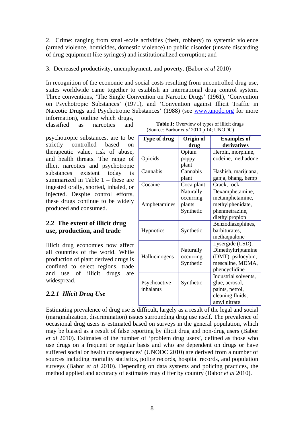<span id="page-19-0"></span>2. Crime: ranging from small-scale activities (theft, robbery) to systemic violence (armed violence, homicides, domestic violence) to public disorder (unsafe discarding of drug equipment like syringes) and institutionalized corruption; and

#### 3. Decreased productivity, unemployment, and poverty. (Babor *et al* 2010)

In recognition of the economic and social costs resulting from uncontrolled drug use, states worldwide came together to establish an international drug control system. Three conventions, 'The Single Convention on Narcotic Drugs' (1961), 'Convention on Psychotropic Substances' (1971), and 'Convention against Illicit Traffic in Narcotic Drugs and Psychotropic Substances' (1988) (see [www.unodc.org](http://www.unodc.org/) for more information), outline which drugs,

classified as narcotics and

psychotropic substances, are to be strictly controlled based on therapeutic value, risk of abuse, and health threats. The range of illicit narcotics and psychotropic substances existent today is summarized in Table 1 – these are ingested orally, snorted, inhaled, or injected. Despite control efforts, these drugs continue to be widely produced and consumed.

## **2.2 The extent of illicit drug**  use, production, and trade

Illicit drug economies now affect all countries of the world. While production of plant derived drugs is confined to select regions, trade and use of illicit drugs are widespread.

## *2.2.1 Illicit Drug Use*

| <b>Table 1:</b> Overview of types of illicit drugs |
|----------------------------------------------------|
| (Source: Barbor <i>et al</i> 2010 p 14; UNODC)     |

| <b>Type of drug</b> | Origin of  | <b>Examples of</b>   |
|---------------------|------------|----------------------|
|                     | drug       | derivatives          |
|                     | Opium      | Heroin, morphine,    |
| Opioids             | poppy      | codeine, methadone   |
|                     | plant      |                      |
| Cannabis            | Cannabis   | Hashish, marijuana,  |
|                     | plant      | ganja, bhang, hemp   |
| Cocaine             | Coca plant | Crack, rock          |
|                     | Naturally  | Dexamphetamine,      |
|                     | occurring  | metamphetamine,      |
| Amphetamines        | plants     | methylphenidate,     |
|                     | Synthetic  | phenmetrazine,       |
|                     |            | diethylpropion       |
|                     |            | Benzodiazephines,    |
| Hypnotics           | Synthetic  | barbiturates,        |
|                     |            | methaqualone         |
|                     |            | Lysergide (LSD),     |
|                     | Naturally  | Dimethyltriptamine   |
| Hallucinogens       | occurring  | (DMT), psilocybin,   |
|                     | Synthetic  | mescaline, MDMA,     |
|                     |            | phencyclidine        |
|                     |            | Industrial solvents, |
| Psychoactive        | Synthetic  | glue, aerosol,       |
| inhalants           |            | paints, petrol,      |
|                     |            | cleaning fluids,     |
|                     |            | amyl nitrate         |

Estimating prevalence of drug use is difficult, largely as a result of the legal and social (marginalization, discrimination) issues surrounding drug use itself. The prevalence of occasional drug users is estimated based on surveys in the general population, which may be biased as a result of false reporting by illicit drug and non-drug users (Babor *et al* 2010). Estimates of the number of 'problem drug users', defined as those who use drugs on a frequent or regular basis and who are dependent on drugs or have suffered social or health consequences' (UNODC 2010) are derived from a number of sources including mortality statistics, police records, hospital records, and population surveys (Babor *et al* 2010). Depending on data systems and policing practices, the method applied and accuracy of estimates may differ by country (Babor *et al* 2010).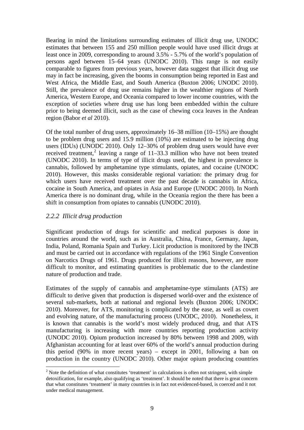<span id="page-20-0"></span>Bearing in mind the limitations surrounding estimates of illicit drug use, UNODC estimates that between 155 and 250 million people would have used illicit drugs at least once in 2009, corresponding to around 3.5% - 5.7% of the world's population of persons aged between 15–64 years (UNODC 2010). This range is not easily comparable to figures from previous years, however data suggest that illicit drug use may in fact be increasing, given the booms in consumption being reported in East and West Africa, the Middle East, and South America (Buxton 2006; UNODC 2010). Still, the prevalence of drug use remains higher in the wealthier regions of North America, Western Europe, and Oceania compared to lower income countries, with the exception of societies where drug use has long been embedded within the culture prior to being deemed illicit, such as the case of chewing coca leaves in the Andean region (Babor *et al* 2010).

Of the total number of drug users, approximately 16–38 million (10–15%) are thought to be problem drug users and 15.9 million (10%) are estimated to be injecting drug users (IDUs) (UNODC 2010). Only 12–30% of problem drug users would have ever received treatment,<sup>[2](#page-20-1)</sup> leaving a range of  $11-33.3$  million who have not been treated (UNODC 2010). In terms of type of illicit drugs used, the highest in prevalence is cannabis, followed by amphetamine type stimulants, opiates, and cocaine (UNODC 2010). However, this masks considerable regional variation: the primary drug for which users have received treatment over the past decade is cannabis in Africa, cocaine in South America, and opiates in Asia and Europe (UNODC 2010). In North America there is no dominant drug, while in the Oceania region the there has been a shift in consumption from opiates to cannabis (UNODC 2010).

## *2.2.2 Illicit drug production*

 $\overline{a}$ 

Significant production of drugs for scientific and medical purposes is done in countries around the world, such as in Australia, China, France, Germany, Japan, India, Poland, Romania Spain and Turkey. Licit production is monitored by the INCB and must be carried out in accordance with regulations of the 1961 Single Convention on Narcotics Drugs of 1961. Drugs produced for illicit reasons, however, are more difficult to monitor, and estimating quantities is problematic due to the clandestine nature of production and trade.

Estimates of the supply of cannabis and amphetamine-type stimulants (ATS) are difficult to derive given that production is dispersed world-over and the existence of several sub-markets, both at national and regional levels (Buxton 2006; UNODC 2010). Moreover, for ATS, monitoring is complicated by the ease, as well as covert and evolving nature, of the manufacturing process (UNODC, 2010). Nonetheless, it is known that cannabis is the world's most widely produced drug, and that ATS manufacturing is increasing with more countries reporting production activity (UNODC 2010). Opium production increased by 80% between 1998 and 2009, with Afghanistan accounting for at least over 60% of the world's annual production during this period (90% in more recent years) – except in 2001, following a ban on production in the country (UNODC 2010). Other major opium producing countries

<span id="page-20-1"></span> $2$  Note the definition of what constitutes 'treatment' in calculations is often not stringent, with simple detoxification, for example, also qualifying as 'treatment'. It should be noted that there is great concern that what constitutes 'treatment' in many countries is in fact not evidenced-based, is coerced and it not under medical management.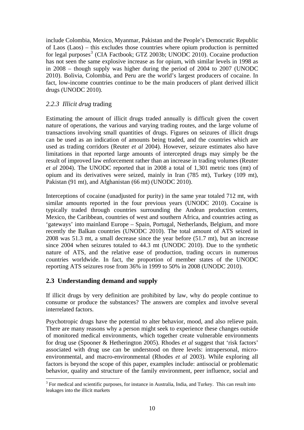<span id="page-21-0"></span>include Colombia, Mexico, Myanmar, Pakistan and the People's Democratic Republic of Laos (Laos) – this excludes those countries where opium production is permitted for legal purposes<sup>[3](#page-21-1)</sup> (CIA Factbook; GTZ 2003b; UNODC 2010). Cocaine production has not seen the same explosive increase as for opium, with similar levels in 1998 as in 2008 – though supply was higher during the period of 2004 to 2007 (UNODC 2010). Bolivia, Colombia, and Peru are the world's largest producers of cocaine. In fact, low-income countries continue to be the main producers of plant derived illicit drugs (UNODC 2010).

## *2.2.3 Illicit drug* trading

Estimating the amount of illicit drugs traded annually is difficult given the covert nature of operations, the various and varying trading routes, and the large volume of transactions involving small quantities of drugs. Figures on seizures of illicit drugs can be used as an indication of amounts being traded, and the countries which are used as trading corridors (Reuter *et al* 2004). However, seizure estimates also have limitations in that reported large amounts of intercepted drugs may simply be the result of improved law enforcement rather than an increase in trading volumes (Reuter *et al* 2004). The UNODC reported that in 2008 a total of 1,301 metric tons (mt) of opium and its derivatives were seized, mainly in Iran (785 mt), Turkey (109 mt), Pakistan (91 mt), and Afghanistan (66 mt) (UNODC 2010).

Interceptions of cocaine (unadjusted for purity) in the same year totaled 712 mt, with similar amounts reported in the four previous years (UNODC 2010). Cocaine is typically traded through countries surrounding the Andean production centers, Mexico, the Caribbean, countries of west and southern Africa, and countries acting as 'gateways' into mainland Europe – Spain, Portugal, Netherlands, Belgium, and more recently the Balkan countries (UNODC 2010). The total amount of ATS seized in 2008 was 51.3 mt, a small decrease since the year before (51.7 mt), but an increase since 2004 when seizures totaled to 44.3 mt (UNODC 2010). Due to the synthetic nature of ATS, and the relative ease of production, trading occurs in numerous countries worldwide. In fact, the proportion of member states of the UNODC reporting ATS seizures rose from 36% in 1999 to 50% in 2008 (UNODC 2010).

## **2.3 Understanding demand and supply**

If illicit drugs by very definition are prohibited by law, why do people continue to consume or produce the substances? The answers are complex and involve several interrelated factors.

Psychotropic drugs have the potential to alter behavior, mood, and also relieve pain. There are many reasons why a person might seek to experience these changes outside of monitored medical environments, which together create vulnerable environments for drug use (Spooner & Hetherington 2005). Rhodes *et al* suggest that 'risk factors' associated with drug use can be understood on three levels: intrapersonal, microenvironmental, and macro-environmental (Rhodes *et al* 2003). While exploring all factors is beyond the scope of this paper, examples include: antisocial or problematic behavior, quality and structure of the family environment, peer influence, social and

<span id="page-21-1"></span> $\overline{a}$  $3$  For medical and scientific purposes, for instance in Australia, India, and Turkey. This can result into leakages into the illicit markets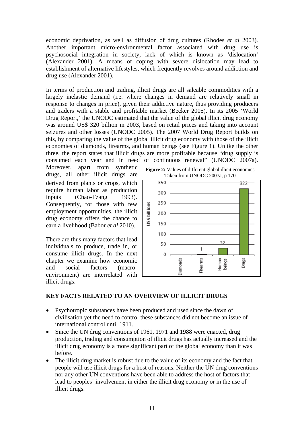economic deprivation, as well as diffusion of drug cultures (Rhodes *et al* 2003). Another important micro-environmental factor associated with drug use is psychosocial integration in society, lack of which is known as 'dislocation' (Alexander 2001). A means of coping with severe dislocation may lead to establishment of alternative lifestyles, which frequently revolves around addiction and drug use (Alexander 2001).

In terms of production and trading, illicit drugs are all saleable commodities with a largely inelastic demand (i.e. where changes in demand are relatively small in response to changes in price), given their addictive nature, thus providing producers and traders with a stable and profitable market (Becker 2005). In its 2005 'World Drug Report,' the UNODC estimated that the value of the global illicit drug economy was around US\$ 320 billion in 2003, based on retail prices and taking into account seizures and other losses (UNODC 2005). The 2007 World Drug Report builds on this, by comparing the value of the global illicit drug economy with those of the illicit economies of diamonds, firearms, and human beings (see Figure 1). Unlike the other three, the report states that illicit drugs are more profitable because "drug supply is consumed each year and in need of continuous renewal" (UNODC 2007a).

Moreover, apart from synthetic drugs, all other illicit drugs are derived from plants or crops, which require human labor as production inputs (Chao-Tzang 1993). Consequently, for those with few employment opportunities, the illicit drug economy offers the chance to earn a livelihood (Babor *et al* 2010).

There are thus many factors that lead individuals to produce, trade in, or consume illicit drugs. In the next chapter we examine how economic and social factors (macroenvironment) are interrelated with illicit drugs.





## **KEY FACTS RELATED TO AN OVERVIEW OF ILLICIT DRUGS**

- Psychotropic substances have been produced and used since the dawn of civilisation yet the need to control these substances did not become an issue of international control until 1911.
- Since the UN drug conventions of 1961, 1971 and 1988 were enacted, drug production, trading and consumption of illicit drugs has actually increased and the illicit drug economy is a more significant part of the global economy than it was before.
- The illicit drug market is robust due to the value of its economy and the fact that people will use illicit drugs for a host of reasons. Neither the UN drug conventions nor any other UN conventions have been able to address the host of factors that lead to peoples' involvement in either the illicit drug economy or in the use of illicit drugs.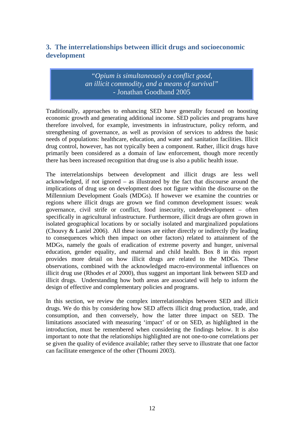# <span id="page-23-0"></span>**3. The interrelationships between illicit drugs and socioeconomic development**

# *"Opium is simultaneously a conflict good, an illicit commodity, and a means of survival"* - Jonathan Goodhand 2005

Traditionally, approaches to enhancing SED have generally focused on boosting economic growth and generating additional income. SED policies and programs have therefore involved, for example, investments in infrastructure, policy reform, and strengthening of governance, as well as provision of services to address the basic needs of populations: healthcare, education, and water and sanitation facilities. Illicit drug control, however, has not typically been a component. Rather, illicit drugs have primarily been considered as a domain of law enforcement, though more recently there has been increased recognition that drug use is also a public health issue.

The interrelationships between development and illicit drugs are less well acknowledged, if not ignored – as illustrated by the fact that discourse around the implications of drug use on development does not figure within the discourse on the Millennium Development Goals (MDGs). If however we examine the countries or regions where illicit drugs are grown we find common development issues: weak governance, civil strife or conflict, food insecurity, underdevelopment – often specifically in agricultural infrastructure. Furthermore, illicit drugs are often grown in isolated geographical locations by or socially isolated and marginalized populations (Chouvy & Laniel 2006). All these issues are either directly or indirectly (by leading to consequences which then impact on other factors) related to attainment of the MDGs, namely the goals of eradication of extreme poverty and hunger, universal education, gender equality, and maternal and child health. Box 8 in this report provides more detail on how illicit drugs are related to the MDGs. These observations, combined with the acknowledged macro-environmental influences on illicit drug use (Rhodes *et al* 2000), thus suggest an important link between SED and illicit drugs. Understanding how both areas are associated will help to inform the design of effective and complementary policies and programs.

In this section, we review the complex interrelationships between SED and illicit drugs. We do this by considering how SED affects illicit drug production, trade, and consumption, and then conversely, how the latter three impact on SED. The limitations associated with measuring 'impact' of or on SED, as highlighted in the introduction, must be remembered when considering the findings below. It is also important to note that the relationships highlighted are not one-to-one correlations per se given the quality of evidence available; rather they serve to illustrate that one factor can facilitate emergence of the other (Thoumi 2003).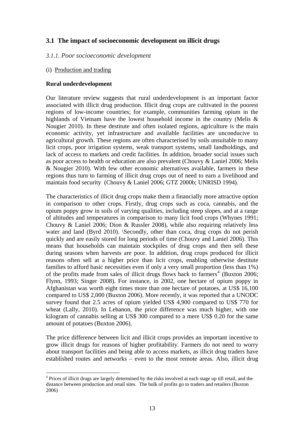## <span id="page-24-0"></span>**3.1 The impact of socioeconomic development on illicit drugs**

#### *3.1.1. Poor socioeconomic development*

#### (i) Production and trading

#### **Rural underdevelopment**

Our literature review suggests that rural underdevelopment is an important factor associated with illicit drug production. Illicit drug crops are cultivated in the poorest regions of low-income countries; for example, communities farming opium in the highlands of Vietnam have the lowest household income in the country (Melis & Nougier 2010). In these destitute and often isolated regions, agriculture is the main economic activity, yet infrastructure and available facilities are unconducive to agricultural growth. These regions are often characterised by soils unsuitable to many licit crops, poor irrigation systems, weak transport systems, small landholdings, and lack of access to markets and credit facilities. In addition, broader social issues such as poor access to health or education are also prevalent (Chouvy & Laniel 2006; Melis & Nougier 2010). With few other economic alternatives available, farmers in these regions thus turn to farming of illicit drug crops out of need to earn a livelihood and maintain food security (Chouvy & Laniel 2006; GTZ 2000b; UNRISD 1994).

The characteristics of illicit drug crops make them a financially more attractive option in comparison to other crops. Firstly, drug crops such as coca, cannabis, and the opium poppy grow in soils of varying qualities, including steep slopes, and at a range of altitudes and temperatures in comparison to many licit food crops (Whynes 1991; Chouvy & Laniel 2006; Dion & Russler 2008), while also requiring relatively less water and land (Byrd 2010). \Secondly, other than coca, drug crops do not perish quickly and are easily stored for long periods of time (Chouvy and Laniel 2006). This means that households can maintain stockpiles of drug crops and then sell these during seasons when harvests are poor. In addition, drug crops produced for illicit reasons often sell at a higher price than licit crops, enabling otherwise destitute families to afford basic necessities even if only a very small proportion (less than 1%) of the profits made from sales of illicit drugs flows back to farmers<sup>[4](#page-24-1)</sup> (Buxton 2006; Flynn, 1993; Singer 2008). For instance, in 2002, one hectare of opium poppy in Afghanistan was worth eight times more than one hectare of potatoes, at US\$ 16,100 compared to US\$ 2,000 (Buxton 2006). More recently, it was reported that a UNODC survey found that 2.5 acres of opium yielded US\$ 4,900 compared to US\$ 770 for wheat (Lally, 2010). In Lebanon, the price difference was much higher, with one kilogram of cannabis selling at US\$ 300 compared to a mere US\$ 0.20 for the same amount of potatoes (Buxton 2006).

The price difference between licit and illicit crops provides an important incentive to grow illicit drugs for reasons of higher profitability. Farmers do not need to worry about transport facilities and being able to access markets, as illicit drug traders have established routes and networks – even to the most remote areas. Also, illicit drug

<span id="page-24-1"></span> $\overline{a}$ <sup>4</sup> Prices of illicit drugs are largely determined by the risks involved at each stage up till retail, and the distance between production and retail sites. The bulk of profits go to traders and retailers (Buxton 2006)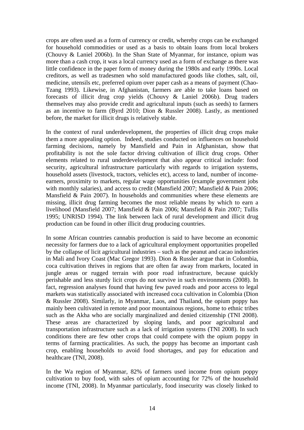crops are often used as a form of currency or credit, whereby crops can be exchanged for household commodities or used as a basis to obtain loans from local brokers (Chouvy & Laniel 2006b). In the Shan State of Myanmar, for instance, opium was more than a cash crop, it was a local currency used as a form of exchange as there was little confidence in the paper form of money during the 1980s and early 1990s. Local creditors, as well as tradesmen who sold manufactured goods like clothes, salt, oil, medicine, utensils etc, preferred opium over paper cash as a means of payment (Chao-Tzang 1993). Likewise, in Afghanistan, farmers are able to take loans based on forecasts of illicit drug crop yields (Chouvy & Laniel 2006b). Drug traders themselves may also provide credit and agricultural inputs (such as seeds) to farmers as an incentive to farm (Byrd 2010; Dion & Russler 2008). Lastly, as mentioned before, the market for illicit drugs is relatively stable.

In the context of rural underdevelopment, the properties of illicit drug crops make them a more appealing option. Indeed, studies conducted on influences on household farming decisions, namely by Mansfield and Pain in Afghanistan, show that profitability is not the sole factor driving cultivation of illicit drug crops. Other elements related to rural underdevelopment that also appear critical include: food security, agricultural infrastructure particularly with regards to irrigation systems, household assets (livestock, tractors, vehicles etc), access to land, number of incomeearners, proximity to markets, regular wage opportunities (example government jobs with monthly salaries), and access to credit (Mansfield 2007; Mansfield & Pain 2006; Mansfield & Pain 2007). In households and communities where these elements are missing, illicit drug farming becomes the most reliable means by which to earn a livelihood (Mansfield 2007; Mansfield & Pain 2006; Mansfield & Pain 2007; Tullis 1995; UNRISD 1994). The link between lack of rural development and illicit drug production can be found in other illicit drug producing countries.

In some African countries cannabis production is said to have become an economic necessity for farmers due to a lack of agricultural employment opportunities propelled by the collapse of licit agricultural industries – such as the peanut and cacao industries in Mali and Ivory Coast (Mac Gregor 1993). Dion & Russler argue that in Colombia, coca cultivation thrives in regions that are often far away from markets, located in jungle areas or rugged terrain with poor road infrastructure, because quickly perishable and less sturdy licit crops do not survive in such environments (2008). In fact, regression analyses found that having few paved roads and poor access to legal markets was statistically associated with increased coca cultivation in Colombia (Dion & Russler 2008). Similarly, in Myanmar, Laos, and Thailand, the opium poppy has mainly been cultivated in remote and poor mountainous regions, home to ethnic tribes such as the Akha who are socially marginalized and denied citizenship (TNI 2008). These areas are characterized by sloping lands, and poor agricultural and transportation infrastructure such as a lack of irrigation systems (TNI 2008). In such conditions there are few other crops that could compete with the opium poppy in terms of farming practicalities. As such, the poppy has become an important cash crop, enabling households to avoid food shortages, and pay for education and healthcare (TNI, 2008).

In the Wa region of Myanmar, 82% of farmers used income from opium poppy cultivation to buy food, with sales of opium accounting for 72% of the household income (TNI, 2008). In Myanmar particularly, food insecurity was closely linked to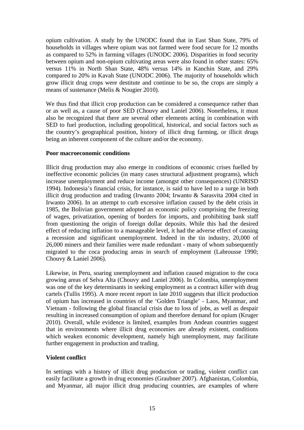opium cultivation. A study by the UNODC found that in East Shan State, 79% of households in villages where opium was not farmed were food secure for 12 months as compared to 52% in farming villages (UNODC 2006). Disparities in food security between opium and non-opium cultivating areas were also found in other states: 65% versus 11% in North Shan State, 48% versus 14% in Kanchin State, and 29% compared to 20% in Kavah State (UNODC 2006). The majority of households which grow illicit drug crops were destitute and continue to be so, the crops are simply a means of sustenance (Melis & Nougier 2010).

We thus find that illicit crop production can be considered a consequence rather than or as well as, a cause of poor SED (Chouvy and Laniel 2006). Nonetheless, it must also be recognized that there are several other elements acting in combination with SED to fuel production, including geopolitical, historical, and social factors such as the country's geographical position, history of illicit drug farming, or illicit drugs being an inherent component of the culture and/or the economy.

#### **Poor macroeconomic conditions**

Illicit drug production may also emerge in conditions of economic crises fuelled by ineffective economic policies (in many cases structural adjustment programs), which increase unemployment and reduce income (amongst other consequences) (UNRISD 1994). Indonesia's financial crisis, for instance, is said to have led to a surge in both illicit drug production and trading (Irwanto 2004; Irwanto & Sarasvita 2004 cited in Irwanto 2006). In an attempt to curb excessive inflation caused by the debt crisis in 1985, the Bolivian government adopted an economic policy comprising the freezing of wages, privatization, opening of borders for imports, and prohibiting bank staff from questioning the origin of foreign dollar deposits. While this had the desired effect of reducing inflation to a manageable level, it had the adverse effect of causing a recession and significant unemployment. Indeed in the tin industry, 20,000 of 26,000 miners and their families were made redundant - many of whom subsequently migrated to the coca producing areas in search of employment (Labrousse 1990; Chouvy & Laniel 2006).

Likewise, in Peru, soaring unemployment and inflation caused migration to the coca growing areas of Selva Alta (Chouvy and Laniel 2006). In Colombia, unemployment was one of the key determinants in seeking employment as a contract killer with drug cartels (Tullis 1995). A more recent report in late 2010 suggests that illicit production of opium has increased in countries of the 'Golden Triangle' - Laos, Myanmar, and Vietnam - following the global financial crisis due to loss of jobs, as well as despair resulting in increased consumption of opium and therefore demand for opium (Kruger 2010). Overall, while evidence is limited, examples from Andean countries suggest that in environments where illicit drug economies are already existent, conditions which weaken economic development, namely high unemployment, may facilitate further engagement in production and trading.

## **Violent conflict**

In settings with a history of illicit drug production or trading, violent conflict can easily facilitate a growth in drug economies (Graubner 2007). Afghanistan, Colombia, and Myanmar, all major illicit drug producing countries, are examples of where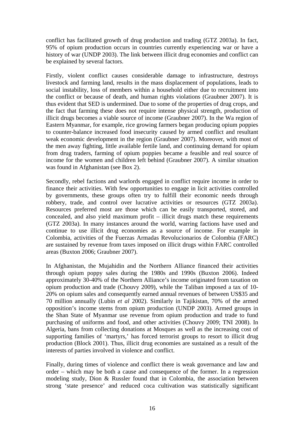conflict has facilitated growth of drug production and trading (GTZ 2003a). In fact, 95% of opium production occurs in countries currently experiencing war or have a history of war (UNDP 2003). The link between illicit drug economies and conflict can be explained by several factors.

Firstly, violent conflict causes considerable damage to infrastructure, destroys livestock and farming land, results in the mass displacement of populations, leads to social instability, loss of members within a household either due to recruitment into the conflict or because of death, and human rights violations (Graubner 2007). It is thus evident that SED is undermined. Due to some of the properties of drug crops, and the fact that farming these does not require intense physical strength, production of illicit drugs becomes a viable source of income (Graubner 2007). In the Wa region of Eastern Myanmar, for example, rice growing farmers began producing opium poppies to counter-balance increased food insecurity caused by armed conflict and resultant weak economic development in the region (Graubner 2007). Moreover, with most of the men away fighting, little available fertile land, and continuing demand for opium from drug traders, farming of opium poppies became a feasible and real source of income for the women and children left behind (Graubner 2007). A similar situation was found in Afghanistan (see Box 2).

Secondly, rebel factions and warlords engaged in conflict require income in order to finance their activities. With few opportunities to engage in licit activities controlled by governments, these groups often try to fulfill their economic needs through robbery, trade, and control over lucrative activities or resources (GTZ 2003a). Resources preferred most are those which can be easily transported, stored, and concealed, and also yield maximum profit – illicit drugs match these requirements (GTZ 2003a). In many instances around the world, warring factions have used and continue to use illicit drug economies as a source of income. For example in Colombia, activities of the Fuerzas Armadas Revolucionarios de Colombia (FARC) are sustained by revenue from taxes imposed on illicit drugs within FARC controlled areas (Buxton 2006; Graubner 2007).

In Afghanistan, the Mujahidin and the Northern Alliance financed their activities through opium poppy sales during the 1980s and 1990s (Buxton 2006). Indeed approximately 30-40% of the Northern Alliance's income originated from taxation on opium production and trade (Chouvy 2009), while the Taliban imposed a tax of 10- 20% on opium sales and consequently earned annual revenues of between US\$35 and 70 million annually (Lubin *et al* 2002). Similarly in Tajikistan, 70% of the armed opposition's income stems from opium production (UNDP 2003). Armed groups in the Shan State of Myanmar use revenue from opium production and trade to fund purchasing of uniforms and food, and other activities (Chouvy 2009; TNI 2008). In Algeria, bans from collecting donations at Mosques as well as the increasing cost of supporting families of 'martyrs,' has forced terrorist groups to resort to illicit drug production (Block 2001). Thus, illicit drug economies are sustained as a result of the interests of parties involved in violence and conflict.

Finally, during times of violence and conflict there is weak governance and law and order – which may be both a cause and consequence of the former. In a regression modeling study, Dion & Russler found that in Colombia, the association between strong 'state presence' and reduced coca cultivation was statistically significant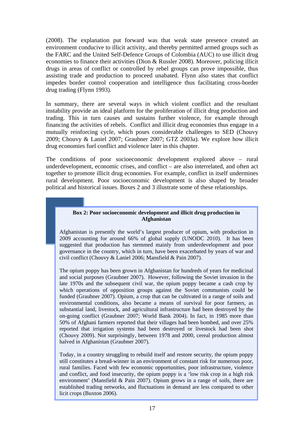(2008). The explanation put forward was that weak state presence created an environment conducive to illicit activity, and thereby permitted armed groups such as the FARC and the United Self-Defence Groups of Colombia (AUC) to use illicit drug economies to finance their activities (Dion & Russler 2008). Moreover, policing illicit drugs in areas of conflict or controlled by rebel groups can prove impossible, thus assisting trade and production to proceed unabated. Flynn also states that conflict impedes border control cooperation and intelligence thus facilitating cross-border drug trading (Flynn 1993).

In summary, there are several ways in which violent conflict and the resultant instability provide an ideal platform for the proliferation of illicit drug production and trading. This in turn causes and sustains further violence, for example through financing the activities of rebels. Conflict and illicit drug economies thus engage in a mutually reinforcing cycle, which poses considerable challenges to SED (Chouvy 2009; Chouvy & Laniel 2007; Graubner 2007; GTZ 2003a). We explore how illicit drug economies fuel conflict and violence later in this chapter.

The conditions of poor socioeconomic development explored above – rural underdevelopment, economic crises, and conflict – are also interrelated, and often act together to promote illicit drug economies. For example, conflict in itself undermines rural development. Poor socioeconomic development is also shaped by broader political and historical issues. Boxes 2 and 3 illustrate some of these relationships.

#### **Box 2: Poor socioeconomic development and illicit drug production in Afghanistan**

Afghanistan is presently the world's largest producer of opium, with production in 2009 accounting for around 66% of global supply (UNODC 2010). It has been suggested that production has stemmed mainly from underdevelopment and poor governance in the country, which in turn, have been exacerbated by years of war and civil conflict (Chouvy & Laniel 2006; Mansfield & Pain 2007).

The opium poppy has been grown in Afghanistan for hundreds of years for medicinal and social purposes (Graubner 2007). However, following the Soviet invasion in the late 1970s and the subsequent civil war, the opium poppy became a cash crop by which operations of opposition groups against the Soviet communists could be funded (Graubner 2007). Opium, a crop that can be cultivated in a range of soils and environmental conditions, also became a means of survival for poor farmers, as substantial land, livestock, and agricultural infrastructure had been destroyed by the on-going conflict (Graubner 2007; World Bank 2004). In fact, in 1985 more than 50% of Afghani farmers reported that their villages had been bombed, and over 25% reported that irrigation systems had been destroyed or livestock had been shot (Chouvy 2009). Not surprisingly, between 1978 and 2000, cereal production almost halved in Afghanistan (Graubner 2007).

Today, in a country struggling to rebuild itself and restore security, the opium poppy still constitutes a bread-winner in an environment of constant risk for numerous poor, rural families. Faced with few economic opportunities, poor infrastructure, violence and conflict, and food insecurity, the opium poppy is a 'low risk crop in a high risk environment' (Mansfield & Pain 2007). Opium grows in a range of soils, there are established trading networks, and fluctuations in demand are less compared to other licit crops (Buxton 2006).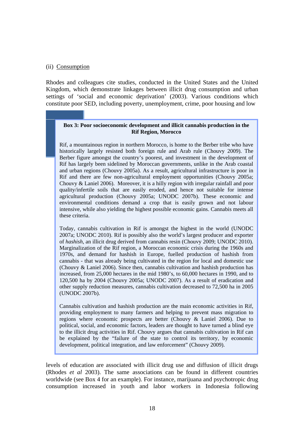#### (ii) Consumption

Rhodes and colleagues cite studies, conducted in the United States and the United Kingdom, which demonstrate linkages between illicit drug consumption and urban settings of 'social and economic deprivation' (2003). Various conditions which constitute poor SED, including poverty, unemployment, crime, poor housing and low

#### **Box 3: Poor socioeconomic development and illicit cannabis production in the Rif Region, Morocco**

Rif, a mountainous region in northern Morocco, is home to the Berber tribe who have historically largely resisted both foreign rule and Arab rule (Chouvy 2009). The Berber figure amongst the country's poorest, and investment in the development of Rif has largely been sidelined by Moroccan governments, unlike in the Arab coastal and urban regions (Chouvy 2005a). As a result, agricultural infrastructure is poor in Rif and there are few non-agricultural employment opportunities (Chouvy 2005a; Chouvy & Laniel 2006). Moreover, it is a hilly region with irregular rainfall and poor quality/infertile soils that are easily eroded, and hence not suitable for intense agricultural production (Chouvy 2005a; UNODC 2007b). These economic and environmental conditions demand a crop that is easily grown and not labour intensive, while also yielding the highest possible economic gains. Cannabis meets all these criteria.

Today, cannabis cultivation in Rif is amongst the highest in the world (UNODC 2007a; UNODC 2010). Rif is possibly also the world's largest producer and exporter of *hashish*, an illicit drug derived from cannabis resin (Chouvy 2009; UNODC 2010). Marginalization of the Rif region, a Moroccan economic crisis during the 1960s and 1970s, and demand for hashish in Europe, fuelled production of hashish from cannabis - that was already being cultivated in the region for local and domestic use (Chouvy & Laniel 2006). Since then, cannabis cultivation and hashish production has increased, from 25,000 hectares in the mid 1980's, to 60,000 hectares in 1990, and to 120,500 ha by 2004 (Chouvy 2005a; UNODC 2007). As a result of eradication and other supply reduction measures, cannabis cultivation decreased to 72,500 ha in 2005 (UNODC 2007b).

Cannabis cultivation and hashish production are the main economic activities in Rif, providing employment to many farmers and helping to prevent mass migration to regions where economic prospects are better (Chouvy & Laniel 2006). Due to political, social, and economic factors, leaders are thought to have turned a blind eye to the illicit drug activities in Rif. Chouvy argues that cannabis cultivation in Rif can be explained by the "failure of the state to control its territory, by economic development, political integration, and law enforcement" (Chouvy 2009).

levels of education are associated with illicit drug use and diffusion of illicit drugs (Rhodes *et al* 2003). The same associations can be found in different countries worldwide (see Box 4 for an example). For instance, marijuana and psychotropic drug consumption increased in youth and labor workers in Indonesia following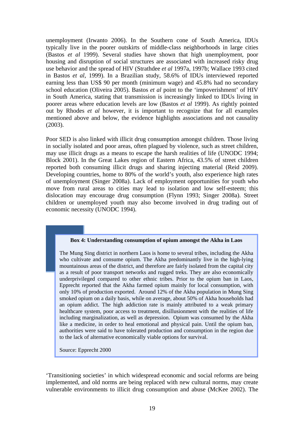unemployment (Irwanto 2006). In the Southern cone of South America, IDUs typically live in the poorer outskirts of middle-class neighborhoods in large cities (Bastos *et al* 1999). Several studies have shown that high unemployment, poor housing and disruption of social structures are associated with increased risky drug use behavior and the spread of HIV (Strathdee *et al* 1997a, 1997b; Wallace 1993 cited in Bastos *et al*, 1999). In a Brazilian study, 58.6% of IDUs interviewed reported earning less than US\$ 90 per month (minimum wage) and 45.8% had no secondary school education (Oliveira 2005). Bastos *et al* point to the 'impoverishment' of HIV in South America, stating that transmission is increasingly linked to IDUs living in poorer areas where education levels are low (Bastos *et al* 1999). As rightly pointed out by Rhodes *et al* however, it is important to recognize that for all examples mentioned above and below, the evidence highlights associations and not causality (2003).

Poor SED is also linked with illicit drug consumption amongst children. Those living in socially isolated and poor areas, often plagued by violence, such as street children, may use illicit drugs as a means to escape the harsh realities of life (UNODC 1994; Block 2001). In the Great Lakes region of Eastern Africa, 43.5% of street children reported both consuming illicit drugs and sharing injecting material (Reid 2009). Developing countries, home to 80% of the world's youth, also experience high rates of unemployment (Singer 2008a). Lack of employment opportunities for youth who move from rural areas to cities may lead to isolation and low self-esteem; this dislocation may encourage drug consumption (Flynn 1993; Singer 2008a). Street children or unemployed youth may also become involved in drug trading out of economic necessity (UNODC 1994).

#### **Box 4: Understanding consumption of opium amongst the Akha in Laos**

The Mung Sing district in northern Laos is home to several tribes, including the Akha who cultivate and consume opium. The Akha predominantly live in the high-lying mountainous areas of the district, and therefore are fairly isolated from the capital city as a result of poor transport networks and rugged treks. They are also economically underprivileged compared to other ethnic tribes. Prior to the opium ban in Laos, Epprecht reported that the Akha farmed opium mainly for local consumption, with only 10% of production exported. Around 12% of the Akha population in Mung Sing smoked opium on a daily basis, while on average, about 50% of Akha households had an opium addict. The high addiction rate is mainly attributed to a weak primary healthcare system, poor access to treatment, disillusionment with the realities of life including marginalization, as well as depression. Opium was consumed by the Akha like a medicine, in order to heal emotional and physical pain. Until the opium ban, authorities were said to have tolerated production and consumption in the region due to the lack of alternative economically viable options for survival.

Source: Epprecht 2000

'Transitioning societies' in which widespread economic and social reforms are being implemented, and old norms are being replaced with new cultural norms, may create vulnerable environments to illicit drug consumption and abuse (McKee 2002). The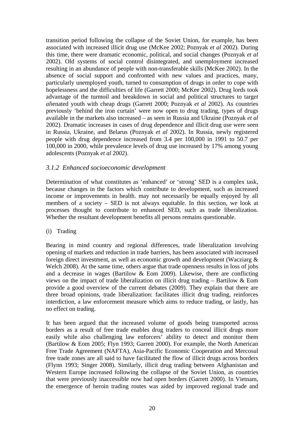<span id="page-31-0"></span>transition period following the collapse of the Soviet Union, for example, has been associated with increased illicit drug use (McKee 2002; Poznyak *et al* 2002). During this time, there were dramatic economic, political, and social changes (Poznyak *et al* 2002). Old systems of social control disintegrated, and unemployment increased resulting in an abundance of people with non-transferable skills (McKee 2002). In the absence of social support and confronted with new values and practices, many, particularly unemployed youth, turned to consumption of drugs in order to cope with hopelessness and the difficulties of life (Garrett 2000; McKee 2002). Drug lords took advantage of the turmoil and breakdown in social and political structures to targ*et al*ienated youth with cheap drugs (Garrett 2000; Poznyak *et al* 2002). As countries previously 'behind the iron curtain' were now open to drug trading, types of drugs available in the markets also increased – as seen in Russia and Ukraine (Poznyak *et al* 2002). Dramatic increases in cases of drug dependence and illicit drug use were seen in Russia, Ukraine, and Belarus (Poznyak *et al* 2002). In Russia, newly registered people with drug dependence increased from 3.4 per 100,000 in 1991 to 50.7 per 100,000 in 2000, while prevalence levels of drug use increased by 17% among young adolescents (Poznyak *et al* 2002).

## *3.1.2 Enhanced socioeconomic development*

Determination of what constitutes as 'enhanced' or 'strong' SED is a complex task, because changes in the factors which contribute to development, such as increased income or improvements in health. may not necessarily be equally enjoyed by all members of a society – SED is not always equitable. In this section, we look at processes thought to contribute to enhanced SED, such as trade liberalization. Whether the resultant development benefits all persons remains questionable.

#### (i) Trading

Bearing in mind country and regional differences, trade liberalization involving opening of markets and reduction in trade barriers, has been associated with increased foreign direct investment, as well as economic growth and development (Wacziarg & Welch 2008). At the same time, others argue that trade openness results in loss of jobs and a decrease in wages (Bartilow & Eom 2009). Likewise, there are conflicting views on the impact of trade liberalization on illicit drug trading – Bartilow & Eom provide a good overview of the current debates (2009). They explain that there are three broad opinions, trade liberalization: facilitates illicit drug trading, reinforces interdiction, a law enforcement measure which aims to reduce trading, or lastly, has no effect on trading.

It has been argued that the increased volume of goods being transported across borders as a result of free trade enables drug traders to conceal illicit drugs more easily while also challenging law enforcers' ability to detect and monitor them (Bartilow & Eom 2005; Flyn 1993; Garrett 2000). For example, the North American Free Trade Agreement (NAFTA), Asia-Pacific Economic Cooperation and Mercosul free trade zones are all said to have facilitated the flow of illicit drugs across borders (Flynn 1993; Singer 2008). Similarly, illicit drug trading between Afghanistan and Western Europe increased following the collapse of the Soviet Union, as countries that were previously inaccessible now had open borders (Garrett 2000). In Vietnam, the emergence of heroin trading routes was aided by improved regional trade and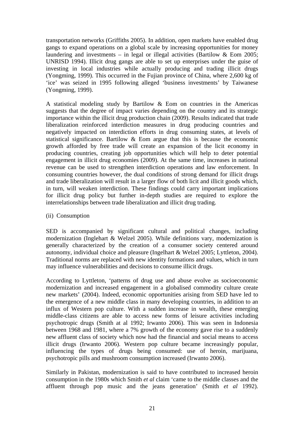transportation networks (Griffiths 2005). In addition, open markets have enabled drug gangs to expand operations on a global scale by increasing opportunities for money laundering and investments – in legal or illegal activities (Bartilow & Eom 2005; UNRISD 1994). Illicit drug gangs are able to set up enterprises under the guise of investing in local industries while actually producing and trading illicit drugs (Yongming, 1999). This occurred in the Fujian province of China, where 2,600 kg of 'ice' was seized in 1995 following alleged 'business investments' by Taiwanese (Yongming, 1999).

A statistical modeling study by Bartilow & Eom on countries in the Americas suggests that the degree of impact varies depending on the country and its strategic importance within the illicit drug production chain (2009). Results indicated that trade liberalization reinforced interdiction measures in drug producing countries and negatively impacted on interdiction efforts in drug consuming states, at levels of statistical significance. Bartilow & Eom argue that this is because the economic growth afforded by free trade will create an expansion of the licit economy in producing countries, creating job opportunities which will help to deter potential engagement in illicit drug economies (2009). At the same time, increases in national revenue can be used to strengthen interdiction operations and law enforcement. In consuming countries however, the dual conditions of strong demand for illicit drugs and trade liberalization will result in a larger flow of both licit and illicit goods which, in turn, will weaken interdiction. These findings could carry important implications for illicit drug policy but further in-depth studies are required to explore the interrelationships between trade liberalization and illicit drug trading.

(ii) Consumption

SED is accompanied by significant cultural and political changes, including modernization (Inglehart & Welzel 2005). While definitions vary, modernization is generally characterized by the creation of a consumer society centered around autonomy, individual choice and pleasure (Ingelhart & Welzel 2005; Lyttleton, 2004). Traditional norms are replaced with new identity formations and values, which in turn may influence vulnerabilities and decisions to consume illicit drugs.

According to Lyttleton, 'patterns of drug use and abuse evolve as socioeconomic modernization and increased engagement in a globalised commodity culture create new markets' (2004). Indeed, economic opportunities arising from SED have led to the emergence of a new middle class in many developing countries, in addition to an influx of Western pop culture. With a sudden increase in wealth, these emerging middle-class citizens are able to access new forms of leisure activities including psychotropic drugs (Smith at al 1992; Irwanto 2006). This was seen in Indonesia between 1968 and 1981, where a 7% growth of the economy gave rise to a suddenly new affluent class of society which now had the financial and social means to access illicit drugs (Irwanto 2006). Western pop culture became increasingly popular, influencing the types of drugs being consumed: use of heroin, marijuana, psychotropic pills and mushroom consumption increased (Irwanto 2006).

Similarly in Pakistan, modernization is said to have contributed to increased heroin consumption in the 1980s which Smith *et al* claim 'came to the middle classes and the affluent through pop music and the jeans generation' (Smith *et al* 1992).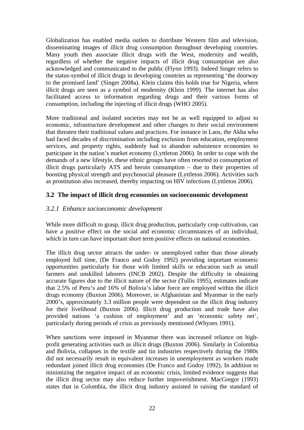<span id="page-33-0"></span>Globalization has enabled media outlets to distribute Western film and television, disseminating images of illicit drug consumption throughout developing countries. Many youth then associate illicit drugs with the West, modernity and wealth, regardless of whether the negative impacts of illicit drug consumption are also acknowledged and communicated to the public (Flynn 1993). Indeed Singer refers to the status-symbol of illicit drugs in developing countries as representing 'the doorway to the promised land' (Singer 2008a). Klein claims this holds true for Nigeria, where illicit drugs are seen as a symbol of modernity (Klein 1999). The internet has also facilitated access to information regarding drugs and their various forms of consumption, including the injecting of illicit drugs (WHO 2005).

More traditional and isolated societies may not be as well equipped to adjust to economic, infrastructure development and other changes to their social environment that threaten their traditional values and practices. For instance in Laos, the Akha who had faced decades of discrimination including exclusion from education, employment services, and property rights, suddenly had to abandon subsistence economies to participate in the nation's market economy (Lyttleton 2006). In order to cope with the demands of a new lifestyle, these ethnic groups have often resorted to consumption of illicit drugs particularly ATS and heroin consumption – due to their properties of boosting physical strength and psychosocial pleasure (Lyttleton 2006). Activities such as prostitution also increased, thereby impacting on HIV infections (Lyttleton 2006).

## **3.2 The impact of illicit drug economies on socioeconomic development**

## *3.2.1 Enhance socioeconomic development*

While more difficult to grasp, illicit drug production, particularly crop cultivation, can have a positive effect on the social and economic circumstances of an individual, which in turn can have important short term positive effects on national economies.

The illicit drug sector attracts the under- or unemployed rather than those already employed full time, (De Franco and Godoy 1992) providing important economic opportunities particularly for those with limited skills or education such as small farmers and unskilled laborers (INCB 2002). Despite the difficulty in obtaining accurate figures due to the illicit nature of the sector (Tullis 1995), estimates indicate that 2.5% of Peru's and 16% of Bolivia's labor force are employed within the illicit drugs economy (Buxton 2006). Moreover, in Afghanistan and Myanmar in the early 2000's, approximately 3.3 million people were dependent on the illicit drug industry for their livelihood (Buxton 2006). Illicit drug production and trade have also provided nations 'a cushion of employment' and an 'economic safety net', particularly during periods of crisis as previously mentioned (Whynes 1991).

When sanctions were imposed in Myanmar there was increased reliance on highprofit generating activities such as illicit drugs (Buxton 2006). Similarly in Colombia and Bolivia, collapses in the textile and tin industries respectively during the 1980s did not necessarily result in equivalent increases in unemployment as workers made redundant joined illicit drug economies (De Franco and Godoy 1992). In addition to minimizing the negative impact of an economic crisis, limited evidence suggests that the illicit drug sector may also reduce further impoverishment. MacGregor (1993) states that in Colombia, the illicit drug industry assisted in raising the standard of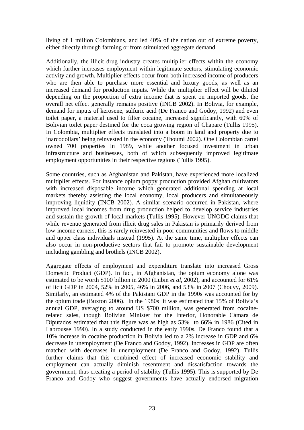living of 1 million Colombians, and led 40% of the nation out of extreme poverty, either directly through farming or from stimulated aggregate demand.

Additionally, the illicit drug industry creates multiplier effects within the economy which further increases employment within legitimate sectors, stimulating economic activity and growth. Multiplier effects occur from both increased income of producers who are then able to purchase more essential and luxury goods, as well as an increased demand for production inputs. While the multiplier effect will be diluted depending on the proportion of extra income that is spent on imported goods, the overall net effect generally remains positive (INCB 2002). In Bolivia, for example, demand for inputs of kerosene, sulfuric acid (De Franco and Godoy, 1992) and even toilet paper, a material used to filter cocaine, increased significantly, with 60% of Bolivian toilet paper destined for the coca growing region of Chapare (Tullis 1995). In Colombia, multiplier effects translated into a boom in land and property due to 'narcodollars' being reinvested in the economy (Thoumi 2002). One Colombian cartel owned 700 properties in 1989, while another focused investment in urban infrastructure and businesses, both of which subsequently improved legitimate employment opportunities in their respective regions (Tullis 1995).

Some countries, such as Afghanistan and Pakistan, have experienced more localized multiplier effects. For instance opium poppy production provided Afghan cultivators with increased disposable income which generated additional spending at local markets thereby assisting the local economy, local producers and simultaneously improving liquidity (INCB 2002). A similar scenario occurred in Pakistan, where improved local incomes from drug production helped to develop service industries and sustain the growth of local markets (Tullis 1995). However UNODC claims that while revenue generated from illicit drug sales in Pakistan is primarily derived from low-income earners, this is rarely reinvested in poor communities and flows to middle and upper class individuals instead (1995). At the same time, multiplier effects can also occur in non-productive sectors that fail to promote sustainable development including gambling and brothels (INCB 2002).

Aggregate effects of employment and expenditure translate into increased Gross Domestic Product (GDP). In fact, in Afghanistan, the opium economy alone was estimated to be worth \$100 billion in 2000 (Lubin *et al*, 2002), and accounted for 61% of licit GDP in 2004, 52% in 2005, 46% in 2006, and 53% in 2007 (Chouvy, 2009). Similarly, an estimated 4% of the Pakistani GDP in the 1990s was accounted for by the opium trade (Buxton 2006). In the 1980s it was estimated that 15% of Bolivia's annual GDP, averaging to around US \$700 million, was generated from cocainerelated sales, though Bolivian Minister for the Interior, Honorable Cámara de Diputados estimated that this figure was as high as 53% to 66% in 1986 (Cited in Labrousse 1990). In a study conducted in the early 1990s, De Franco found that a 10% increase in cocaine production in Bolivia led to a 2% increase in GDP and 6% decrease in unemployment (De Franco and Godoy, 1992). Increases in GDP are often matched with decreases in unemployment (De Franco and Godoy, 1992). Tullis further claims that this combined effect of increased economic stability and employment can actually diminish resentment and dissatisfaction towards the government, thus creating a period of stability (Tullis 1995). This is supported by De Franco and Godoy who suggest governments have actually endorsed migration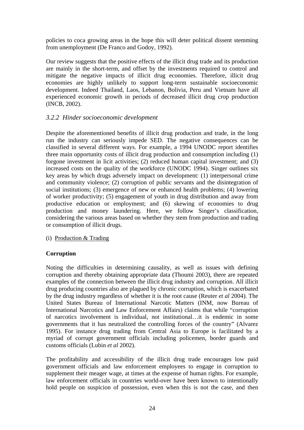<span id="page-35-0"></span>policies to coca growing areas in the hope this will deter political dissent stemming from unemployment (De Franco and Godoy, 1992).

Our review suggests that the positive effects of the illicit drug trade and its production are mainly in the short-term, and offset by the investments required to control and mitigate the negative impacts of illicit drug economies. Therefore, illicit drug economies are highly unlikely to support long-term sustainable socioeconomic development. Indeed Thailand, Laos, Lebanon, Bolivia, Peru and Vietnam have all experienced economic growth in periods of decreased illicit drug crop production (INCB, 2002).

## *3.2.2 Hinder socioeconomic development*

Despite the aforementioned benefits of illicit drug production and trade, in the long run the industry can seriously impede SED. The negative consequences can be classified in several different ways. For example, a 1994 UNODC report identifies three main opportunity costs of illicit drug production and consumption including (1) forgone investment in licit activities; (2) reduced human capital investment; and (3) increased costs on the quality of the workforce (UNODC 1994). Singer outlines six key areas by which drugs adversely impact on development: (1) interpersonal crime and community violence; (2) corruption of public servants and the disintegration of social institutions; (3) emergence of new or enhanced health problems; (4) lowering of worker productivity; (5) engagement of youth in drug distribution and away from productive education or employment; and (6) skewing of economies to drug production and money laundering. Here, we follow Singer's classification, considering the various areas based on whether they stem from production and trading or consumption of illicit drugs.

(i) Production & Trading

## **Corruption**

Noting the difficulties in determining causality, as well as issues with defining corruption and thereby obtaining appropriate data (Thoumi 2003), there are repeated examples of the connection between the illicit drug industry and corruption. All illicit drug producing countries also are plagued by chronic corruption, which is exacerbated by the drug industry regardless of whether it is the root cause (Reuter *et al* 2004). The United States Bureau of International Narcotic Matters (INM, now Bureau of International Narcotics and Law Enforcement Affairs) claims that while "corruption of narcotics involvement is individual, not institutional…it is endemic in some governments that it has neutralized the controlling forces of the country" (Alvarez 1995). For instance drug trading from Central Asia to Europe is facilitated by a myriad of corrupt government officials including policemen, border guards and customs officials (Lubin *et al* 2002).

The profitability and accessibility of the illicit drug trade encourages low paid government officials and law enforcement employees to engage in corruption to supplement their meager wage, at times at the expense of human rights. For example, law enforcement officials in countries world-over have been known to intentionally hold people on suspicion of possession, even when this is not the case, and then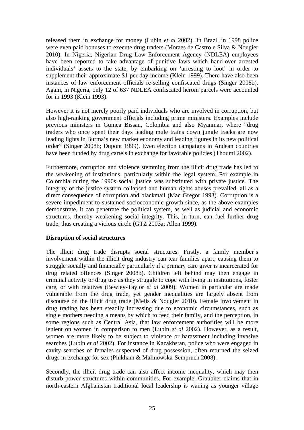released them in exchange for money (Lubin *et al* 2002). In Brazil in 1998 police were even paid bonuses to execute drug traders (Moraes de Castro e Silva & Nougier 2010). In Nigeria, Nigerian Drug Law Enforcement Agency (NDLEA) employees have been reported to take advantage of punitive laws which hand-over arrested individuals' assets to the state, by embarking on 'arresting to loot' in order to supplement their approximate \$1 per day income (Klein 1999). There have also been instances of law enforcement officials re-selling confiscated drugs (Singer 2008b). Again, in Nigeria, only 12 of 637 NDLEA confiscated heroin parcels were accounted for in 1993 (Klein 1993).

However it is not merely poorly paid individuals who are involved in corruption, but also high-ranking government officials including prime ministers. Examples include previous ministers in Guinea Bissau, Colombia and also Myanmar, where "drug traders who once spent their days leading mule trains down jungle tracks are now leading lights in Burma's new market economy and leading figures in its new political order" (Singer 2008b; Dupont 1999). Even election campaigns in Andean countries have been funded by drug cartels in exchange for favorable policies (Thoumi 2002).

Furthermore, corruption and violence stemming from the illicit drug trade has led to the weakening of institutions, particularly within the legal system. For example in Colombia during the 1990s social justice was substituted with private justice. The integrity of the justice system collapsed and human rights abuses prevailed, all as a direct consequence of corruption and blackmail (Mac Gregor 1993). Corruption is a severe impediment to sustained socioeconomic growth since, as the above examples demonstrate, it can penetrate the political system, as well as judicial and economic structures, thereby weakening social integrity. This, in turn, can fuel further drug trade, thus creating a vicious circle (GTZ 2003a; Allen 1999).

#### **Disruption of social structures**

The illicit drug trade disrupts social structures. Firstly, a family member's involvement within the illicit drug industry can tear families apart, causing them to struggle socially and financially particularly if a primary care giver is incarcerated for drug related offences (Singer 2008b). Children left behind may then engage in criminal activity or drug use as they struggle to cope with living in institutions, foster care, or with relatives (Bewley-Taylor *et al* 2009). Women in particular are made vulnerable from the drug trade, yet gender inequalities are largely absent from discourse on the illicit drug trade (Melis & Nougier 2010). Female involvement in drug trading has been steadily increasing due to economic circumstances, such as single mothers needing a means by which to feed their family, and the perception, in some regions such as Central Asia, that law enforcement authorities will be more lenient on women in comparison to men (Lubin *et al* 2002). However, as a result, women are more likely to be subject to violence or harassment including invasive searches (Lubin *et al* 2002). For instance in Kazakhstan, police who were engaged in cavity searches of females suspected of drug possession, often returned the seized drugs in exchange for sex (Pinkham & Malinowska-Sempruch 2008).

Secondly, the illicit drug trade can also affect income inequality, which may then disturb power structures within communities. For example, Graubner claims that in north-eastern Afghanistan traditional local leadership is waning as younger village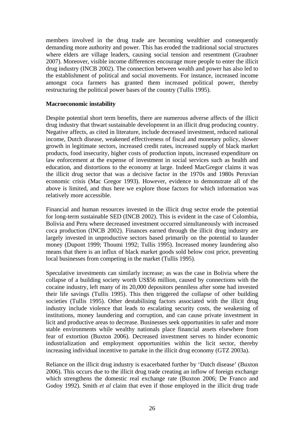members involved in the drug trade are becoming wealthier and consequently demanding more authority and power. This has eroded the traditional social structures where elders are village leaders, causing social tension and resentment (Graubner 2007). Moreover, visible income differences encourage more people to enter the illicit drug industry (INCB 2002). The connection between wealth and power has also led to the establishment of political and social movements. For instance, increased income amongst coca farmers has granted them increased political power, thereby restructuring the political power bases of the country (Tullis 1995).

#### **Macroeconomic instability**

Despite potential short term benefits, there are numerous adverse affects of the illicit drug industry that thwart sustainable development in an illicit drug producing country. Negative affects, as cited in literature, include decreased investment, reduced national income, Dutch disease, weakened effectiveness of fiscal and monetary policy, slower growth in legitimate sectors, increased credit rates, increased supply of black market products, food insecurity, higher costs of production inputs, increased expenditure on law enforcement at the expense of investment in social services such as health and education, and distortions to the economy at large. Indeed MacGregor claims it was the illicit drug sector that was a decisive factor in the 1970s and 1980s Peruvian economic crisis (Mac Gregor 1993). However, evidence to demonstrate all of the above is limited, and thus here we explore those factors for which information was relatively more accessible.

Financial and human resources invested in the illicit drug sector erode the potential for long-term sustainable SED (INCB 2002). This is evident in the case of Colombia, Bolivia and Peru where decreased investment occurred simultaneously with increased coca production (INCB 2002). Finances earned through the illicit drug industry are largely invested in unproductive sectors based primarily on the potential to launder money (Dupont 1999; Thoumi 1992; Tullis 1995). Increased money laundering also means that there is an influx of black market goods sold below cost price, preventing local businesses from competing in the market (Tullis 1995).

Speculative investments can similarly increase; as was the case in Bolivia where the collapse of a building society worth US\$56 million, caused by connections with the cocaine industry, left many of its 20,000 depositors penniless after some had invested their life savings (Tullis 1995). This then triggered the collapse of other building societies (Tullis 1995). Other destabilising factors associated with the illicit drug industry include violence that leads to escalating security costs, the weakening of institutions, money laundering and corruption, and can cause private investment in licit and productive areas to decrease. Businesses seek opportunities in safer and more stable environments while wealthy nationals place financial assets elsewhere from fear of extortion (Buxton 2006). Decreased investment serves to hinder economic industrialization and employment opportunities within the licit sector, thereby increasing individual incentive to partake in the illicit drug economy (GTZ 2003a).

Reliance on the illicit drug industry is exacerbated further by 'Dutch disease' (Buxton 2006). This occurs due to the illicit drug trade creating an inflow of foreign exchange which strengthens the domestic real exchange rate (Buxton 2006; De Franco and Godoy 1992). Smith *et al* claim that even if those employed in the illicit drug trade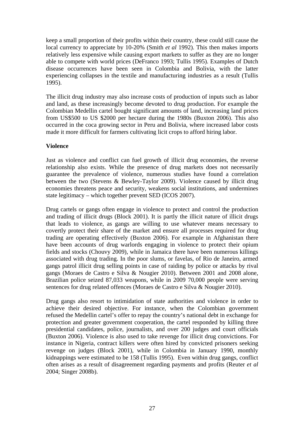keep a small proportion of their profits within their country, these could still cause the local currency to appreciate by 10-20% (Smith *et al* 1992). This then makes imports relatively less expensive while causing export markets to suffer as they are no longer able to compete with world prices (DeFranco 1993; Tullis 1995). Examples of Dutch disease occurrences have been seen in Colombia and Bolivia, with the latter experiencing collapses in the textile and manufacturing industries as a result (Tullis 1995).

The illicit drug industry may also increase costs of production of inputs such as labor and land, as these increasingly become devoted to drug production. For example the Colombian Medellin cartel bought significant amounts of land, increasing land prices from US\$500 to US \$2000 per hectare during the 1980s (Buxton 2006). This also occurred in the coca growing sector in Peru and Bolivia, where increased labor costs made it more difficult for farmers cultivating licit crops to afford hiring labor.

### **Violence**

Just as violence and conflict can fuel growth of illicit drug economies, the reverse relationship also exists. While the presence of drug markets does not necessarily guarantee the prevalence of violence, numerous studies have found a correlation between the two (Stevens & Bewley-Taylor 2009). Violence caused by illicit drug economies threatens peace and security, weakens social institutions, and undermines state legitimacy – which together prevent SED (ICOS 2007).

Drug cartels or gangs often engage in violence to protect and control the production and trading of illicit drugs (Block 2001). It is partly the illicit nature of illicit drugs that leads to violence, as gangs are willing to use whatever means necessary to covertly protect their share of the market and ensure all processes required for drug trading are operating effectively (Buxton 2006). For example in Afghanistan there have been accounts of drug warlords engaging in violence to protect their opium fields and stocks (Chouvy 2009), while in Jamaica there have been numerous killings associated with drug trading. In the poor slums, or favelas, of Rio de Janeiro, armed gangs patrol illicit drug selling points in case of raiding by police or attacks by rival gangs (Moraes de Castro e Silva & Nougier 2010). Between 2001 and 2008 alone, Brazilian police seized 87,033 weapons, while in 2009 70,000 people were serving sentences for drug related offences (Moraes de Castro e Silva & Nougier 2010).

Drug gangs also resort to intimidation of state authorities and violence in order to achieve their desired objective. For instance, when the Colombian government refused the Medellin cartel's offer to repay the country's national debt in exchange for protection and greater government cooperation, the cartel responded by killing three presidential candidates, police, journalists, and over 200 judges and court officials (Buxton 2006). Violence is also used to take revenge for illicit drug convictions. For instance in Nigeria, contract killers were often hired by convicted prisoners seeking revenge on judges (Block 2001), while in Colombia in January 1990, monthly kidnappings were estimated to be 158 (Tullis 1995). Even within drug gangs, conflict often arises as a result of disagreement regarding payments and profits (Reuter *et al* 2004; Singer 2008b).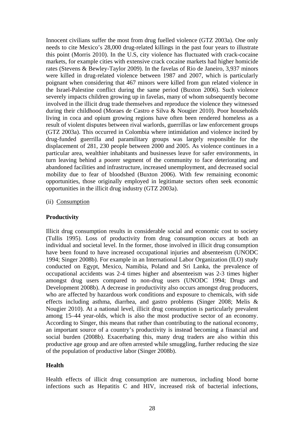Innocent civilians suffer the most from drug fuelled violence (GTZ 2003a). One only needs to cite Mexico's 28,000 drug-related killings in the past four years to illustrate this point (Morris 2010). In the U.S, city violence has fluctuated with crack-cocaine markets, for example cities with extensive crack cocaine markets had higher homicide rates (Stevens & Bewley-Taylor 2009). In the favelas of Rio de Janeiro, 3,937 minors were killed in drug-related violence between 1987 and 2007, which is particularly poignant when considering that 467 minors were killed from gun related violence in the Israel-Palestine conflict during the same period (Buxton 2006). Such violence severely impacts children growing up in favelas, many of whom subsequently become involved in the illicit drug trade themselves and reproduce the violence they witnessed during their childhood (Moraes de Castro e Silva & Nougier 2010). Poor households living in coca and opium growing regions have often been rendered homeless as a result of violent disputes between rival warlords, guerrillas or law enforcement groups (GTZ 2003a). This occurred in Colombia where intimidation and violence incited by drug-funded guerrilla and paramilitary groups was largely responsible for the displacement of 281, 230 people between 2000 and 2005. As violence continues in a particular area, wealthier inhabitants and businesses leave for safer environments, in turn leaving behind a poorer segment of the community to face deteriorating and abandoned facilities and infrastructure, increased unemployment, and decreased social mobility due to fear of bloodshed (Buxton 2006). With few remaining economic opportunities, those originally employed in legitimate sectors often seek economic opportunities in the illicit drug industry (GTZ 2003a).

(ii) Consumption

#### **Productivity**

Illicit drug consumption results in considerable social and economic cost to society (Tullis 1995). Loss of productivity from drug consumption occurs at both an individual and societal level. In the former, those involved in illicit drug consumption have been found to have increased occupational injuries and absenteeism (UNODC 1994; Singer 2008b). For example in an International Labor Organization (ILO) study conducted on Egypt, Mexico, Namibia, Poland and Sri Lanka, the prevalence of occupational accidents was 2-4 times higher and absenteeism was 2-3 times higher amongst drug users compared to non-drug users (UNODC 1994; Drugs and Development 2008b). A decrease in productivity also occurs amongst drug producers, who are affected by hazardous work conditions and exposure to chemicals, with side effects including asthma, diarrhea, and gastro problems (Singer 2008; Melis & Nougier 2010). At a national level, illicit drug consumption is particularly prevalent among 15–44 year-olds, which is also the most productive sector of an economy. According to Singer, this means that rather than contributing to the national economy, an important source of a country's productivity is instead becoming a financial and social burden (2008b). Exacerbating this, many drug traders are also within this productive age group and are often arrested while smuggling, further reducing the size of the population of productive labor (Singer 2008b).

#### **Health**

Health effects of illicit drug consumption are numerous, including blood borne infections such as Hepatitis C and HIV, increased risk of bacterial infections,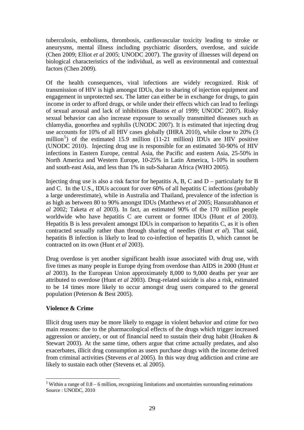tuberculosis, embolisms, thrombosis, cardiovascular toxicity leading to stroke or aneurysms, mental illness including psychiatric disorders, overdose, and suicide (Chen 2009; Elliot *et al* 2005; UNODC 2007). The gravity of illnesses will depend on biological characteristics of the individual, as well as environmental and contextual factors (Chen 2009).

Of the health consequences, viral infections are widely recognized. Risk of transmission of HIV is high amongst IDUs, due to sharing of injection equipment and engagement in unprotected sex. The latter can either be in exchange for drugs, to gain income in order to afford drugs, or while under their effects which can lead to feelings of sexual arousal and lack of inhibitions (Bastos *et al* 1999; UNODC 2007). Risky sexual behavior can also increase exposure to sexually transmitted diseases such as chlamydia, gonorrhea and syphilis (UNODC 2007). It is estimated that injecting drug use accounts for 10% of all HIV cases globally (IHRA 2010), while close to 20% (3 million<sup>[5](#page-40-0)</sup>) of the estimated 15.9 million (11-21 million) IDUs are HIV positive (UNODC 2010). Injecting drug use is responsible for an estimated 50-90% of HIV infections in Eastern Europe, central Asia, the Pacific and eastern Asia, 25-50% in North America and Western Europe, 10-25% in Latin America, 1-10% in southern and south-east Asia, and less than 1% in sub-Saharan Africa (WHO 2005).

Injecting drug use is also a risk factor for hepatitis A, B, C and D – particularly for B and C. In the U.S., IDUs account for over 60% of all hepatitis C infections (probably a large underestimate), while in Australia and Thailand, prevalence of the infection is as high as between 80 to 90% amongst IDUs (Matthews *et al* 2005; Hansurabhanon *et al* 2002; Taketa *et al* 2003). In fact, an estimated 90% of the 170 million people worldwide who have hepatitis C are current or former IDUs (Hunt *et al* 2003). Hepatitis B is less prevalent amongst IDUs in comparison to hepatitis C, as it is often contracted sexually rather than through sharing of needles (Hunt *et al*). That said, hepatitis B infection is likely to lead to co-infection of hepatitis D, which cannot be contracted on its own (Hunt *et al* 2003).

Drug overdose is yet another significant health issue associated with drug use, with five times as many people in Europe dying from overdose than AIDS in 2000 (Hunt *et al* 2003). In the European Union approximately 8,000 to 9,000 deaths per year are attributed to overdose (Hunt *et al* 2003). Drug-related suicide is also a risk, estimated to be 14 times more likely to occur amongst drug users compared to the general population (Peterson & Best 2005).

### **Violence & Crime**

Illicit drug users may be more likely to engage in violent behavior and crime for two main reasons: due to the pharmacological effects of the drugs which trigger increased aggression or anxiety, or out of financial need to sustain their drug habit (Hoaken & Stewart 2003). At the same time, others argue that crime actually predates, and also exacerbates, illicit drug consumption as users purchase drugs with the income derived from criminal activities (Stevens *et al* 2005). In this way drug addiction and crime are likely to sustain each other (Stevens et. al 2005).

<span id="page-40-0"></span> $\overline{a}$  $5$  Within a range of  $0.8 - 6$  million, recognizing limitations and uncertainties surrounding estimations Source : UNODC, 2010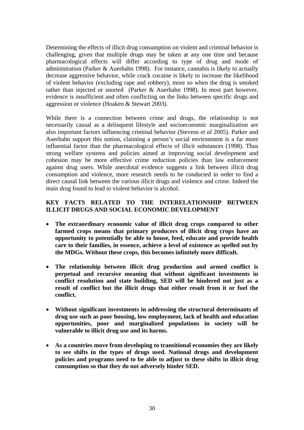Determining the effects of illicit drug consumption on violent and criminal behavior is challenging, given that multiple drugs may be taken at any one time and because pharmacological effects will differ according to type of drug and mode of administration (Parker & Auerhahn 1998). For instance, cannabis is likely to actually decrease aggressive behavior, while crack cocaine is likely to increase the likelihood of violent behavior (excluding rape and robbery), more so when the drug is smoked rather than injected or snorted (Parker & Auerhahn 1998). In most part however, evidence is insufficient and often conflicting on the links between specific drugs and aggression or violence (Hoaken & Stewart 2003).

While there is a connection between crime and drugs, the relationship is not necessarily causal as a delinquent lifestyle and socioeconomic marginalization are also important factors influencing criminal behavior (Stevens *et al* 2005). Parker and Auerhahn support this notion, claiming a person's social environment is a far more influential factor than the pharmacological effects of illicit substances (1998). Thus strong welfare systems and policies aimed at improving social development and cohesion may be more effective crime reduction policies than law enforcement against drug users. While anecdotal evidence suggests a link between illicit drug consumption and violence, more research needs to be conducted in order to find a direct causal link between the various illicit drugs and violence and crime. Indeed the main drug found to lead to violent behavior is alcohol.

## **KEY FACTS RELATED TO THE INTERELATIONSHIP BETWEEN ILLICIT DRUGS AND SOCIAL ECONOMIC DEVELOPMENT**

- **The extraordinary economic value of illicit drug crops compared to other farmed crops means that primary producers of illicit drug crops have an opportunity to potentially be able to house, feed, educate and provide health care to their families, in essence, achieve a level of existence as spelled out by the MDGs. Without these crops, this becomes infinitely more difficult.**
- **The relationship between illicit drug production and armed conflict is perpetual and recursive meaning that without significant investments in conflict resolution and state building, SED will be hindered not just as a result of conflict but the illicit drugs that either result from it or fuel the conflict.**
- **Without significant investments in addressing the structural determinants of drug use such as poor housing, low employment, lack of health and education opportunities, poor and marginalized populations in society will be vulnerable to illicit drug use and its harms.**
- **As a countries move from developing to transitional economies they are likely to see shifts in the types of drugs used. National drugs and development policies and programs need to be able to adjust to these shifts in illicit drug consumption so that they do not adversely hinder SED.**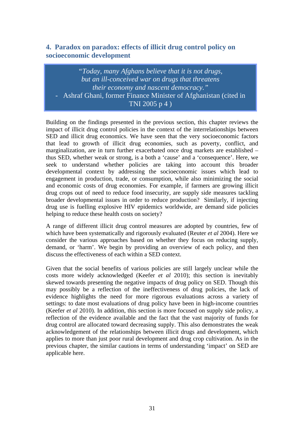# **4. Paradox on paradox: effects of illicit drug control policy on socioeconomic development**

*"Today, many Afghans believe that it is not drugs, but an ill-conceived war on drugs that threatens their economy and nascent democracy."*  - Ashraf Ghani, former Finance Minister of Afghanistan (cited in TNI 2005 p 4 )

Building on the findings presented in the previous section, this chapter reviews the impact of illicit drug control policies in the context of the interrelationships between SED and illicit drug economics. We have seen that the very socioeconomic factors that lead to growth of illicit drug economies, such as poverty, conflict, and marginalization, are in turn further exacerbated once drug markets are established – thus SED, whether weak or strong, is a both a 'cause' and a 'consequence'. Here, we seek to understand whether policies are taking into account this broader developmental context by addressing the socioeconomic issues which lead to engagement in production, trade, or consumption, while also minimizing the social and economic costs of drug economies. For example, if farmers are growing illicit drug crops out of need to reduce food insecurity, are supply side measures tackling broader developmental issues in order to reduce production? Similarly, if injecting drug use is fuelling explosive HIV epidemics worldwide, are demand side policies helping to reduce these health costs on society?

A range of different illicit drug control measures are adopted by countries, few of which have been systematically and rigorously evaluated (Reuter *et al* 2004). Here we consider the various approaches based on whether they focus on reducing supply, demand, or 'harm'. We begin by providing an overview of each policy, and then discuss the effectiveness of each within a SED context.

Given that the social benefits of various policies are still largely unclear while the costs more widely acknowledged (Keefer *et al* 2010); this section is inevitably skewed towards presenting the negative impacts of drug policy on SED. Though this may possibly be a reflection of the ineffectiveness of drug policies, the lack of evidence highlights the need for more rigorous evaluations across a variety of settings: to date most evaluations of drug policy have been in high-income countries (Keefer *et al* 2010). In addition, this section is more focused on supply side policy, a reflection of the evidence available and the fact that the vast majority of funds for drug control are allocated toward decreasing supply. This also demonstrates the weak acknowledgement of the relationships between illicit drugs and development, which applies to more than just poor rural development and drug crop cultivation. As in the previous chapter, the similar cautions in terms of understanding 'impact' on SED are applicable here.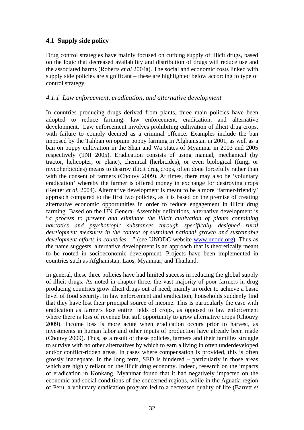## **4.1 Supply side policy**

Drug control strategies have mainly focused on curbing supply of illicit drugs, based on the logic that decreased availability and distribution of drugs will reduce use and the associated harms (Roberts *et al* 2004a). The social and economic costs linked with supply side policies are significant – these are highlighted below according to type of control strategy.

## *4.1.1 Law enforcement, eradication, and alternative development*

In countries producing drugs derived from plants, three main policies have been adopted to reduce farming: law enforcement, eradication, and alternative development. Law enforcement involves prohibiting cultivation of illicit drug crops, with failure to comply deemed as a criminal offence. Examples include the ban imposed by the Taliban on opium poppy farming in Afghanistan in 2001, as well as a ban on poppy cultivation in the Shan and Wa states of Myanmar in 2003 and 2005 respectively (TNI 2005). Eradication consists of using manual, mechanical (by tractor, helicopter, or plane), chemical (herbicides), or even biological (fungi or mycoherbicides) means to destroy illicit drug crops, often done forcefully rather than with the consent of farmers (Chouvy 2009). At times, there may also be 'voluntary eradication' whereby the farmer is offered money in exchange for destroying crops (Reuter *et al*, 2004). Alternative development is meant to be a more 'farmer-friendly' approach compared to the first two policies, as it is based on the premise of creating alternative economic opportunities in order to reduce engagement in illicit drug farming. Based on the UN General Assembly definitions, alternative development is "*a process to prevent and eliminate the illicit cultivation of plants containing narcotics and psychotropic substances through specifically designed rural development measures in the context of sustained national growth and sustainable development efforts in countries…"* (see UNODC website [www.unodc.org\)](http://www.unodc.org/). Thus as the name suggests, alternative development is an approach that is theoretically meant to be rooted in socioeconomic development. Projects have been implemented in countries such as Afghanistan, Laos, Myanmar, and Thailand.

In general, these three policies have had limited success in reducing the global supply of illicit drugs. As noted in chapter three, the vast majority of poor farmers in drug producing countries grow illicit drugs out of need; mainly in order to achieve a basic level of food security. In law enforcement and eradication, households suddenly find that they have lost their principal source of income. This is particularly the case with eradication as farmers lose entire fields of crops, as opposed to law enforcement where there is loss of revenue but still opportunity to grow alternative crops (Chouvy 2009). Income loss is more acute when eradication occurs prior to harvest, as investments in human labor and other inputs of production have already been made (Chouvy 2009). Thus, as a result of these policies, farmers and their families struggle to survive with no other alternatives by which to earn a living in often underdeveloped and/or conflict-ridden areas. In cases where compensation is provided, this is often grossly inadequate. In the long term, SED is hindered – particularly in those areas which are highly reliant on the illicit drug economy. Indeed, research on the impacts of eradication in Konkang, Myanmar found that it had negatively impacted on the economic and social conditions of the concerned regions, while in the Aguatía region of Peru, a voluntary eradication program led to a decreased quality of life (Barrett *et*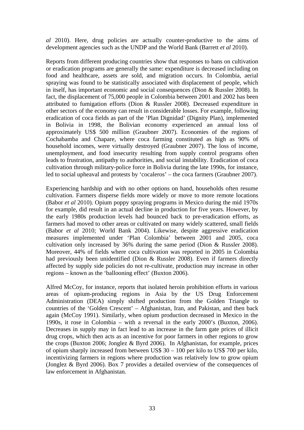*al* 2010). Here, drug policies are actually counter-productive to the aims of development agencies such as the UNDP and the World Bank (Barrett *et al* 2010).

Reports from different producing countries show that responses to bans on cultivation or eradication programs are generally the same: expenditure is decreased including on food and healthcare, assets are sold, and migration occurs. In Colombia, aerial spraying was found to be statistically associated with displacement of people, which in itself, has important economic and social consequences (Dion & Russler 2008). In fact, the displacement of 75,000 people in Colombia between 2001 and 2002 has been attributed to fumigation efforts (Dion & Russler 2008). Decreased expenditure in other sectors of the economy can result in considerable losses. For example, following eradication of coca fields as part of the 'Plan Dignidad' (Dignity Plan), implemented in Bolivia in 1998, the Bolivian economy experienced an annual loss of approximately US\$ 500 million (Graubner 2007). Economies of the regions of Cochabamba and Chapare, where coca farming constituted as high as 90% of household incomes, were virtually destroyed (Graubner 2007). The loss of income, unemployment, and food insecurity resulting from supply control programs often leads to frustration, antipathy to authorities, and social instability. Eradication of coca cultivation through military-police force in Bolivia during the late 1990s, for instance, led to social upheaval and protests by 'cocaleros' – the coca farmers (Graubner 2007).

Experiencing hardship and with no other options on hand, households often resume cultivation. Farmers disperse fields more widely or move to more remote locations (Babor *et al* 2010). Opium poppy spraying programs in Mexico during the mid 1970s for example, did result in an actual decline in production for five years. However, by the early 1980s production levels had bounced back to pre-eradication efforts, as farmers had moved to other areas or cultivated on many widely scattered, small fields (Babor *et al* 2010; World Bank 2004). Likewise, despite aggressive eradication measures implemented under 'Plan Colombia' between 2001 and 2005, coca cultivation only increased by 36% during the same period (Dion & Russler 2008). Moreover, 44% of fields where coca cultivation was reported in 2005 in Colombia had previously been unidentified (Dion & Russler 2008). Even if farmers directly affected by supply side policies do not re-cultivate, production may increase in other regions – known as the 'ballooning effect' (Buxton 2006).

Alfred McCoy, for instance, reports that isolated heroin prohibition efforts in various areas of opium-producing regions in Asia by the US Drug Enforcement Administration (DEA) simply shifted production from the Golden Triangle to countries of the 'Golden Crescent' – Afghanistan, Iran, and Pakistan, and then back again (McCoy 1991). Similarly, when opium production decreased in Mexico in the 1990s, it rose in Colombia – with a reversal in the early 2000's (Buxton, 2006). Decreases in supply may in fact lead to an increase in the farm gate prices of illicit drug crops, which then acts as an incentive for poor farmers in other regions to grow the crops (Buxton 2006; Jonglez & Byrd 2006). In Afghanistan, for example, prices of opium sharply increased from between US\$ 30 – 100 per kilo to US\$ 700 per kilo, incentivizing farmers in regions where production was relatively low to grow opium (Jonglez & Byrd 2006). Box 7 provides a detailed overview of the consequences of law enforcement in Afghanistan.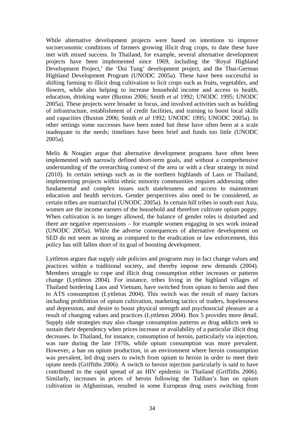While alternative development projects were based on intentions to improve socioeconomic conditions of farmers growing illicit drug crops, to date these have met with mixed success. In Thailand, for example, several alternative development projects have been implemented since 1969, including the 'Royal Highland Development Project,' the 'Doi Tung' development project, and the Thai-German Highland Development Program (UNODC 2005a). These have been successful in shifting farming to illicit drug cultivation to licit crops such as fruits, vegetables, and flowers, while also helping to increase household income and access to health, education, drinking water (Buxton 2006; Smith *et al* 1992; UNODC 1995; UNODC 2005a). These projects were broader in focus, and involved activities such as building of infrastructure, establishment of credit facilities, and training to boost local skills and capacities (Buxton 2006; Smith *et al* 1992; UNODC 1995; UNODC 2005a). In other settings some successes have been noted but these have often been at a scale inadequate to the needs; timelines have been brief and funds too little (UNODC 2005a).

Melis & Nougier argue that alternative development programs have often been implemented with narrowly defined short-term goals, and without a comprehensive understanding of the overarching context of the area or with a clear strategy in mind (2010). In certain settings such as in the northern highlands of Laos or Thailand, implementing projects within ethnic minority communities requires addressing other fundamental and complex issues such statelessness and access to mainstream education and health services. Gender perspectives also need to be considered, as certain tribes are matriarchal (UNODC 2005a). In certain hill tribes in south east Asia, women are the income earners of the household and therefore cultivate opium poppy. When cultivation is no longer allowed, the balance of gender roles is disturbed and there are negative repercussions – for example women engaging in sex work instead (UNODC 2005a). While the adverse consequences of alternative development on SED do not seem as strong as compared to the eradication or law enforcement, this policy has still fallen short of its goal of boosting development.

Lyttleton argues that supply side policies and programs may in fact change values and practices within a traditional society, and thereby impose new demands (2004). Members struggle to cope and illicit drug consumption either increases or patterns change (Lyttleton 2004). For instance, tribes living in the highland villages of Thailand bordering Laos and Vietnam, have switched from opium to heroin and then to ATS consumption (Lyttleton 2004). This switch was the result of many factors including prohibition of opium cultivation, marketing tactics of traders, hopelessness and depression, and desire to boost physical strength and psychosocial pleasure as a result of changing values and practices (Lyttleton 2004). Box 5 provides more detail. Supply side strategies may also change consumption patterns as drug addicts seek to sustain their dependency when prices increase or availability of a particular illicit drug decreases. In Thailand, for instance, consumption of heroin, particularly via injection, was rare during the late 1970s, while opium consumption was more prevalent. However, a ban on opium production, in an environment where heroin consumption was prevalent, led drug users to switch from opium to heroin in order to meet their opiate needs (Griffiths 2006). A switch to heroin injection particularly is said to have contributed to the rapid spread of an HIV epidemic in Thailand (Griffiths 2006). Similarly, increases in prices of heroin following the Taliban's ban on opium cultivation in Afghanistan, resulted in some European drug users switching from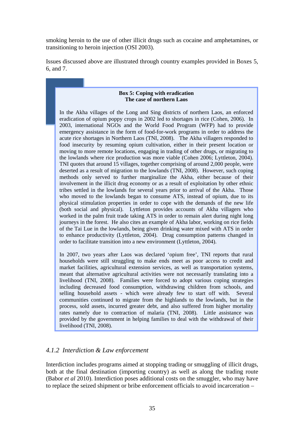smoking heroin to the use of other illicit drugs such as cocaine and amphetamines, or transitioning to heroin injection (OSI 2003).

Issues discussed above are illustrated through country examples provided in Boxes 5, 6, and 7.

#### **Box 5: Coping with eradication The case of northern Laos**

In the Akha villages of the Long and Sing districts of northern Laos, an enforced eradication of opium poppy crops in 2002 led to shortages in rice (Cohen, 2006). In 2003, international NGOs and the World Food Program (WFP) had to provide emergency assistance in the form of food-for-work programs in order to address the acute rice shortages in Northern Laos (TNI, 2008). The Akha villagers responded to food insecurity by resuming opium cultivation, either in their present location or moving to more remote locations, engaging in trading of other drugs, or migrating to the lowlands where rice production was more viable (Cohen 2006; Lyttleton, 2004). TNI quotes that around 15 villages, together comprising of around 2,000 people, were deserted as a result of migration to the lowlands (TNI, 2008). However, such coping methods only served to further marginalize the Akha, either because of their involvement in the illicit drug economy or as a result of exploitation by other ethnic tribes settled in the lowlands for several years prior to arrival of the Akha. Those who moved to the lowlands began to consume ATS, instead of opium, due to its physical stimulation properties in order to cope with the demands of the new life (both social and physical). Lyttleton provides accounts of Akha villagers who worked in the palm fruit trade taking ATS in order to remain alert during night long journeys in the forest. He also cites an example of Akha labor, working on rice fields of the Tai Lue in the lowlands, being given drinking water mixed with ATS in order to enhance productivity (Lyttleton, 2004). Drug consumption patterns changed in order to facilitate transition into a new environment (Lyttleton, 2004).

In 2007, two years after Laos was declared 'opium free', TNI reports that rural households were still struggling to make ends meet as poor access to credit and market facilities, agricultural extension services, as well as transportation systems, meant that alternative agricultural activities were not necessarily translating into a livelihood (TNI, 2008). Families were forced to adopt various coping strategies including decreased food consumption, withdrawing children from schools, and selling household assets - which were already few to start off with. Several communities continued to migrate from the highlands to the lowlands, but in the process, sold assets, incurred greater debt, and also suffered from higher mortality rates namely due to contraction of malaria (TNI, 2008). Little assistance was provided by the government in helping families to deal with the withdrawal of their livelihood (TNI, 2008).

### *4.1.2 Interdiction & Law enforcement*

Interdiction includes programs aimed at stopping trading or smuggling of illicit drugs, both at the final destination (importing country) as well as along the trading route (Babor *et al* 2010). Interdiction poses additional costs on the smuggler, who may have to replace the seized shipment or bribe enforcement officials to avoid incarceration –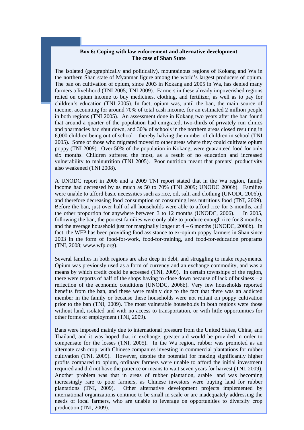#### **Box 6: Coping with law enforcement and alternative development The case of Shan State**

The isolated (geographically and politically), mountainous regions of Kokang and Wa in the northern Shan state of Myanmar figure among the world's largest producers of opium. The ban on cultivation of opium, since 2003 in Kokang and 2005 in Wa, has denied many farmers a livelihood (TNI 2005; TNI 2009). Farmers in these already impoverished regions relied on opium income to buy medicines, clothing, and fertilizer, as well as to pay for children's education (TNI 2005). In fact, opium was, until the ban, the main source of income, accounting for around 70% of total cash income, for an estimated 2 million people in both regions (TNI 2005). An assessment done in Kokang two years after the ban found that around a quarter of the population had emigrated, two-thirds of privately run clinics and pharmacies had shut down, and 30% of schools in the northern areas closed resulting in 6,000 children being out of school – thereby halving the number of children in school (TNI 2005). Some of those who migrated moved to other areas where they could cultivate opium poppy (TNI 2009). Over 50% of the population in Kokang, were guaranteed food for only six months. Children suffered the most, as a result of no education and increased vulnerability to malnutrition (TNI 2005). Poor nutrition meant that parents' productivity also weakened (TNI 2008).

A UNODC report in 2006 and a 2009 TNI report stated that in the Wa region, family income had decreased by as much as 50 to 70% (TNI 2009; UNODC 2006b). Families were unable to afford basic necessities such as rice, oil, salt, and clothing (UNODC 2006b), and therefore decreasing food consumption or consuming less nutritious food (TNI, 2009). Before the ban, just over half of all households were able to afford rice for 3 months, and the other proportion for anywhere between 3 to 12 months (UNODC, 2006). In 2005, following the ban, the poorest families were only able to produce enough rice for 3 months, and the average household just for marginally longer at  $4 - 6$  months (UNODC, 2006b). In fact, the WFP has been providing food assistance to ex-opium poppy farmers in Shan since 2003 in the form of food-for-work, food-for-training, and food-for-education programs (TNI, 2008; www.wfp.org).

Several families in both regions are also deep in debt, and struggling to make repayments. Opium was previously used as a form of currency and an exchange commodity, and was a means by which credit could be accessed (TNI, 2009). In certain townships of the region, there were reports of half of the shops having to close down because of lack of business – a reflection of the economic conditions (UNODC, 2006b). Very few households reported benefits from the ban, and these were mainly due to the fact that there was an addicted member in the family or because these households were not reliant on poppy cultivation prior to the ban (TNI, 2009). The most vulnerable households in both regions were those without land, isolated and with no access to transportation, or with little opportunities for other forms of employment (TNI, 2009).

Bans were imposed mainly due to international pressure from the United States, China, and Thailand, and it was hoped that in exchange, greater aid would be provided in order to compensate for the losses (TNI, 2005). In the Wa region, rubber was promoted as an alternate cash crop, with Chinese companies investing in commercial plantations for rubber cultivation (TNI, 2009). However, despite the potential for making significantly higher profits compared to opium, ordinary farmers were unable to afford the initial investment required and did not have the patience or means to wait seven years for harvest (TNI, 2009). Another problem was that in areas of rubber plantation, arable land was becoming increasingly rare to poor farmers, as Chinese investors were buying land for rubber plantations (TNI, 2009). Other alternative development projects implemented by international organizations continue to be small in scale or are inadequately addressing the needs of local farmers, who are unable to leverage on opportunities to diversify crop production (TNI, 2009).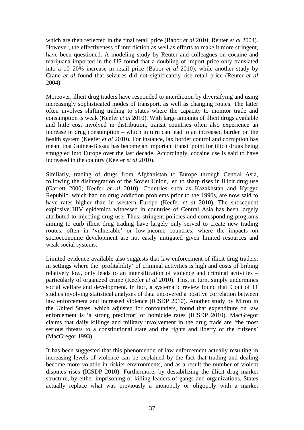which are then reflected in the final retail price (Babor *et al* 2010; Reuter *et al* 2004). However, the effectiveness of interdiction as well as efforts to make it more stringent, have been questioned. A modeling study by Reuter and colleagues on cocaine and marijuana imported in the US found that a doubling of import price only translated into a 10–20% increase in retail price (Babor *et al* 2010), while another study by Crane *et al* found that seizures did not significantly rise retail price (Reuter *et al* 2004).

Moreover, illicit drug traders have responded to interdiction by diversifying and using increasingly sophisticated modes of transport, as well as changing routes. The latter often involves shifting trading to states where the capacity to monitor trade and consumption is weak (Keefer *et al* 2010). With large amounts of illicit drugs available and little cost involved in distribution, transit countries often also experience an increase in drug consumption – which in turn can lead to an increased burden on the health system (Keefer *et al* 2010). For instance, lax border control and corruption has meant that Guinea-Bissau has become an important transit point for illicit drugs being smuggled into Europe over the last decade. Accordingly, cocaine use is said to have increased in the country (Keefer *et al* 2010).

Similarly, trading of drugs from Afghanistan to Europe through Central Asia, following the disintegration of the Soviet Union, led to sharp rises in illicit drug use (Garrett 2000; Keefer *et al* 2010). Countries such as Kazakhstan and Kyrgyz Republic, which had no drug addiction problems prior to the 1990s, are now said to have rates higher than in western Europe (Keefer *et al* 2010). The subsequent explosive HIV epidemics witnessed in countries of Central Asia has been largely attributed to injecting drug use. Thus, stringent policies and corresponding programs aiming to curb illicit drug trading have largely only served to create new trading routes, often in 'vulnerable' or low-income countries, where the impacts on socioeconomic development are not easily mitigated given limited resources and weak social systems.

Limited evidence available also suggests that law enforcement of illicit drug traders, in settings where the 'profitability' of criminal activities is high and costs of bribing relatively low, only leads to an intensification of violence and criminal activities – particularly of organized crime (Keefer *et al* 2010). This, in turn, simply undermines social welfare and development. In fact, a systematic review found that 9 out of 11 studies involving statistical analyses of data uncovered a positive correlation between law enforcement and increased violence (ICSDP 2010). Another study by Miron in the United States, which adjusted for confounders, found that expenditure on law enforcement is 'a strong predictor' of homicide rates (ICSDP 2010). MacGregor claims that daily killings and military involvement in the drug trade are 'the most serious threats to a constitutional state and the rights and liberty of the citizens' (MacGregor 1993).

It has been suggested that this phenomenon of law enforcement actually resulting in increasing levels of violence can be explained by the fact that trading and dealing become more volatile in riskier environments, and as a result the number of violent disputes rises (ICSDP 2010). Furthermore, by destabilizing the illicit drug market structure, by either imprisoning or killing leaders of gangs and organizations, States actually replace what was previously a monopoly or oligopoly with a market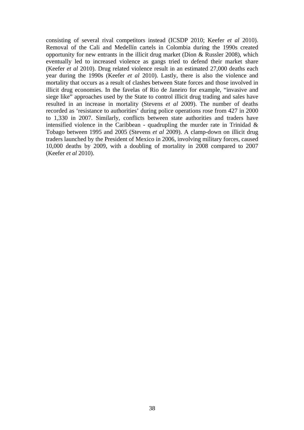consisting of several rival competitors instead (ICSDP 2010; Keefer *et al* 2010). Removal of the Cali and Medellín cartels in Colombia during the 1990s created opportunity for new entrants in the illicit drug market (Dion & Russler 2008), which eventually led to increased violence as gangs tried to defend their market share (Keefer *et al* 2010). Drug related violence result in an estimated 27,000 deaths each year during the 1990s (Keefer *et al* 2010). Lastly, there is also the violence and mortality that occurs as a result of clashes between State forces and those involved in illicit drug economies. In the favelas of Rio de Janeiro for example, "invasive and siege like" approaches used by the State to control illicit drug trading and sales have resulted in an increase in mortality (Stevens *et al* 2009). The number of deaths recorded as 'resistance to authorities' during police operations rose from 427 in 2000 to 1,330 in 2007. Similarly, conflicts between state authorities and traders have intensified violence in the Caribbean - quadrupling the murder rate in Trinidad & Tobago between 1995 and 2005 (Stevens *et al* 2009). A clamp-down on illicit drug traders launched by the President of Mexico in 2006, involving military forces, caused 10,000 deaths by 2009, with a doubling of mortality in 2008 compared to 2007 (Keefer *et al* 2010).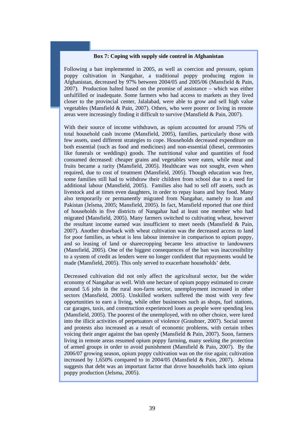#### **Box 7: Coping with supply side control in Afghanistan**

Following a ban implemented in 2005, as well as coercion and pressure, opium poppy cultivation in Nangahar, a traditional poppy producing region in Afghanistan, decreased by 97% between 2004/05 and 2005/06 (Mansfield & Pain, 2007). Production halted based on the promise of assistance – which was either unfulfilled or inadequate. Some farmers who had access to markets as they lived closer to the provincial center, Jalalabad, were able to grow and sell high value vegetables (Mansfield & Pain, 2007). Others, who were poorer or living in remote areas were increasingly finding it difficult to survive (Mansfield & Pain, 2007).

With their source of income withdrawn, as opium accounted for around 75% of total household cash income (Mansfield, 2005), families, particularly those with few assets, used different strategies to cope. Households decreased expenditure on both essential (such as food and medicines) and non-essential (diesel, ceremonies like funerals or weddings) goods. The nutritional value and quantities of food consumed decreased: cheaper grains and vegetables were eaten, while meat and fruits became a rarity (Mansfield, 2005). Healthcare was not sought, even when required, due to cost of treatment (Mansfield, 2005). Though education was free, some families still had to withdraw their children from school due to a need for additional labour (Mansfield, 2005). Families also had to sell off assets, such as livestock and at times even daughters, in order to repay loans and buy food. Many also temporarily or permanently migrated from Nangahar, namely to Iran and Pakistan (Jelsma, 2005; Mansfield, 2005). In fact, Mansfield reported that one third of households in five districts of Nangahar had at least one member who had migrated (Mansfield, 2005). Many farmers switched to cultivating wheat, however the resultant income earned was insufficient to meet needs (Mansfield & Pain, 2007). Another drawback with wheat cultivation was the decreased access to land for poor families, as wheat is less labour intensive in comparison to opium poppy, and so leasing of land or sharecropping became less attractive to landowners (Mansfield, 2005). One of the biggest consequences of the ban was inaccessibility to a system of credit as lenders were no longer confident that repayments would be made (Mansfield, 2005). This only served to exacerbate households' debt.

Decreased cultivation did not only affect the agricultural sector, but the wider economy of Nangahar as well. With one hectare of opium poppy estimated to create around 5.6 jobs in the rural non-farm sector, unemployment increased in other sectors (Mansfield, 2005). Unskilled workers suffered the most with very few opportunities to earn a living, while other businesses such as shops, fuel stations, car garages, taxis, and construction experienced loses as people were spending less (Mansfield, 2005). The poorest of the unemployed, with no other choice, were lured into the illicit activities of perpetuators of violence (Graubner, 2007). Social unrest and protests also increased as a result of economic problems, with certain tribes voicing their anger against the ban openly (Mansfield & Pain, 2007). Soon, farmers living in remote areas resumed opium poppy farming, many seeking the protection of armed groups in order to avoid punishment (Mansfield & Pain, 2007). By the 2006/07 growing season, opium poppy cultivation was on the rise again; cultivation increased by 1,650% compared to in 2004/05 (Mansfield & Pain, 2007). Jelsma suggests that debt was an important factor that drove households back into opium poppy production (Jelsma, 2005).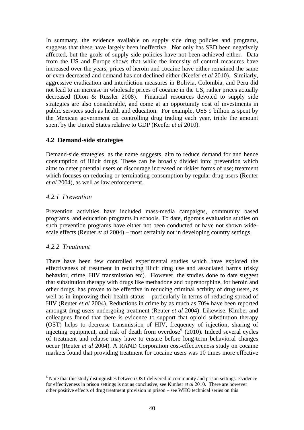In summary, the evidence available on supply side drug policies and programs, suggests that these have largely been ineffective. Not only has SED been negatively affected, but the goals of supply side policies have not been achieved either. Data from the US and Europe shows that while the intensity of control measures have increased over the years, prices of heroin and cocaine have either remained the same or even decreased and demand has not declined either (Keefer *et al* 2010). Similarly, aggressive eradication and interdiction measures in Bolivia, Colombia, and Peru did not lead to an increase in wholesale prices of cocaine in the US, rather prices actually decreased (Dion & Russler 2008). Financial resources devoted to supply side strategies are also considerable, and come at an opportunity cost of investments in public services such as health and education. For example, US\$ 9 billion is spent by the Mexican government on controlling drug trading each year, triple the amount spent by the United States relative to GDP (Keefer *et al* 2010).

## **4.2 Demand-side strategies**

Demand-side strategies, as the name suggests, aim to reduce demand for and hence consumption of illicit drugs. These can be broadly divided into: prevention which aims to deter potential users or discourage increased or riskier forms of use; treatment which focuses on reducing or terminating consumption by regular drug users (Reuter *et al* 2004), as well as law enforcement.

## *4.2.1 Prevention*

Prevention activities have included mass-media campaigns, community based programs, and education programs in schools. To date, rigorous evaluation studies on such prevention programs have either not been conducted or have not shown widescale effects (Reuter *et al* 2004) – most certainly not in developing country settings.

### *4.2.2 Treatment*

 $\overline{a}$ 

There have been few controlled experimental studies which have explored the effectiveness of treatment in reducing illicit drug use and associated harms (risky behavior, crime, HIV transmission etc). However, the studies done to date suggest that substitution therapy with drugs like methadone and buprenorphine, for heroin and other drugs, has proven to be effective in reducing criminal activity of drug users, as well as in improving their health status – particularly in terms of reducing spread of HIV (Reuter *et al* 2004). Reductions in crime by as much as 70% have been reported amongst drug users undergoing treatment (Reuter *et al* 2004). Likewise, Kimber and colleagues found that there is evidence to support that opioid substitution therapy (OST) helps to decrease transmission of HIV, frequency of injection, sharing of injecting equipment, and risk of death from overdose $6(2010)$  $6(2010)$ . Indeed several cycles of treatment and relapse may have to ensure before long-term behavioral changes occur (Reuter *et al* 2004). A RAND Corporation cost-effectiveness study on cocaine markets found that providing treatment for cocaine users was 10 times more effective

<span id="page-51-0"></span><sup>&</sup>lt;sup>6</sup> Note that this study distinguishes between OST delivered in community and prison settings. Evidence for effectiveness in prison settings is not as conclusive, see Kimber *et al* 2010. There are however other positive effects of drug treatment provision in prison – see WHO technical series on this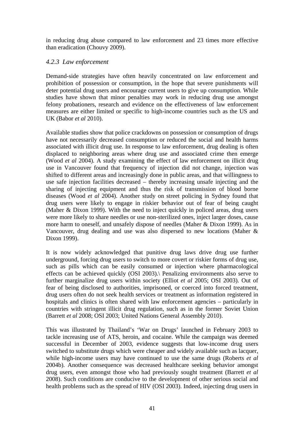in reducing drug abuse compared to law enforcement and 23 times more effective than eradication (Chouvy 2009).

### *4.2.3 Law enforcement*

Demand-side strategies have often heavily concentrated on law enforcement and prohibition of possession or consumption, in the hope that severe punishments will deter potential drug users and encourage current users to give up consumption. While studies have shown that minor penalties may work in reducing drug use amongst felony probationers, research and evidence on the effectiveness of law enforcement measures are either limited or specific to high-income countries such as the US and UK (Babor *et al* 2010).

Available studies show that police crackdowns on possession or consumption of drugs have not necessarily decreased consumption or reduced the social and health harms associated with illicit drug use. In response to law enforcement, drug dealing is often displaced to neighboring areas where drug use and associated crime then emerge (Wood *et al* 2004). A study examining the effect of law enforcement on illicit drug use in Vancouver found that frequency of injection did not change, injection was shifted to different areas and increasingly done in public areas, and that willingness to use safe injection facilities decreased – thereby increasing unsafe injecting and the sharing of injecting equipment and thus the risk of transmission of blood borne diseases (Wood *et al* 2004). Another study on street policing in Sydney found that drug users were likely to engage in riskier behavior out of fear of being caught (Maher & Dixon 1999). With the need to inject quickly in policed areas, drug users were more likely to share needles or use non-sterilized ones, inject larger doses, cause more harm to oneself, and unsafely dispose of needles (Maher & Dixon 1999). As in Vancouver, drug dealing and use was also dispersed to new locations (Maher & Dixon 1999).

It is now widely acknowledged that punitive drug laws drive drug use further underground, forcing drug users to switch to more covert or riskier forms of drug use, such as pills which can be easily consumed or injection where pharmacological effects can be achieved quickly (OSI 2003).\ Penalizing environments also serve to further marginalize drug users within society (Elliot *et al* 2005; OSI 2003). Out of fear of being disclosed to authorities, imprisoned, or coerced into forced treatment, drug users often do not seek health services or treatment as information registered in hospitals and clinics is often shared with law enforcement agencies – particularly in countries with stringent illicit drug regulation, such as in the former Soviet Union (Barrett *et al* 2008; OSI 2003; United Nations General Assembly 2010).

This was illustrated by Thailand's 'War on Drugs' launched in February 2003 to tackle increasing use of ATS, heroin, and cocaine. While the campaign was deemed successful in December of 2003, evidence suggests that low-income drug users switched to substitute drugs which were cheaper and widely available such as lacquer, while high-income users may have continued to use the same drugs (Roberts *et al* 2004b). Another consequence was decreased healthcare seeking behavior amongst drug users, even amongst those who had previously sought treatment (Barrett *et al* 2008). Such conditions are conducive to the development of other serious social and health problems such as the spread of HIV (OSI 2003). Indeed, injecting drug users in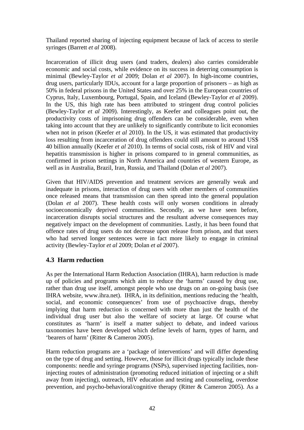Thailand reported sharing of injecting equipment because of lack of access to sterile syringes (Barrett *et al* 2008).

Incarceration of illicit drug users (and traders, dealers) also carries considerable economic and social costs, while evidence on its success in deterring consumption is minimal (Bewley-Taylor *et al* 2009; Dolan *et al* 2007). In high-income countries, drug users, particularly IDUs, account for a large proportion of prisoners – as high as 50% in federal prisons in the United States and over 25% in the European countries of Cyprus, Italy, Luxembourg, Portugal, Spain, and Iceland (Bewley-Taylor *et al* 2009). In the US, this high rate has been attributed to stringent drug control policies (Bewley-Taylor *et al* 2009). Interestingly, as Keefer and colleagues point out, the productivity costs of imprisoning drug offenders can be considerable, even when taking into account that they are unlikely to significantly contribute to licit economies when not in prison (Keefer *et al* 2010). In the US, it was estimated that productivity loss resulting from incarceration of drug offenders could still amount to around US\$ 40 billion annually (Keefer *et al* 2010). In terms of social costs, risk of HIV and viral hepatitis transmission is higher in prisons compared to in general communities, as confirmed in prison settings in North America and countries of western Europe, as well as in Australia, Brazil, Iran, Russia, and Thailand (Dolan *et al* 2007).

Given that HIV/AIDS prevention and treatment services are generally weak and inadequate in prisons, interaction of drug users with other members of communities once released means that transmission can then spread into the general population (Dolan *et al* 2007). These health costs will only worsen conditions in already socioeconomically deprived communities. Secondly, as we have seen before, incarceration disrupts social structures and the resultant adverse consequences may negatively impact on the development of communities. Lastly, it has been found that offence rates of drug users do not decrease upon release from prison, and that users who had served longer sentences were in fact more likely to engage in criminal activity (Bewley-Taylor *et al* 2009; Dolan *et al* 2007).

## **4.3 Harm reduction**

As per the International Harm Reduction Association (IHRA), harm reduction is made up of policies and programs which aim to reduce the 'harms' caused by drug use, rather than drug use itself, amongst people who use drugs on an on-going basis (see IHRA website, www.ihra.net). IHRA, in its definition, mentions reducing the 'health, social, and economic consequences' from use of psychoactive drugs, thereby implying that harm reduction is concerned with more than just the health of the individual drug user but also the welfare of society at large. Of course what constitutes as 'harm' is itself a matter subject to debate, and indeed various taxonomies have been developed which define levels of harm, types of harm, and 'bearers of harm' (Ritter & Cameron 2005).

Harm reduction programs are a 'package of interventions' and will differ depending on the type of drug and setting. However, those for illicit drugs typically include these components: needle and syringe programs (NSPs), supervised injecting facilities, noninjecting routes of administration (promoting reduced initiation of injecting or a shift away from injecting), outreach, HIV education and testing and counseling, overdose prevention, and psycho-behavioral/cognitive therapy (Ritter & Cameron 2005). As a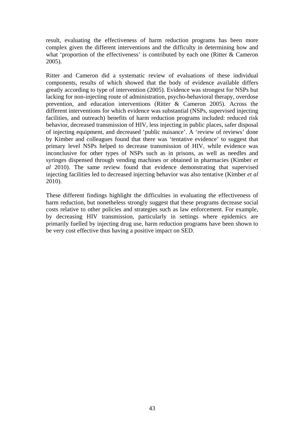result, evaluating the effectiveness of harm reduction programs has been more complex given the different interventions and the difficulty in determining how and what 'proportion of the effectiveness' is contributed by each one (Ritter & Cameron 2005).

Ritter and Cameron did a systematic review of evaluations of these individual components, results of which showed that the body of evidence available differs greatly according to type of intervention (2005). Evidence was strongest for NSPs but lacking for non-injecting route of administration, psycho-behavioral therapy, overdose prevention, and education interventions (Ritter & Cameron 2005). Across the different interventions for which evidence was substantial (NSPs, supervised injecting facilities, and outreach) benefits of harm reduction programs included: reduced risk behavior, decreased transmission of HIV, less injecting in public places, safer disposal of injecting equipment, and decreased 'public nuisance'. A 'review of reviews' done by Kimber and colleagues found that there was 'tentative evidence' to suggest that primary level NSPs helped to decrease transmission of HIV, while evidence was inconclusive for other types of NSPs such as in prisons, as well as needles and syringes dispensed through vending machines or obtained in pharmacies (Kimber *et al* 2010). The same review found that evidence demonstrating that supervised injecting facilities led to decreased injecting behavior was also tentative (Kimber *et al* 2010).

These different findings highlight the difficulties in evaluating the effectiveness of harm reduction, but nonetheless strongly suggest that these programs decrease social costs relative to other policies and strategies such as law enforcement. For example, by decreasing HIV transmission, particularly in settings where epidemics are primarily fuelled by injecting drug use, harm reduction programs have been shown to be very cost effective thus having a positive impact on SED.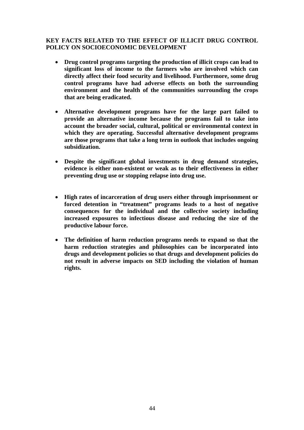#### **KEY FACTS RELATED TO THE EFFECT OF ILLICIT DRUG CONTROL POLICY ON SOCIOECONOMIC DEVELOPMENT**

- **Drug control programs targeting the production of illicit crops can lead to significant loss of income to the farmers who are involved which can directly affect their food security and livelihood. Furthermore, some drug control programs have had adverse effects on both the surrounding environment and the health of the communities surrounding the crops that are being eradicated.**
- **Alternative development programs have for the large part failed to provide an alternative income because the programs fail to take into account the broader social, cultural, political or environmental context in which they are operating. Successful alternative development programs are those programs that take a long term in outlook that includes ongoing subsidization.**
- **Despite the significant global investments in drug demand strategies, evidence is either non-existent or weak as to their effectiveness in either preventing drug use or stopping relapse into drug use.**
- **High rates of incarceration of drug users either through imprisonment or forced detention in "treatment" programs leads to a host of negative consequences for the individual and the collective society including increased exposures to infectious disease and reducing the size of the productive labour force.**
- **The definition of harm reduction programs needs to expand so that the harm reduction strategies and philosophies can be incorporated into drugs and development policies so that drugs and development policies do not result in adverse impacts on SED including the violation of human rights.**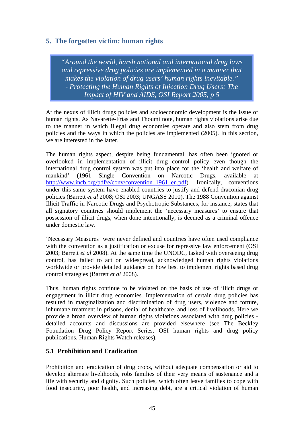# **5. The forgotten victim: human rights**

*"Around the world, harsh national and international drug laws and repressive drug policies are implemented in a manner that makes the violation of drug users' human rights inevitable." - Protecting the Human Rights of Injection Drug Users: The Impact of HIV and AIDS, OSI Report 2005, p 5*

At the nexus of illicit drugs policies and socioeconomic development is the issue of human rights. As Navarette-Frías and Thoumi note, human rights violations arise due to the manner in which illegal drug economies operate and also stem from drug policies and the ways in which the policies are implemented (2005). In this section, we are interested in the latter.

The human rights aspect, despite being fundamental, has often been ignored or overlooked in implementation of illicit drug control policy even though the international drug control system was put into place for the 'health and welfare of mankind' (1961 Single Convention on Narcotic Drugs, available at http://www.incb.org/pdf/e/conv/convention 1961 en.pdf). Ironically, conventions under this same system have enabled countries to justify and defend draconian drug policies (Barrett *et al* 2008; OSI 2003; UNGASS 2010). The 1988 Convention against Illicit Traffic in Narcotic Drugs and Psychotropic Substances, for instance, states that all signatory countries should implement the 'necessary measures' to ensure that possession of illicit drugs, when done intentionally, is deemed as a criminal offence under domestic law.

'Necessary Measures' were never defined and countries have often used compliance with the convention as a justification or excuse for repressive law enforcement (OSI 2003; Barrett *et al* 2008). At the same time the UNODC, tasked with overseeing drug control, has failed to act on widespread, acknowledged human rights violations worldwide or provide detailed guidance on how best to implement rights based drug control strategies (Barrett *et al* 2008).

Thus, human rights continue to be violated on the basis of use of illicit drugs or engagement in illicit drug economies. Implementation of certain drug policies has resulted in marginalization and discrimination of drug users, violence and torture, inhumane treatment in prisons, denial of healthcare, and loss of livelihoods. Here we provide a broad overview of human rights violations associated with drug policies detailed accounts and discussions are provided elsewhere (see The Beckley Foundation Drug Policy Report Series, OSI human rights and drug policy publications, Human Rights Watch releases).

## **5.1 Prohibition and Eradication**

Prohibition and eradication of drug crops, without adequate compensation or aid to develop alternate livelihoods, robs families of their very means of sustenance and a life with security and dignity. Such policies, which often leave families to cope with food insecurity, poor health, and increasing debt, are a critical violation of human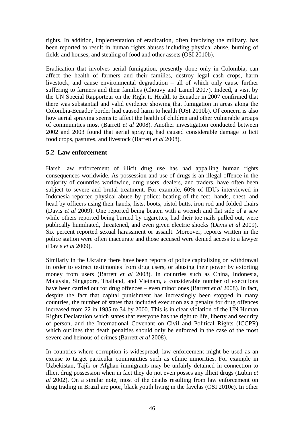rights. In addition, implementation of eradication, often involving the military, has been reported to result in human rights abuses including physical abuse, burning of fields and houses, and stealing of food and other assets (OSI 2010b).

Eradication that involves aerial fumigation, presently done only in Colombia, can affect the health of farmers and their families, destroy legal cash crops, harm livestock, and cause environmental degradation – all of which only cause further suffering to farmers and their families (Chouvy and Laniel 2007). Indeed, a visit by the UN Special Rapporteur on the Right to Health to Ecuador in 2007 confirmed that there was substantial and valid evidence showing that fumigation in areas along the Colombia-Ecuador border had caused harm to health (OSI 2010b). Of concern is also how aerial spraying seems to affect the health of children and other vulnerable groups of communities most (Barrett *et al* 2008). Another investigation conducted between 2002 and 2003 found that aerial spraying had caused considerable damage to licit food crops, pastures, and livestock (Barrett *et al* 2008).

## **5.2 Law enforcement**

Harsh law enforcement of illicit drug use has had appalling human rights consequences worldwide. As possession and use of drugs is an illegal offence in the majority of countries worldwide, drug users, dealers, and traders, have often been subject to severe and brutal treatment. For example, 60% of IDUs interviewed in Indonesia reported physical abuse by police: beating of the feet, hands, chest, and head by officers using their hands, fists, boots, pistol butts, iron rod and folded chairs (Davis *et al* 2009). One reported being beaten with a wrench and flat side of a saw while others reported being burned by cigarettes, had their toe nails pulled out, were publically humiliated, threatened, and even given electric shocks (Davis *et al* 2009). Six percent reported sexual harassment or assault. Moreover, reports written in the police station were often inaccurate and those accused were denied access to a lawyer (Davis *et al* 2009).

Similarly in the Ukraine there have been reports of police capitalizing on withdrawal in order to extract testimonies from drug users, or abusing their power by extorting money from users (Barrett *et al* 2008). In countries such as China, Indonesia, Malaysia, Singapore, Thailand, and Vietnam, a considerable number of executions have been carried out for drug offences – even minor ones (Barrett *et al* 2008). In fact, despite the fact that capital punishment has increasingly been stopped in many countries, the number of states that included execution as a penalty for drug offences increased from 22 in 1985 to 34 by 2000. This is in clear violation of the UN Human Rights Declaration which states that everyone has the right to life, liberty and security of person*,* and the International Covenant on Civil and Political Rights (ICCPR) which outlines that death penalties should only be enforced in the case of the most severe and heinous of crimes (Barrett *et al* 2008).

In countries where corruption is widespread, law enforcement might be used as an excuse to target particular communities such as ethnic minorities. For example in Uzbekistan, Tajik or Afghan immigrants may be unfairly detained in connection to illicit drug possession when in fact they do not even posses any illicit drugs (Lubin *et al* 2002). On a similar note, most of the deaths resulting from law enforcement on drug trading in Brazil are poor, black youth living in the favelas (OSI 2010c). In other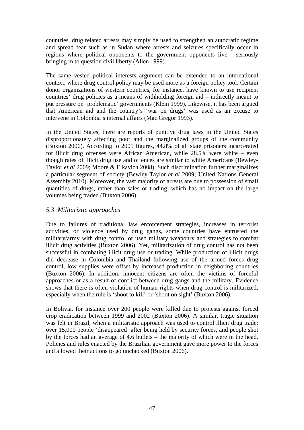countries, drug related arrests may simply be used to strengthen an autocratic regime and spread fear such as in Sudan where arrests and seizures specifically occur in regions where political opponents to the government opponents live - seriously bringing in to question civil liberty (Allen 1999).

The same vested political interests argument can be extended to an international context, where drug control policy may be used more as a foreign policy tool. Certain donor organizations of western countries, for instance, have known to use recipient countries' drug policies as a means of withholding foreign aid – indirectly meant to put pressure on 'problematic' governments (Klein 1999). Likewise, it has been argued that American aid and the country's 'war on drugs' was used as an excuse to intervene in Colombia's internal affairs (Mac Gregor 1993).

In the United States, there are reports of punitive drug laws in the United States disproportionately affecting poor and the marginalized groups of the community (Buxton 2006). According to 2005 figures, 44.8% of all state prisoners incarcerated for illicit drug offenses were African American, while 28.5% were white – even though rates of illicit drug use and offences are similar to white Americans (Bewley-Taylor *et al* 2009; Moore & Elkavich 2008). Such discrimination further marginalizes a particular segment of society (Bewley-Taylor *et al* 2009; United Nations General Assembly 2010). Moreover, the vast majority of arrests are due to possession of small quantities of drugs, rather than sales or trading, which has no impact on the large volumes being traded (Buxton 2006).

## *5.3 Militaristic approaches*

Due to failures of traditional law enforcement strategies, increases in terrorist activities, or violence used by drug gangs, some countries have entrusted the military/army with drug control or used military weaponry and strategies to combat illicit drug activities (Buxton 2006). Yet, militarization of drug control has not been successful in combating illicit drug use or trading. While production of illicit drugs did decrease in Colombia and Thailand following use of the armed forces drug control, low supplies were offset by increased production in neighboring countries (Buxton 2006). In addition, innocent citizens are often the victims of forceful approaches or as a result of conflict between drug gangs and the military. Evidence shows that there is often violation of human rights when drug control is militarized, especially when the rule is 'shoot to kill' or 'shoot on sight' (Buxton 2006).

In Bolivia, for instance over 200 people were killed due to protests against forced crop eradication between 1999 and 2002 (Buxton 2006). A similar, tragic situation was felt in Brazil, when a militaristic approach was used to control illicit drug trade: over 15,000 people 'disappeared' after being held by security forces, and people shot by the forces had an average of 4.6 bullets – the majority of which were in the head. Policies and rules enacted by the Brazilian government gave more power to the forces and allowed their actions to go unchecked (Buxton 2006).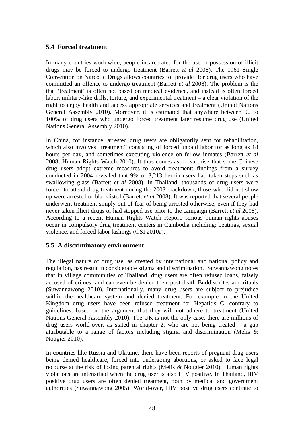## **5.4 Forced treatment**

In many countries worldwide, people incarcerated for the use or possession of illicit drugs may be forced to undergo treatment (Barrett *et al* 2008). The 1961 Single Convention on Narcotic Drugs allows countries to 'provide' for drug users who have committed an offence to undergo treatment (Barrett *et al* 2008). The problem is the that 'treatment' is often not based on medical evidence, and instead is often forced labor, military-like drills, torture, and experimental treatment – a clear violation of the right to enjoy health and access appropriate services and treatment (United Nations General Assembly 2010). Moreover, it is estimated that anywhere between 90 to 100% of drug users who undergo forced treatment later resume drug use (United Nations General Assembly 2010).

In China, for instance, arrested drug users are obligatorily sent for rehabilitation, which also involves "treatment" consisting of forced unpaid labor for as long as 18 hours per day, and sometimes executing violence on fellow inmates (Barrett *et al* 2008; Human Rights Watch 2010). It thus comes as no surprise that some Chinese drug users adopt extreme measures to avoid treatment: findings from a survey conducted in 2004 revealed that 9% of 3,213 heroin users had taken steps such as swallowing glass (Barrett *et al* 2008). In Thailand, thousands of drug users were forced to attend drug treatment during the 2003 crackdown, those who did not show up were arrested or blacklisted (Barrett *et al* 2008). It was reported that several people underwent treatment simply out of fear of being arrested otherwise, even if they had never taken illicit drugs or had stopped use prior to the campaign (Barrett *et al* 2008). According to a recent Human Rights Watch Report, serious human rights abuses occur in compulsory drug treatment centers in Cambodia including: beatings, sexual violence, and forced labor lashings (OSI 2010a).

## **5.5 A discriminatory environment**

The illegal nature of drug use, as created by international and national policy and regulation, has result in considerable stigma and discrimination. Suwannawong notes that in village communities of Thailand, drug users are often refused loans, falsely accused of crimes, and can even be denied their post-death Buddist rites and rituals (Suwannawong 2010). Internationally, many drug users are subject to prejudice within the healthcare system and denied treatment. For example in the United Kingdom drug users have been refused treatment for Hepatitis C, contrary to guidelines, based on the argument that they will not adhere to treatment (United Nations General Assembly 2010). The UK is not the only case, there are millions of drug users world-over, as stated in chapter 2, who are not being treated  $-$  a gap attributable to a range of factors including stigma and discrimination (Melis & Nougier 2010).

In countries like Russia and Ukraine, there have been reports of pregnant drug users being denied healthcare, forced into undergoing abortions, or asked to face legal recourse at the risk of losing parental rights (Melis & Nougier 2010). Human rights violations are intensified when the drug user is also HIV positive. In Thailand, HIV positive drug users are often denied treatment, both by medical and government authorities (Suwannawong 2005). World-over, HIV positive drug users continue to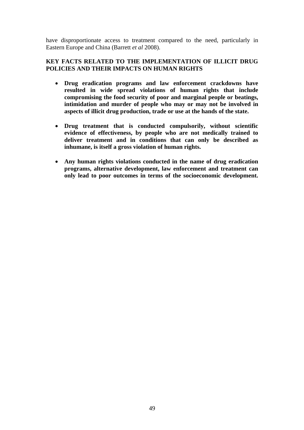have disproportionate access to treatment compared to the need, particularly in Eastern Europe and China (Barrett *et al* 2008).

### **KEY FACTS RELATED TO THE IMPLEMENTATION OF ILLICIT DRUG POLICIES AND THEIR IMPACTS ON HUMAN RIGHTS**

- **Drug eradication programs and law enforcement crackdowns have resulted in wide spread violations of human rights that include compromising the food security of poor and marginal people or beatings, intimidation and murder of people who may or may not be involved in aspects of illicit drug production, trade or use at the hands of the state.**
- **Drug treatment that is conducted compulsorily, without scientific evidence of effectiveness, by people who are not medically trained to deliver treatment and in conditions that can only be described as inhumane, is itself a gross violation of human rights.**
- **Any human rights violations conducted in the name of drug eradication programs, alternative development, law enforcement and treatment can only lead to poor outcomes in terms of the socioeconomic development.**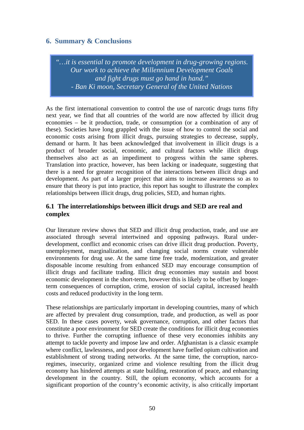## **6. Summary & Conclusions**

*"…it is essential to promote development in drug-growing regions. Our work to achieve the Millennium Development Goals and fight drugs must go hand in hand." - Ban Ki moon, Secretary General of the United Nations*

As the first international convention to control the use of narcotic drugs turns fifty next year, we find that all countries of the world are now affected by illicit drug economies – be it production, trade, or consumption (or a combination of any of these). Societies have long grappled with the issue of how to control the social and economic costs arising from illicit drugs, pursuing strategies to decrease, supply, demand or harm. It has been acknowledged that involvement in illicit drugs is a product of broader social, economic, and cultural factors while illicit drugs themselves also act as an impediment to progress within the same spheres. Translation into practice, however, has been lacking or inadequate, suggesting that there is a need for greater recognition of the interactions between illicit drugs and development. As part of a larger project that aims to increase awareness so as to ensure that theory is put into practice, this report has sought to illustrate the complex relationships between illicit drugs, drug policies, SED, and human rights.

## **6.1 The interrelationships between illicit drugs and SED are real and complex**

Our literature review shows that SED and illicit drug production, trade, and use are associated through several intertwined and opposing pathways. Rural underdevelopment, conflict and economic crises can drive illicit drug production. Poverty, unemployment, marginalization, and changing social norms create vulnerable environments for drug use. At the same time free trade, modernization, and greater disposable income resulting from enhanced SED may encourage consumption of illicit drugs and facilitate trading. Illicit drug economies may sustain and boost economic development in the short-term, however this is likely to be offset by longerterm consequences of corruption, crime, erosion of social capital, increased health costs and reduced productivity in the long term.

These relationships are particularly important in developing countries, many of which are affected by prevalent drug consumption, trade, and production, as well as poor SED. In these cases poverty, weak governance, corruption, and other factors that constitute a poor environment for SED create the conditions for illicit drug economies to thrive. Further the corrupting influence of these very economies inhibits any attempt to tackle poverty and impose law and order. Afghanistan is a classic example where conflict, lawlessness, and poor development have fuelled opium cultivation and establishment of strong trading networks. At the same time, the corruption, narcoregimes, insecurity, organized crime and violence resulting from the illicit drug economy has hindered attempts at state building, restoration of peace, and enhancing development in the country. Still, the opium economy, which accounts for a significant proportion of the country's economic activity, is also critically important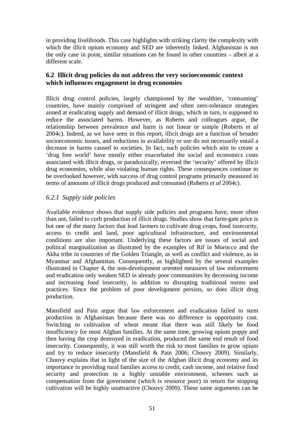in providing livelihoods. This case highlights with striking clarity the complexity with which the illicit opium economy and SED are inherently linked. Afghanistan is not the only case in point, similar situations can be found in other countries – albeit at a different scale.

## **6.2 Illicit drug policies do not address the very socioeconomic context which influences engagement in drug economies**

Illicit drug control policies, largely championed by the wealthier, 'consuming' countries, have mainly comprised of stringent and often zero-tolerance strategies aimed at eradicating supply and demand of illicit drugs, which in turn, is supposed to reduce the associated harms. However, as Roberts and colleagues argue, the relationship between prevalence and harm is not linear or simple (Roberts *et al* 2004c). Indeed, as we have seen in this report, illicit drugs are a function of broader socioeconomic issues, and reductions in availability or use do not necessarily entail a decrease in harms caused to societies. In fact, such policies which aim to create a 'drug free world' have mostly either exacerbated the social and economics costs associated with illicit drugs, or paradoxically, reversed the 'security' offered by illicit drug economies, while also violating human rights. These consequences continue to be overlooked however, with success of drug control programs primarily measured in terms of amounts of illicit drugs produced and consumed (Roberts *et al* 2004c).

## *6.2.1 Supply side policies*

Available evidence shows that supply side policies and programs have, more often than not, failed to curb production of illicit drugs. Studies show that farm-gate price is but one of the many factors that lead farmers to cultivate drug crops, food insecurity, access to credit and land, poor agricultural infrastructure, and environmental conditions are also important. Underlying these factors are issues of social and political marginalization as illustrated by the examples of Rif in Morocco and the Akha tribe in countries of the Golden Triangle, as well as conflict and violence, as in Myanmar and Afghanistan. Consequently, as highlighted by the several examples illustrated in Chapter 4, the non-development oriented measures of law enforcement and eradication only weaken SED in already poor communities by decreasing income and increasing food insecurity, in addition to disrupting traditional norms and practices. Since the problem of poor development persists, so does illicit drug production.

Mansfield and Pain argue that law enforcement and eradication failed to stem production in Afghanistan because there was no difference in opportunity cost. Switching to cultivation of wheat meant that there was still likely be food insufficiency for most Afghan families. At the same time, growing opium poppy and then having the crop destroyed in eradication, produced the same end result of food insecurity. Consequently, it was still worth the risk to most families to grow opium and try to reduce insecurity (Mansfield & Pain 2006; Chouvy 2009). Similarly, Chouvy explains that in light of the size of the Afghan illicit drug economy and its importance in providing rural families access to credit, cash income, and relative food security and protection in a highly unstable environment, schemes such as compensation from the government (which is resource poor) in return for stopping cultivation will be highly unattractive (Chouvy 2009). These same arguments can be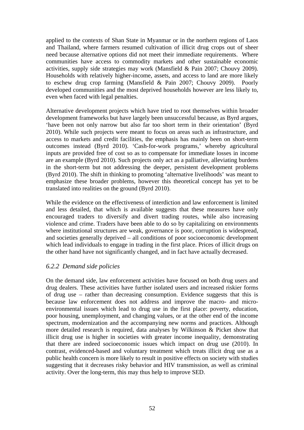applied to the contexts of Shan State in Myanmar or in the northern regions of Laos and Thailand, where farmers resumed cultivation of illicit drug crops out of sheer need because alternative options did not meet their immediate requirements. Where communities have access to commodity markets and other sustainable economic activities, supply side strategies may work (Mansfield & Pain 2007; Chouvy 2009). Households with relatively higher-income, assets, and access to land are more likely to eschew drug crop farming (Mansfield & Pain 2007; Chouvy 2009). Poorly developed communities and the most deprived households however are less likely to, even when faced with legal penalties.

Alternative development projects which have tried to root themselves within broader development frameworks but have largely been unsuccessful because, as Byrd argues, 'have been not only narrow but also far too short term in their orientation' (Byrd 2010). While such projects were meant to focus on areas such as infrastructure, and access to markets and credit facilities, the emphasis has mainly been on short-term outcomes instead (Byrd 2010). 'Cash-for-work programs,' whereby agricultural inputs are provided free of cost so as to compensate for immediate losses in income are an example (Byrd 2010). Such projects only act as a palliative, alleviating burdens in the short-term but not addressing the deeper, persistent development problems (Byrd 2010). The shift in thinking to promoting 'alternative livelihoods' was meant to emphasize these broader problems, however this theoretical concept has yet to be translated into realities on the ground (Byrd 2010).

While the evidence on the effectiveness of interdiction and law enforcement is limited and less detailed, that which is available suggests that these measures have only encouraged traders to diversify and divert trading routes, while also increasing violence and crime. Traders have been able to do so by capitalizing on environments where institutional structures are weak, governance is poor, corruption is widespread, and societies generally deprived – all conditions of poor socioeconomic development which lead individuals to engage in trading in the first place. Prices of illicit drugs on the other hand have not significantly changed, and in fact have actually decreased.

### *6.2.2 Demand side policies*

On the demand side, law enforcement activities have focused on both drug users and drug dealers. These activities have further isolated users and increased riskier forms of drug use – rather than decreasing consumption. Evidence suggests that this is because law enforcement does not address and improve the macro- and microenvironmental issues which lead to drug use in the first place: poverty, education, poor housing, unemployment, and changing values, or at the other end of the income spectrum, modernization and the accompanying new norms and practices. Although more detailed research is required, data analyses by Wilkinson & Picket show that illicit drug use is higher in societies with greater income inequality, demonstrating that there are indeed socioeconomic issues which impact on drug use (2010). In contrast, evidenced-based and voluntary treatment which treats illicit drug use as a public health concern is more likely to result in positive effects on society with studies suggesting that it decreases risky behavior and HIV transmission, as well as criminal activity. Over the long-term, this may thus help to improve SED.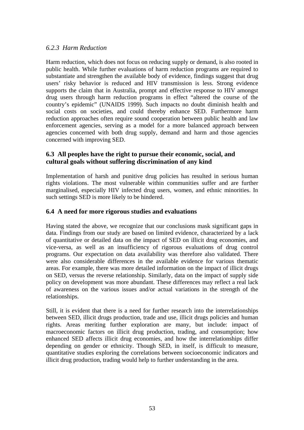## *6.2.3 Harm Reduction*

Harm reduction, which does not focus on reducing supply or demand, is also rooted in public health. While further evaluations of harm reduction programs are required to substantiate and strengthen the available body of evidence, findings suggest that drug users' risky behavior is reduced and HIV transmission is less. Strong evidence supports the claim that in Australia, prompt and effective response to HIV amongst drug users through harm reduction programs in effect "altered the course of the country's epidemic" (UNAIDS 1999). Such impacts no doubt diminish health and social costs on societies, and could thereby enhance SED. Furthermore harm reduction approaches often require sound cooperation between public health and law enforcement agencies, serving as a model for a more balanced approach between agencies concerned with both drug supply, demand and harm and those agencies concerned with improving SED.

## **6.3 All peoples have the right to pursue their economic, social, and cultural goals without suffering discrimination of any kind**

Implementation of harsh and punitive drug policies has resulted in serious human rights violations. The most vulnerable within communities suffer and are further marginalised, especially HIV infected drug users, women, and ethnic minorities. In such settings SED is more likely to be hindered.

## **6.4 A need for more rigorous studies and evaluations**

Having stated the above, we recognize that our conclusions mask significant gaps in data. Findings from our study are based on limited evidence, characterized by a lack of quantitative or detailed data on the impact of SED on illicit drug economies, and vice-versa, as well as an insufficiency of rigorous evaluations of drug control programs. Our expectation on data availability was therefore also validated. There were also considerable differences in the available evidence for various thematic areas. For example, there was more detailed information on the impact of illicit drugs on SED, versus the reverse relationship. Similarly, data on the impact of supply side policy on development was more abundant. These differences may reflect a real lack of awareness on the various issues and/or actual variations in the strength of the relationships.

Still, it is evident that there is a need for further research into the interrelationships between SED, illicit drugs production, trade and use, illicit drugs policies and human rights. Areas meriting further exploration are many, but include: impact of macroeconomic factors on illicit drug production, trading, and consumption; how enhanced SED affects illicit drug economies, and how the interrelationships differ depending on gender or ethnicity. Though SED, in itself, is difficult to measure, quantitative studies exploring the correlations between socioeconomic indicators and illicit drug production, trading would help to further understanding in the area.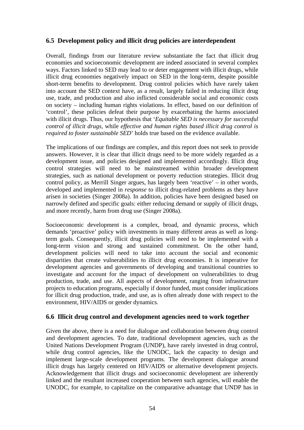## **6.5 Development policy and illicit drug policies are interdependent**

Overall, findings from our literature review substantiate the fact that illicit drug economies and socioeconomic development are indeed associated in several complex ways. Factors linked to SED may lead to or deter engagement with illicit drugs, while illicit drug economies negatively impact on SED in the long-term, despite possible short-term benefits to development. Drug control policies which have rarely taken into account the SED context have, as a result, largely failed in reducing illicit drug use, trade, and production and also inflicted considerable social and economic costs on society – including human rights violations. In effect, based on our definition of 'control', these policies defeat their purpose by exacerbating the harms associated with illicit drugs. Thus, our hypothesis that '*Equitable SED is necessary for successful control of illicit drugs,* while *effective and human rights based illicit drug control is required to foster sustainable SED*' holds true based on the evidence available.

The implications of our findings are complex, and this report does not seek to provide answers. However, it is clear that illicit drugs need to be more widely regarded as a development issue, and policies designed and implemented accordingly. Illicit drug control strategies will need to be mainstreamed within broader development strategies, such as national development or poverty reduction strategies. Illicit drug control policy, as Merrill Singer argues, has largely been 'reactive' – in other words, developed and implemented in *response* to illicit drug-related problems as they have arisen in societies (Singer 2008a). In addition, policies have been designed based on narrowly defined and specific goals: either reducing demand or supply of illicit drugs, and more recently, harm from drug use (Singer 2008a).

Socioeconomic development is a complex, broad, and dynamic process, which demands 'proactive' policy with investments in many different areas as well as longterm goals. Consequently, illicit drug policies will need to be implemented with a long-term vision and strong and sustained commitment. On the other hand, development policies will need to take into account the social and economic disparities that create vulnerabilities to illicit drug economies. It is imperative for development agencies and governments of developing and transitional countries to investigate and account for the impact of development on vulnerabilities to drug production, trade, and use. All aspects of development, ranging from infrastructure projects to education programs, especially if donor funded, must consider implications for illicit drug production, trade, and use, as is often already done with respect to the environment, HIV/AIDS or gender dynamics.

## **6.6 Illicit drug control and development agencies need to work together**

Given the above, there is a need for dialogue and collaboration between drug control and development agencies. To date, traditional development agencies, such as the United Nations Development Program (UNDP), have rarely invested in drug control, while drug control agencies, like the UNODC, lack the capacity to design and implement large-scale development programs. The development dialogue around illicit drugs has largely centered on HIV/AIDS or alternative development projects. Acknowledgement that illicit drugs and socioeconomic development are inherently linked and the resultant increased cooperation between such agencies, will enable the UNODC, for example, to capitalize on the comparative advantage that UNDP has in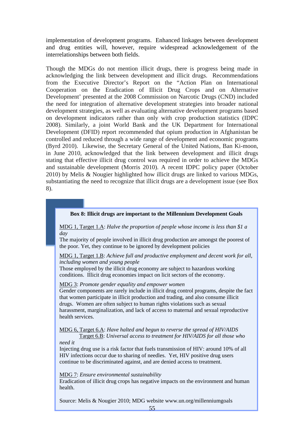implementation of development programs. Enhanced linkages between development and drug entities will, however, require widespread acknowledgement of the interrelationships between both fields.

Though the MDGs do not mention illicit drugs, there is progress being made in acknowledging the link between development and illicit drugs. Recommendations from the Executive Director's Report on the "Action Plan on International Cooperation on the Eradication of Illicit Drug Crops and on Alternative Development' presented at the 2008 Commission on Narcotic Drugs (CND) included the need for integration of alternative development strategies into broader national development strategies, as well as evaluating alternative development programs based on development indicators rather than only with crop production statistics (IDPC 2008). Similarly, a joint World Bank and the UK Department for International Development (DFID) report recommended that opium production in Afghanistan be controlled and reduced through a wide range of development and economic programs (Byrd 2010). Likewise, the Secretary General of the United Nations, Ban Ki-moon, in June 2010, acknowledged that the link between development and illicit drugs stating that effective illicit drug control was required in order to achieve the MDGs and sustainable development (Morris 2010). A recent IDPC policy paper (October 2010) by Melis & Nougier highlighted how illicit drugs are linked to various MDGs, substantiating the need to recognize that illicit drugs are a development issue (see Box 8).

#### **Box 8: Illicit drugs are important to the Millennium Development Goals**

MDG 1, Target 1.A: *Halve the proportion of people whose income is less than \$1 a day*

The majority of people involved in illicit drug production are amongst the poorest of the poor. Yet, they continue to be ignored by development policies

MDG 1, Target 1.B: *Achieve full and productive employment and decent work for all, including women and young people*

Those employed by the illicit drug economy are subject to hazardous working conditions. Illicit drug economies impact on licit sectors of the economy.

MDG 3: *Promote gender equality and empower women*

Gender components are rarely include in illicit drug control programs, despite the fact that women participate in illicit production and trading, and also consume illicit drugs. Women are often subject to human rights violations such as sexual harassment, marginalization, and lack of access to maternal and sexual reproductive health services.

MDG 6, Target 6.A: *Have halted and begun to reverse the spread of HIV/AIDS*

 Target 6.B: *Universal access to treatment for HIV/AIDS for all those who need it*

Injecting drug use is a risk factor that fuels transmission of HIV: around 10% of all HIV infections occur due to sharing of needles. Yet, HIV positive drug users continue to be discriminated against, and are denied access to treatment.

#### MDG 7: *Ensure environmental sustainability*

Eradication of illicit drug crops has negative impacts on the environment and human health.

Source: Melis & Nougier 2010; MDG website www.un.org/millenniumgoals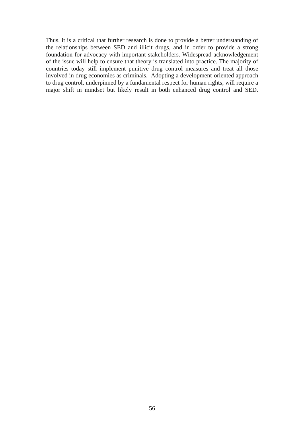Thus, it is a critical that further research is done to provide a better understanding of the relationships between SED and illicit drugs, and in order to provide a strong foundation for advocacy with important stakeholders. Widespread acknowledgement of the issue will help to ensure that theory is translated into practice. The majority of countries today still implement punitive drug control measures and treat all those involved in drug economies as criminals. Adopting a development-oriented approach to drug control, underpinned by a fundamental respect for human rights, will require a major shift in mindset but likely result in both enhanced drug control and SED.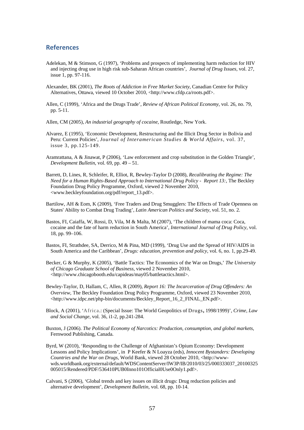#### **References**

- Adelekan, M & Stimson, G (1997), 'Problems and prospects of implementing harm reduction for HIV and injecting drug use in high risk sub-Saharan African countries', *Journal of Drug Issues,* vol. 27, issue 1, pp. 97-116.
- Alexander, BK (2001), *The Roots of Addiction in Free Market Society*, Canadian Centre for Policy Alternatives, Ottawa, viewed 10 October 2010, [<http://www.cfdp.ca/roots.pdf>](http://www.cfdp.ca/roots.pdf).
- Allen, C (1999), 'Africa and the Drugs Trade', *Review of African Political Economy*, vol. 26, no. 79, pp. 5-11.
- Allen, CM (2005), *An industrial geography of cocaine,* Routledge, New York.
- Alvarez, E (1995), 'Economic Development, Restructuring and the Illicit Drug Sector in Bolivia and Peru: Current Policies', *Journal of Interamerican Studies & World Affairs*, vol. 37, issue 3, pp.125-149.
- Aramrattana, A & Jinawat, P (2006), 'Law enforcement and crop substitution in the Golden Triangle', *Development Bulletin*, vol. 69, pp. 49 – 51.
- Barrett, D, Lines, R, Schleifer, R, Elliot, R, Bewley-Taylor D (2008), *Recalibrating the Regime: The Need for a Human Rights-Based Approach to International Drug Policy - Report 13:*, The Beckley Foundation Drug Policy Programme*,* Oxford, viewed 2 November 2010, <[www.beckleyfoundation.org/pdf/report\\_13.pdf>](http://www.beckleyfoundation.org/pdf/report_13.pdf).
- Bartilow, AH & Eom, K (2009), 'Free Traders and Drug Smugglers: The Effects of Trade Openness on States' Ability to Combat Drug Trading', *Latin American Politics and Society*, vol. 51, no. 2.
- Bastos, FI, Caiaffa, W, Rossi, D, Vila, M & Malta, M (2007), 'The children of mama coca: Coca, cocaine and the fate of harm reduction in South America', *International Journal of Drug Policy,* vol. 18, pp. 99–106.
- Bastos, FI, Strathdee, SA, Derrico, M & Pina, MD (1999), 'Drug Use and the Spread of HIV/AIDS in South America and the Caribbean', *Drugs: education, prevention and policy*, vol. 6, no. 1, pp.29-49.
- Becker, G & Murphy, K (2005), 'Battle Tactics: The Economics of the War on Drugs,' *The University of Chicago Graduate School of Business*, viewed 2 November 2010, <http://www.chicagobooth.edu/capideas/may05/battletactics.html>.
- Bewley-Taylor, D, Hallam, C, Allen, R (2009), *Report 16: The Incarceration of Drug Offenders: An Overview,* The Beckley Foundation Drug Policy Programme, Oxford, viewed 23 November 2010, <[http://www.idpc.net/php-bin/documents/Beckley\\_Report\\_16\\_2\\_FINAL\\_EN.pdf>](http://www.idpc.net/php-bin/documents/Beckley_Report_16_2_FINAL_EN.pdf).
- Block, A (2001), 'Africa.: (Special Issue: The World Geopolitics of Drugs**,** 1998/1999)', *Crime, Law and Social Change*, vol. 36, i1-2, pp.241-284.
- Buxton, J (2006). *The Political Economy of Narcotics: Production, consumption, and global markets*, Fernwood Publishing, Canada.
- Byrd, W (2010), 'Responding to the Challenge of Afghanistan's Opium Economy: Development Lessons and Policy Implications', in P Keefer & N Loayza (eds), *Innocent Bystanders: Developing Countries and the War on Drugs*, World Bank, viewed 28 October 2010, <http://wwwwds.worldbank.org/external/default/WDSContentServer/IW3P/IB/2010/03/25/000333037\_20100325 005015/Rendered/PDF/536410PUB0Inno101Official0Use0Only1.pdf>.
- Calvani, S (2006), 'Global trends and key issues on illicit drugs: Drug reduction policies and alternative development', *Development Bulletin,* vol. 68, pp. 10-14.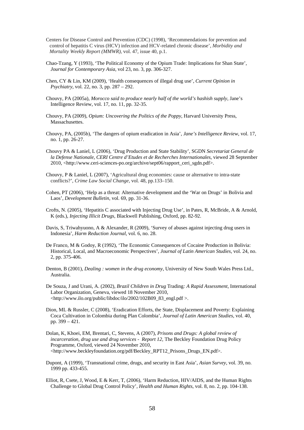- Centers for Disease Control and Prevention (CDC) (1998), 'Recommendations for prevention and control of hepatitis C virus (HCV) infection and HCV-related chronic disease', *Morbidity and Mortality Weekly Report (MMWR)*, vol. 47, issue 40, p.1.
- Chao-Tzang, Y (1993), 'The Political Economy of the Opium Trade: Implications for Shan State', *Journal for Contemporary Asia*, vol 23, no. 3, pp. 306-327.
- Chen, CY & Lin, KM (2009), 'Health consequences of illegal drug use', *Current Opinion in Psychiatry*, vol. 22, no. 3, pp. 287 – 292.
- Chouvy, PA (2005a), *Morocco said to produce nearly half of the world's hashish supply*, Jane's Intelligence Review, vol. 17, no. 11, pp. 32-35.
- Chouvy, PA (2009), *Opium: Uncovering the Politics of the Poppy*, Harvard University Press, Massachusettes.
- Chouvy, PA, (2005b), 'The dangers of opium eradication in Asia', *Jane's Intelligence Review*, vol. 17, no. 1, pp. 26-27.
- Chouvy PA & Laniel, L (2006), 'Drug Production and State Stability', SGDN *Secretariat General de la Defense Nationale, CERI Centre d'Etudes et de Recherches Internationales*, viewed 28 September 2010, <http://www.ceri-sciences-po.org/archive/sept06/rapport\_ceri\_sgdn.pdf>.
- Chouvy, P & Laniel, L (2007), 'Agricultural drug economies: cause or alternative to intra-state conflicts?', *Crime Law Social Change*, vol. 48, pp.133–150.
- Cohen, PT (2006), 'Help as a threat: Alternative development and the 'War on Drugs' in Bolivia and Laos', *Development Bulletin*, vol. 69, pp. 31-36.
- Crofts, N. (2005), 'Hepatitis C associated with Injecting Drug Use', in Pates, R, McBride, A & Arnold, K (eds.), *Injecting Illicit Drugs,* Blackwell Publishing, Oxford, pp. 82-92.
- Davis, S, Triwahyuono, A & Alexander, R (2009), 'Survey of abuses against injecting drug users in Indonesia', *Harm Reduction Journal,* vol. 6, no. 28.
- De Franco, M & Godoy, R (1992), 'The Economic Consequences of Cocaine Production in Bolivia: Historical, Local, and Macroeconomic Perspectives', *Journal of Latin American Studies*, vol. 24, no. 2, pp. 375-406.
- Denton, B (2001), *Dealing : women in the drug economy*, University of New South Wales Press Ltd., Australia.
- De Souza, J and Urani, A. (2002), *Brazil Children in Drug* Trading*: A Rapid Assessment*, International Labor Organization, Geneva, viewed 18 November 2010, <http://www.ilo.org/public/libdoc/ilo/2002/102B09\_83\_engl.pdf >.
- Dion, ML & Russler, C (2008), 'Eradication Efforts, the State, Displacement and Poverty: Explaining Coca Cultivation in Colombia during Plan Colombia', *Journal of Latin American Studies*, vol. 40, pp. 399 – 421.
- Dolan, K, Khoei, EM, Brentari, C, Stevens, A (2007), *Prisons and Drugs: A global review of incarceration, drug use and drug services - Report 12, The Beckley Foundation Drug Policy* Programme, Oxford, viewed 24 November 2010, <http://www.beckleyfoundation.org/pdf/Beckley\_RPT12\_Prisons\_Drugs\_EN.pdf>.
- Dupont, A (1999), 'Transnational crime, drugs, and security in East Asia', *Asian Survey*, vol. 39, no. 1999 pp. 433-455.
- Elliot, R, Csete, J, Wood, E & Kerr, T, (2006), 'Harm Reduction, HIV/AIDS, and the Human Rights Challenge to Global Drug Control Policy', *Health and Human Rights*, vol. 8, no. 2, pp. 104-138.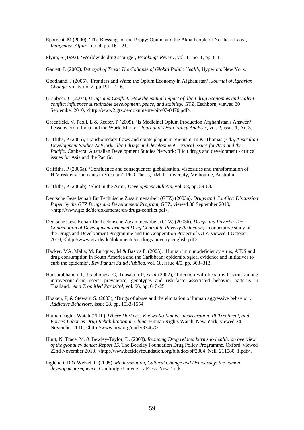- Epprecht, M (2000), 'The Blessings of the Poppy: Opium and the Akha People of Northern Laos', *Indigenous Affairs*, no. 4, pp. 16 – 21.
- Flynn, S (1993), 'Worldwide drug scourge', *Brookings Review*, vol. 11 no. 1, pp. 6-11.
- Garrett, L (2000), *Betrayal of Trust: The Collapse of Global Public Health*, Hyperion, New York.
- Goodhand, J (2005), 'Frontiers and Wars: the Opium Economy in Afghanistan', *Journal of Agrarian Change*, vol. 5, no. 2, pp 191 – 216.
- Graubner, C (2007), *Drugs and Conflict: How the mutual impact of illicit drug economies and violent conflict influences sustainable development, peace, and stability,* GTZ, Eschborn, viewed 30 September 2010, <http://www2.gtz.de/dokumente/bib/07-0470.pdf>.
- Greenfield, V, Paoli, L & Reuter, P (2009), 'Is Medicinal Opium Production Afghanistan's Answer? Lessons From India and the World Market' *Journal of Drug Policy Analysis*, vol. 2, issue 1, Art 3.
- Griffiths, P (2005), Transboundary flows and opiate plague in Vietnam. In K. Thomas (Ed.), *Australian Development Studies Network: Illicit drugs and development - critical issues for Asia and the Pacific*. Canberra: Australian Development Studies Network: Illicit drugs and development - critical issues for Asia and the Pacific.
- Griffiths, P (2006a), 'Confluence and consequence: globalisation, viscosities and transformation of HIV risk environments in Vietnam', PhD Thesis, RMIT University, Melbourne, Australia.

Griffiths, P (2006b), 'Shot in the Arm', *Development Bulletin*, vol. 68, pp. 59-63.

- Deutsche Gesellschaft für Technische Zusammenarbeit (GTZ) (2003a), *Drugs and Conflict: Discussion Paper by the GTZ Drugs and Development Program*, GTZ, viewed 30 September 2010, <[http://www.gtz.de/de/dokumente/en-drugs-conflict.pdf>](http://www.gtz.de/de/dokumente/en-drugs-conflict.pdf).
- Deutsche Gesellschaft für Technische Zusammenarbeit (GTZ) (2003b), *Drugs and Poverty: The Contribution of Development-oriented Drug Control to Poverty Reduction*, a cooperative study of the Drugs and Development Programme and the Cooperation Project of GTZ, viewed 1 October 2010, <[http://www.gtz.de/de/dokumente/en-drugs-poverty-english.pdf>](http://www.gtz.de/de/dokumente/en-drugs-poverty-english.pdf).
- Hacker, MA, Malta, M, Enriquez, M & Bastos F, (2005), 'Human immunodeficiency virus, AIDS and drug consumption in South America and the Caribbean: epidemiological evidence and initiatives to curb the epidemic', *Rev Panam Salud Publica,* vol. 18, issue 4/5, pp. 303–313.
- Hansurabhanon T, Jiraphongsa C, Tunsakun P, *et al* (2002), 'Infection with hepatitis C virus among intravenous-drug users: prevalence, genotypes and risk-factor-associated behavior patterns in Thailand,' *Ann Trop Med Parasitol*, vol. 96, pp. 615-25.
- Hoaken, P, & Stewart, S. (2003), 'Drugs of abuse and the elicitation of human aggressive behavior', *Addictive Behaviors,* issue 28, pp. 1533-1554.
- Human Rights Watch (2010), *Where Darkness Knows No Limits: Incarceration, Ill-Treatment, and Forced Labor as Drug Rehabilitation in China*, Human Rights Watch, New York, viewed 24 November 2010, <http://www.hrw.org/node/87467>.
- Hunt, N, Trace, M, & Bewley-Taylor, D. (2003), *Reducing Drug related harms to health: an overview of the global evidence: Report 15,* The Beckley Foundation Drug Policy Programme, Oxford, viewed 22nd November 2010, <http://www.beckleyfoundation.org/bib/doc/bf/2004 Neil\_211080\_1.pdf>.
- Inglehart, R & Welzel, C (2005), *Modernization, Cultural Change and Democracy: the human development sequence*, Cambridge University Press, New York.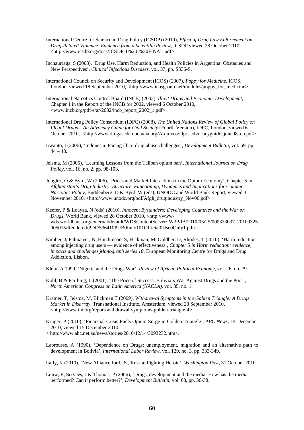- International Centre for Science in Drug Policy (ICSDP) (2010), *Effect of Drug Law Enforcement on Drug-Related Violence: Evidence from a Scientific Review*, ICSDP viewed 28 October 2010, <http://www.icsdp.org/docs/ICSDP-1%20-%20FINAL.pdf>.
- Inchaurraga, S (2003), 'Drug Use, Harm Reduction, and Health Policies in Argentina: Obstacles and New Perspectives', *Clinical Infectious Diseases*, vol. 37, pp. S336-S.
- International Council on Security and Development (ICOS) (2007), *Poppy for Medicine*, ICOS, London, viewed 18 September 2010, <http://www.icosgroup.net/modules/poppy\_for\_medicine>
- International Narcotics Control Board (INCB) (2002), *Illicit Drugs and Economic Development*, Chapter 1 in the Report of the INCB for 2002, viewed 6 October 2010, <[www.incb.org/pdf/e/ar/2002/incb\\_report\\_2002\\_1.pdf](http://www.incb.org/pdf/e/ar/2002/incb_report_2002_1.pdf)>.
- International Drug Policy Consortium (IDPC) (2008), *The United Nations Review of Global Policy on Illegal Drugs – An Advocacy Guide for Civil Society* (Fourth Version), IDPC, London, viewed 6 October 2010, <[http://www.drogasedemocracia.org/Arquivos/idpc\\_advocacyguide\\_june08\\_en.pdf](http://www.drogasedemocracia.org/Arquivos/idpc_advocacyguide_june08_en.pdf)>.
- Irwanto, I (2006), 'Indonesia: Facing illicit drug abuse challenges', *Development Bulletin*, vol. 69, pp.  $44 - 48.$
- Jelsma, M (2005), 'Learning Lessons from the Taliban opium ban', *International Journal on Drug Policy*, vol. 16, no. 2, pp. 98-103.
- Jonglez, O & Byrd, W (2006), 'Prices and Market Interactions in the Opium Economy', Chapter 5 in *Afghanistan's Drug Industry: Structure, Functioning, Dynamics and Implications for Counter-Narcotics Policy*, Buddenberg, D & Byrd, W (eds), UNODC and World Bank Report, viewed 3 November 2010, [<http://www.unodc.org/pdf/Afgh\\_drugindustry\\_Nov06.pdf](http://www.unodc.org/pdf/Afgh_drugindustry_Nov06.pdf)>.

Keefer, P & Loayza, N (eds) (2010), *Innocent Bystanders: Developing Countries and the War on Drugs*, World Bank, viewed 28 October 2010, [<http://www](http://www-wds.worldbank.org/external/default/WDSContentServer/IW3P/IB/2010/03/25/000333037_20100325005015/Rendered/PDF/536410PUB0Inno101Official0Use0Only1.pdf)[wds.worldbank.org/external/default/WDSContentServer/IW3P/IB/2010/03/25/000333037\\_20100325](http://www-wds.worldbank.org/external/default/WDSContentServer/IW3P/IB/2010/03/25/000333037_20100325005015/Rendered/PDF/536410PUB0Inno101Official0Use0Only1.pdf) [005015/Rendered/PDF/536410PUB0Inno101Official0Use0Only1.pdf](http://www-wds.worldbank.org/external/default/WDSContentServer/IW3P/IB/2010/03/25/000333037_20100325005015/Rendered/PDF/536410PUB0Inno101Official0Use0Only1.pdf)>.

Kimber, J, Palmateer, N, Hutchinson, S, Hickman, M, Goldber, D, Rhodes, T (2010), 'Harm reduction among injecting drug users — evidence of effectiveness', *Chapter 5 in Harm reduction: evidence, impacts and challenges Monograph series 10*, European Monitoring Centre for Drugs and Drug Addiction, Lisbon.

Klein, A 1999, 'Nigeria and the Drugs War', *Review of African Political Economy*, vol. 26, no. 79.

- Kohl, B & Farthing, L (2001), 'The Price of Success: Bolivia's War Against Drugs and the Poor', *North American Congress on Latin America (NACLA)*, vol. 35, no. 1.
- Kramer, T, Jelsma, M, Blickman T (2009), *Withdrawal Symptoms in the Golden Triangle: A Drugs Market in Disarray*, Transnational Institute, Amsterdam, viewed 28 September 2010, <[http://www.tni.org/report/withdrawal-symptoms-golden-triangle-4>](http://www.tni.org/report/withdrawal-symptoms-golden-triangle-4).
- Kruger, P (2010), 'Financial Crisis Fuels Opium Surge in Golden Triangle', *ABC News*, 14 December 2010, viewed 15 December 2010,
- < http://www.abc.net.au/news/stories/2010/12/14/3093232.htm>.
- Labrousse, A (1990), 'Dependence on Drugs: unemployment, migration and an alternative path to development in Bolivia'*, International Labor Review*, vol. 129, no. 3, pp. 333-349.

Lally, K (2010), 'New Alliance for U.S., Russia: Fighting Heroin', *Washington Post*, 31 October 2010.

Louw, E, Servaes, J & Thomas, P (2006), 'Drugs, development and the media: How has the media performed? Can it perform better?', *Development Bulletin*, vol. 68, pp. 36-38.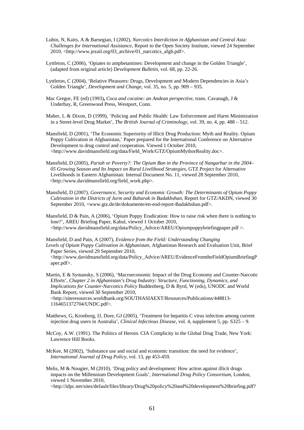- Lubin, N, Kaits, A & Barsegian, I (2002), *Narcotics Interdiction in Afghanistan and Central Asia: Challenges for International Assistance,* Report to the Open Society Institute, viewed 24 September 2010, <[http://www.jezail.org/03\\_archive/01\\_narcotics\\_afgh.pdf>](http://www.jezail.org/03_archive/01_narcotics_afgh.pdf).
- Lyttleton, C (2006), 'Opiates to amphetamines: Development and change in the Golden Triangle', (adapted from original article) *Development Bulletin*, vol. 68, pp. 22-26.
- Lyttleton, C (2004), 'Relative Pleasures: Drugs, Development and Modern Dependencies in Asia's Golden Triangle', *Development and Change*, vol. 35, no. 5, pp. 909 – 935.
- Mac Gregor, FE (ed) (1993)**,** *Coca and cocaine: an Andean perspective,* trans. Cavanagh, J & Underhay, R, Greenwood Press, Westport, Conn.
- Maher, L & Dixon, D (1999), 'Policing and Public Health: Law Enforcement and Harm Minimization in a Street-level Drug Market', *The British Journal of Criminology*, vol. 39, no. 4, pp. 488 – 512.
- Mansfield, D (2001), 'The Economic Superiority of Illicit Drug Production: Myth and Reality. Opium Poppy Cultivation in Afghanistan,' Paper prepared for the International Conference on Alternative Development to drug control and cooperation. Viewed 1 October 2010, <http://www.davidmansfield.org/data/Field\_Work/GTZ/OpiumMythorReality.doc>.
- Mansfield, D (2005), *Pariah or Poverty?: The Opium Ban in the Province of Nangarhar in the 2004– 05 Growing Season and Its Impact on Rural Livelihood Strategies*, GTZ Project for Alternative Livelihoods in Eastern Afghanistan: Internal Document No. 11, viewed 28 September 2010, [<http://www.davidmansfield.org/field\\_work.php>](http://www.davidmansfield.org/field_work.php).
- Mansfield, D (2007), *Governance, Security and Economic Growth: The Determinants of Opium Poppy Cultivation in the Districts of Jurm and Baharak in Badakhshan*, Report for GTZ/AKDN, viewed 30 September 2010, <[www.gtz.de/de/dokumente/en-eod-report-Badakhshan.pdf>](http://www.gtz.de/de/dokumente/en-eod-report-Badakhshan.pdf).
- Mansfield, D & Pain, A (2006), 'Opium Poppy Eradication: How to raise risk when there is nothing to lose?', AREU Briefing Paper, Kabul, viewed 1 October 2010,  $\langle$ http://www.davidmansfield.org/data/Policy\_Advice/AREU/Opiumpoppybriefingpaper.pdf  $\rangle$ .
- Mansfield, D and Pain, A (2007), *Evidence from the Field: Understanding Changing Levels of Opium Poppy Cultivation in Afghanistan*, Afghanistan Research and Evaluation Unit, Brief Paper Series, viewed 29 September 2010, <[http://www.davidmansfield.org/data/Policy\\_Advice/AREU/EvidenceFromtheFieldOpiumBriefingP](http://www.davidmansfield.org/data/Policy_Advice/AREU/EvidenceFromtheFieldOpiumBriefingPaper.pdf) [aper.pdf](http://www.davidmansfield.org/data/Policy_Advice/AREU/EvidenceFromtheFieldOpiumBriefingPaper.pdf)>.
- Martin, E & Symansky, S (2006), 'Macroeconomic Impact of the Drug Economy and Counter-Narcotic Efforts', *Chapter 2 in Afghanistan's Drug Industry: Structure, Functioning, Dynamics, and Implications for Counter-Narcotics Policy* Buddenberg, D & Byrd, W (eds), UNODC and World Bank Report, viewed 30 September 2010, <[http://siteresources.worldbank.org/SOUTHASIAEXT/Resources/Publications/448813-](http://siteresources.worldbank.org/SOUTHASIAEXT/Resources/Publications/448813-1164651372704/UNDC.pdf) [1164651372704/UNDC.pdf>](http://siteresources.worldbank.org/SOUTHASIAEXT/Resources/Publications/448813-1164651372704/UNDC.pdf).
- Matthews, G, Kronborg, IJ, Dore, GJ (2005), 'Treatment for hepatitis C virus infection among current injection drug users in Australia', *Clinical Infectious Disease*, vol. 4, supplement 5, pp. S325 – 9.
- McCoy, A.W. (1991). The Politics of Heroin. CIA Complicity in the Global Drug Trade, New York: Lawrence Hill Books.
- McKee, M (2002), 'Substance use and social and economic transition: the need for evidence', *International Journal of Drug Policy*, vol. 13, pp 453-459.
- Melis, M & Nougier, M (2010), 'Drug policy and development: How action against illicit drugs impacts on the Millennium Development Goals', *International Drug Policy Consortium*, London, viewed 1 November 2010,
	- <http://idpc.net/sites/default/files/library/Drug%20policy%20and%20development%20briefing.pdf?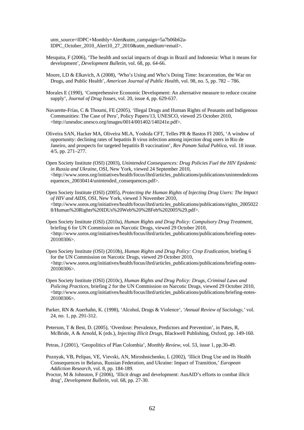utm\_source=IDPC+Monthly+Alert&utm\_campaign=5a7b06b62a-IDPC\_October\_2010\_Alert10\_27\_2010&utm\_medium=email>.

- Mesquita, F (2006), 'The health and social impacts of drugs in Brazil and Indonesia: What it means for development', *Development Bulletin,* vol. 68, pp. 64-66.
- Moore, LD & Elkavich, A (2008), 'Who's Using and Who's Doing Time: Incarceration, the War on Drugs, and Public Health', *American Journal of Public Health*, vol. 98, no. 5, pp. 782 – 786.
- Morales E (1990), 'Comprehensive Economic Development: An alternative measure to reduce cocaine supply', *Journal of Drug Issues*, vol. 20, issue 4, pp. 629-637.
- Navarette-Frías, C & Thoumi, FE (2005), 'Illegal Drugs and Human Rights of Peasants and Indigenous Communities: The Case of Peru', Policy Papers/13, UNESCO, viewed 25 October 2010, <<http://unesdoc.unesco.org/images/0014/001402/140241e.pdf>>.
- Oliveira SAN, Hacker MA, Oliveira MLA, Yoshida CFT, Telles PR & Bastos FI 2005, 'A window of opportunity: declining rates of hepatitis B virus infection among injection drug users in Rio de Janeiro, and prospects for targeted hepatitis B vaccination', *Rev Panam Salud Publica,* vol. 18 issue. 4/5, pp. 271–277.
- Open Society Institute (OSI) (2003), *Unintended Consequences: Drug Policies Fuel the HIV Epidemic in Russia and Ukraine*, OSI, New York, viewed 24 September 2010,  $\langle$ [http://www.soros.org/initiatives/health/focus/ihrd/articles\\_publications/publications/unintendedcons](http://www.soros.org/initiatives/health/focus/ihrd/articles_publications/publications/unintendedconsequences_20030414/unintended_consequences.pdf) [equences\\_20030414/unintended\\_consequences.pdf>](http://www.soros.org/initiatives/health/focus/ihrd/articles_publications/publications/unintendedconsequences_20030414/unintended_consequences.pdf).
- Open Society Institute (OSI) (2005), *Protecting the Human Rights of Injecting Drug Users: The Impact of HIV and AIDS*, OSI, New York, viewed 3 November 2010, <[http://www.soros.org/initiatives/health/focus/ihrd/articles\\_publications/publications/rights\\_2005022](http://www.soros.org/initiatives/health/focus/ihrd/articles_publications/publications/rights_20050228/Human%20Rights%20IDUs%20Web%20%28Feb%202005%29.pdf) [8/Human%20Rights%20IDUs%20Web%20%28Feb%202005%29.pdf](http://www.soros.org/initiatives/health/focus/ihrd/articles_publications/publications/rights_20050228/Human%20Rights%20IDUs%20Web%20%28Feb%202005%29.pdf)>.
- Open Society Institute (OSI) (2010a), *Human Rights and Drug Policy: Compulsory Drug Treatment,*  briefing 6 for UN Commission on Narcotic Drugs, viewed 29 October 2010, <[http://www.soros.org/initiatives/health/focus/ihrd/articles\\_publications/publications/briefing-notes-](http://www.soros.org/initiatives/health/focus/ihrd/articles_publications/publications/briefing-notes-20100306)[20100306](http://www.soros.org/initiatives/health/focus/ihrd/articles_publications/publications/briefing-notes-20100306)>.
- Open Society Institute (OSI) (2010b), *Human Rights and Drug Policy: Crop Eradication*, briefing 6 for the UN Commission on Narcotic Drugs, viewed 29 October 2010,  $\langle$ [http://www.soros.org/initiatives/health/focus/ihrd/articles\\_publications/publications/briefing-notes-](http://www.soros.org/initiatives/health/focus/ihrd/articles_publications/publications/briefing-notes-20100306)[20100306](http://www.soros.org/initiatives/health/focus/ihrd/articles_publications/publications/briefing-notes-20100306)>.
- Open Society Institute (OSI) (2010c), *Human Rights and Drug Policy: Drugs, Criminal Laws and Policing Practices*, briefing 2 for the UN Commission on Narcotic Drugs, viewed 29 October 2010,  $\langle$ [http://www.soros.org/initiatives/health/focus/ihrd/articles\\_publications/publications/briefing-notes-](http://www.soros.org/initiatives/health/focus/ihrd/articles_publications/publications/briefing-notes-20100306)[20100306](http://www.soros.org/initiatives/health/focus/ihrd/articles_publications/publications/briefing-notes-20100306)>.
- Parker, RN & Auerhahn, K. (1998), 'Alcohol, Drugs & Violence', *'Annual Review of Sociology,'* vol. 24, no. 1, pp. 291-312.
- Peterson, T & Best, D. (2005), 'Overdose: Prevalence, Predictors and Prevention', in Pates, R, McBride, A & Arnold, K (eds.), *Injecting Illicit Drugs,* Blackwell Publishing, Oxford, pp. 149-160.

Petras, J (2001), 'Geopolitics of Plan Colombia', *Monthly Review*, vol. 53, issue 1, pp.30-49.

- Poznyak, VB, Pelipas, VE, Vievski, AN, Miroshnichenko, L (2002), 'Illicit Drug Use and its Health Consequences in Belarus, Russian Federation, and Ukraine: Impact of Transition,' *European Addiction Research*, vol. 8, pp. 184-189.
- Proctor, M & Johnston, F (2006), 'Illicit drugs and development: AusAID's efforts to combat illicit drug', *Development Bulletin*, vol. 68, pp. 27-30.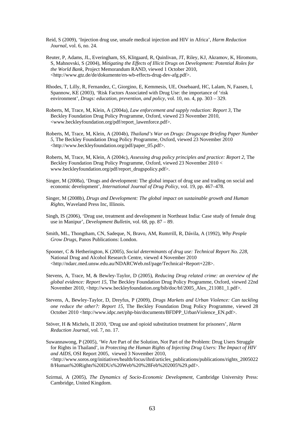- Reid, S (2009), 'Injection drug use, unsafe medical injection and HIV in Africa', *Harm Reduction Journal*, vol. 6, no. 24.
- Reuter, P, Adams, JL, Everingham, SS, Klitgaard, R, Quinlivan, JT, Riley, KJ, Akramov, K, Hiromoto, S, Mahnovski, S (2004), *Mitigating the Effects of Illicit Drugs on Development: Potential Roles for the World Bank*, Project Memorandum RAND, viewed 1 October 2010, <<http://www.gtz.de/de/dokumente/en-wb-effects-drug-dev-afg.pdf>>.
- Rhodes, T, Lilly, R, Fernandez, C, Giorgino, E, Kemmesis, UE, Ossebaard, HC, Lalam, N, Faasen, I, Spannow, KE (2003), 'Risk Factors Associated with Drug Use: the importance of 'risk environment', *Drugs: education, prevention, and policy*, vol. 10, no. 4, pp. 303 – 329.
- Roberts, M, Trace, M, Klein, A (2004a), *Law enforcement and supply reduction: Report 3*, The Beckley Foundation Drug Policy Programme*,* Oxford, viewed 23 November 2010, <[www.beckleyfoundation.org/pdf/report\\_lawenforce.pdf](http://www.beckleyfoundation.org/pdf/report_lawenforce.pdf)>.
- Roberts, M, Trace, M, Klein, A (2004b), *Thailand's War on Drugs: Drugscope Briefing Paper Number 5*, The Beckley Foundation Drug Policy Programme*,* Oxford, viewed 23 November 2010 <[http://www.beckleyfoundation.org/pdf/paper\\_05.pdf>](http://www.beckleyfoundation.org/pdf/paper_05.pdf).
- Roberts, M, Trace, M, Klein, A (2004c), *Assessing drug policy principles and practice: Report 2*, The Beckley Foundation Drug Policy Programme*,* Oxford, viewed 23 November 2010 < [www.beckleyfoundation.org/pdf/report\\_drugspolicy.pdf](http://www.beckleyfoundation.org/pdf/report_drugspolicy.pdf)>.
- Singer, M (2008a), 'Drugs and development: The global impact of drug use and trading on social and economic development', *International Journal of Drug Policy,* vol. 19, pp. 467–478.
- Singer, M (2008b), *Drugs and Development: The global impact on sustainable growth and Human Rights*, Waveland Press Inc, Illinois.
- Singh, IS (2006), 'Drug use, treatment and development in Northeast India: Case study of female drug use in Manipur', *Development Bulletin*, vol. 68, pp. 87 – 89.
- Smith, ML, Thongtham, CN, Sadeque, N, Bravo, AM, Rumrrill, R, Dávila, A (1992), *Why People Grow Drugs*, Panos Publications: London.
- Spooner, C & Hetherington, K (2005), *Social determinants of drug use: Technical Report No. 228,* National Drug and Alcohol Research Centre, viewed 4 November 2010 <[http://ndarc.med.unsw.edu.au/NDARCWeb.nsf/page/Technical+Report+228>](http://ndarc.med.unsw.edu.au/NDARCWeb.nsf/page/Technical+Report+228).
- Stevens, A, Trace, M, & Bewley-Taylor, D (2005), *Reducing Drug related crime: an overview of the global evidence: Report 15*, The Beckley Foundation Drug Policy Programme*,* Oxford, viewed 22nd November 2010, [<http://www.beckleyfoundation.org/bib/doc/bf/2005\\_Alex\\_211081\\_1.pdf>](http://www.beckleyfoundation.org/bib/doc/bf/2005_Alex_211081_1.pdf).
- Stevens, A, Bewley-Taylor, D, Dreyfus, P (2009), *Drugs Markets and Urban Violence: Can tackling one reduce the other?: Report 15,* The Beckley Foundation Drug Policy Programme, viewed 28 October 2010 <[http://www.idpc.net/php-bin/documents/BFDPP\\_UrbanViolence\\_EN.pdf](http://www.idpc.net/php-bin/documents/BFDPP_UrbanViolence_EN.pdf)>.
- Stöver, H & Michels, II 2010, 'Drug use and opioid substitution treatment for prisoners', *Harm Reduction Journal*, vol. 7, no. 17.
- Suwannawong, P (2005), 'We Are Part of the Solution, Not Part of the Problem: Drug Users Struggle for Rights in Thailand', in *Protecting the Human Rights of Injecting Drug Users: The Impact of HIV and AIDS*, OSI Report 2005, viewed 3 November 2010,  $\langle$ http://www.soros.org/initiatives/health/focus/ihrd/articles\_publications/publications/rights\_2005022 8/Human%20Rights%20IDUs%20Web%20%28Feb%202005%29.pdf>.
- Szirmai, A (2005), *The Dynamics of Socio-Economic Development*, Cambridge University Press: Cambridge, United Kingdom.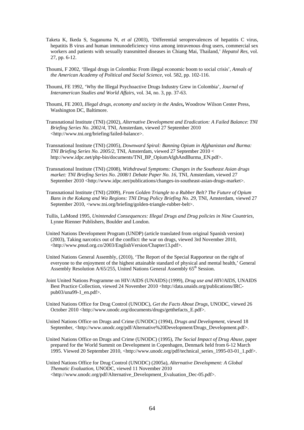- Taketa K, Ikeda S, Suganuma N, *et al* (2003), 'Differential seroprevalences of hepatitis C virus, hepatitis B virus and human immunodeficiency virus among intravenous drug users, commercial sex workers and patients with sexually transmitted diseases in Chiang Mai, Thailand,' *Hepatol Res,* vol. 27, pp. 6-12.
- Thoumi, F 2002, 'Illegal drugs in Colombia: From illegal economic boom to social crisis', *Annals of the American Academy of Political and Social Science*, vol. 582, pp. 102-116.
- Thoumi, FE 1992, 'Why the Illegal Psychoactive Drugs Industry Grew in Colombia', *Journal of Interamerican Studies and World Affairs*, vol. 34, no. 3, pp. 37-63.
- Thoumi, FE 2003, *Illegal drugs, economy and society in the Andes***,** Woodrow Wilson Center Press, Washington DC, Baltimore.
- Transnational Institute (TNI) (2002), *Alternative Development and Eradication: A Failed Balance*: *TNI Briefing Series No. 2002/4,* TNI, Amsterdam, viewed 27 September 2010 <[http://www.tni.org/briefing/failed-balance>](http://www.tni.org/briefing/failed-balance).
- Transnational Institute (TNI) (2005), *Downward Spiral: Banning Opium in Afghanistan and Burma: TNI Briefing Series No. 2005/2*, TNI, Amsterdam, viewed 27 September 2010 < [http://www.idpc.net/php-bin/documents/TNI\\_BP\\_OpiumAfghAndBurma\\_EN.pdf>](http://www.idpc.net/php-bin/documents/TNI_BP_OpiumAfghAndBurma_EN.pdf).
- Transnational Institute (TNI) (2008), *Withdrawal Symptoms: Changes in the Southeast Asian drugs market: TNI Briefing Series No. 2008/1 Debate Paper No. 16*, TNI, Amsterdam, viewed 27 September 2010 [<http://www.idpc.net/publications/changes-in-southeast-asian-drugs-market](http://www.idpc.net/publications/changes-in-southeast-asian-drugs-market)>.
- Transnational Institute (TNI) (2009), *From Golden Triangle to a Rubber Belt? The Future of Opium Bans in the Kokang and Wa Regions: TNI Drug Policy Briefing No. 29*, TNI, Amsterdam, viewed 27 September 2010, <[www.tni.org/briefing/golden-triangle-rubber-belt>](http://www.tni.org/briefing/golden-triangle-rubber-belt).
- Tullis, LaMond 1995, *Unintended Consequences: Illegal Drugs and Drug policies in Nine Countries,* Lynne Rienner Publishers, Boulder and London.
- United Nations Development Program (UNDP) (article translated from original Spanish version) (2003), Taking narcotics out of the conflict: the war on drugs, viewed 3rd November 2010, <http://www.pnud.org.co/2003/EnglishVersion/Chapter13.pdf>.
- United Nations General Assembly, (2010), 'The Report of the Special Rapporteur on the right of everyone to the enjoyment of the highest attainable standard of physical and mental health,' General Assembly Resolution A/65/255, United Nations General Assembly 65<sup>th</sup> Session.
- Joint United Nations Programme on HIV/AIDS (UNAIDS) (1999), *Drug use and HIV/AIDS*, UNAIDS Best Practice Collection, viewed 24 November 2010 [<http://data.unaids.org/publications/IRC](http://data.unaids.org/publications/IRC-pub03/una99-1_en.pdf)pub03/una99-1 $em.pdf$ .
- United Nations Office for Drug Control (UNODC), *Get the Facts About Drugs*, UNODC, viewed 26 October 2010 <[http://www.unodc.org/documents/drugs/getthefacts\\_E.pdf](http://www.unodc.org/documents/drugs/getthefacts_E.pdf)>.
- United Nations Office on Drugs and Crime (UNODC) (1994), *Drugs and Development*, viewed 18 September, <http://www.unodc.org/pdf/Alternative%20Development/Drugs\_Development.pdf>.
- United Nations Office on Drugs and Crime (UNODC) (1995), *The Social Impact of Drug Abuse*, paper prepared for the World Summit on Development in Copenhagen, Denmark held from 6-12 March 1995. Viewed 20 September 2010, [<http://www.unodc.org/pdf/technical\\_series\\_1995-03-01\\_1.pdf>](http://www.unodc.org/pdf/technical_series_1995-03-01_1.pdf).
- United Nations Office for Drug Control (UNODC) (2005a), *Alternative Development: A Global Thematic Evaluation*, UNODC, viewed 11 November 2010 <[http://www.unodc.org/pdf/Alternative\\_Development\\_Evaluation\\_Dec-05.pdf](http://www.unodc.org/pdf/Alternative_Development_Evaluation_Dec-05.pdf)>.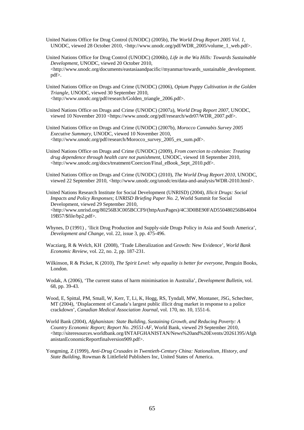- United Nations Office for Drug Control (UNODC) (2005b), *The World Drug Report 2005 Vol. 1*, UNODC, viewed 28 October 2010, <[http://www.unodc.org/pdf/WDR\\_2005/volume\\_1\\_web.pdf>](http://www.unodc.org/pdf/WDR_2005/volume_1_web.pdf).
- United Nations Office for Drug Control (UNODC) (2006b), *Life in the Wa Hills: Towards Sustainable Development,* UNODC, viewed 20 October 2010, <[http://www.unodc.org/documents/eastasiaandpacific//myanmar/towards\\_sustainable\\_development.](http://www.unodc.org/documents/eastasiaandpacific//myanmar/towards_sustainable_development.pdf) [pdf](http://www.unodc.org/documents/eastasiaandpacific//myanmar/towards_sustainable_development.pdf)>.
- United Nations Office on Drugs and Crime (UNODC) (2006), *Opium Poppy Cultivation in the Golden Triangle*, UNODC, viewed 30 September 2010, <[http://www.unodc.org/pdf/research/Golden\\_triangle\\_2006.pdf>](http://www.unodc.org/pdf/research/Golden_triangle_2006.pdf).
- United Nations Office on Drugs and Crime (UNODC) (2007a), *World Drug Report 2007*, UNODC, viewed 10 November 2010 <[https://www.unodc.org/pdf/research/wdr07/WDR\\_2007.pdf](https://www.unodc.org/pdf/research/wdr07/WDR_2007.pdf)>.
- United Nations Office on Drugs and Crime (UNODC) (2007b), *Morocco Cannabis Survey 2005 Executive Summary*, UNODC, viewed 10 November 2010, <[http://www.unodc.org/pdf/research/Morocco\\_survey\\_2005\\_ex\\_sum.pdf>](http://www.unodc.org/pdf/research/Morocco_survey_2005_ex_sum.pdf).
- United Nations Office on Drugs and Crime (UNODC) (2009), *From coercion to cohesion: Treating drug dependence through health care not punishment*, UNODC, viewed 18 September 2010, <http://www.unodc.org/docs/treatment/Coercion/Final\_eBook\_Sept\_2010.pdf>.
- United Nations Office on Drugs and Crime (UNODC) (2010), *The World Drug Report 2010*, UNODC, viewed 22 September 2010, <<http://www.unodc.org/unodc/en/data-and-analysis/WDR-2010.html>>.
- United Nations Research Institute for Social Development (UNRISD) (2004), *Illicit Drugs: Social Impacts and Policy Responses*; *UNRISD Briefing Paper No. 2*, World Summit for Social Development, viewed 29 September 2010, <[http://www.unrisd.org/80256B3C005BCCF9/\(httpAuxPages\)/4C3D0BE90FAD550480256B64004](http://www.unrisd.org/80256B3C005BCCF9/(httpAuxPages)/4C3D0BE90FAD550480256B6400419B57/$file/bp2.pdf) [19B57/\\$file/bp2.pdf](http://www.unrisd.org/80256B3C005BCCF9/(httpAuxPages)/4C3D0BE90FAD550480256B6400419B57/$file/bp2.pdf)>.
- Whynes, D (1991) , 'llicit Drug Production and Supply-side Drugs Policy in Asia and South America', *Development and Change,* vol. 22, issue 3, pp. 475-496.
- Wacziarg, R & Welch, KH (2008), 'Trade Liberalization and Growth: New Evidence', *World Bank Economic Review*, vol. 22, no. 2, pp. 187-231.
- Wilkinson, R & Picket, K (2010), *The Spirit Level: why equality is better for everyone*, Penguin Books, London.
- Wodak, A (2006), 'The current status of harm minimisation in Australia', *Development Bulletin*, vol. 68, pp. 39-43.
- Wood, E, Spittal, PM, Small, W, Kerr, T, Li, K, Hogg, RS, Tyndall, MW, Montaner, JSG, Schechter, MT (2004), 'Displacement of Canada's largest public illicit drug market in response to a police crackdown', *Canadian Medical Association Journal*, vol. 170, no. 10, 1551-6.
- World Bank (2004), *Afghanistan: State Building, Sustaining Growth, and Reducing Poverty: A Country Economic Report; Report No. 29551-AF*, World Bank, viewed 29 September 2010, <[http://siteresources.worldbank.org/INTAFGHANISTAN/News%20and%20Events/20261395/Afgh](http://siteresources.worldbank.org/INTAFGHANISTAN/News%20and%20Events/20261395/AfghanistanEconomicReportfinalversion909.pdf) [anistanEconomicReportfinalversion909.pdf>](http://siteresources.worldbank.org/INTAFGHANISTAN/News%20and%20Events/20261395/AfghanistanEconomicReportfinalversion909.pdf).
- Yongming, Z (1999), *Anti-Drug Crusades in Twentieth-Century China: Nationalism, History, and State Building*, Rowman & Littlefield Publishers Inc, United States of America.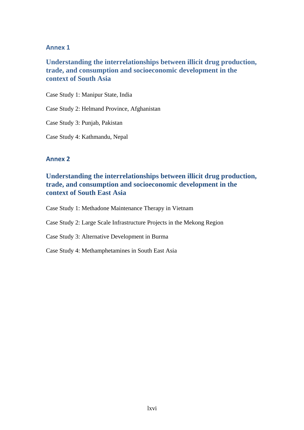# **Annex 1**

# **Understanding the interrelationships between illicit drug production, trade, and consumption and socioeconomic development in the context of South Asia**

Case Study 1: Manipur State, India

Case Study 2: Helmand Province, Afghanistan

Case Study 3: Punjab, Pakistan

Case Study 4: Kathmandu, Nepal

# **Annex 2**

# **Understanding the interrelationships between illicit drug production, trade, and consumption and socioeconomic development in the context of South East Asia**

Case Study 1: Methadone Maintenance Therapy in Vietnam

Case Study 2: Large Scale Infrastructure Projects in the Mekong Region

Case Study 3: Alternative Development in Burma

Case Study 4: Methamphetamines in South East Asia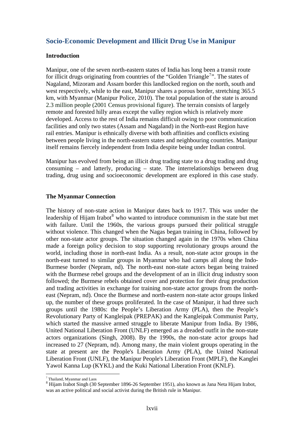# **Socio-Economic Development and Illicit Drug Use in Manipur**

#### **Introduction**

Manipur, one of the seven north-eastern states of India has long been a transit route for illicit drugs originating from countries of the "Golden Triangle<sup>[7](#page-78-0)</sup>". The states of Nagaland, Mizoram and Assam border this landlocked region on the north, south and west respectively, while to the east, Manipur shares a porous border, stretching 365.5 km, with Myanmar (Manipur Police, 2010). The total population of the state is around 2.3 million people (2001 Census provisional figure). The terrain consists of largely remote and forested hilly areas except the valley region which is relatively more developed. Access to the rest of India remains difficult owing to poor communication facilities and only two states (Assam and Nagaland) in the North-east Region have rail entries. Manipur is ethnically diverse with both affinities and conflicts existing between people living in the north-eastern states and neighbouring countries. Manipur itself remains fiercely independent from India despite being under Indian control.

Manipur has evolved from being an illicit drug trading state to a drug trading and drug consuming – and latterly, producing – state. The interrelationships between drug trading, drug using and socioeconomic development are explored in this case study.

# **The Myanmar Connection**

The history of non-state action in Manipur dates back to 1917. This was under the leadership of Hijam Irabot $<sup>8</sup>$  $<sup>8</sup>$  $<sup>8</sup>$  who wanted to introduce communism in the state but met</sup> with failure. Until the 1960s, the various groups pursued their political struggle without violence. This changed when the Nagas began training in China, followed by other non-state actor groups. The situation changed again in the 1970s when China made a foreign policy decision to stop supporting revolutionary groups around the world, including those in north-east India. As a result, non-state actor groups in the north-east turned to similar groups in Myanmar who had camps all along the Indo-Burmese border (Nepram, nd). The north-east non-state actors began being trained with the Burmese rebel groups and the development of an in illicit drug industry soon followed; the Burmese rebels obtained cover and protection for their drug production and trading activities in exchange for training non-state actor groups from the northeast (Nepram, nd). Once the Burmese and north-eastern non-state actor groups linked up, the number of these groups proliferated. In the case of Manipur, it had three such groups until the 1980s: the People's Liberation Army (PLA), then the People's Revolutionary Party of Kangleipak (PREPAK) and the Kangleipak Communist Party, which started the massive armed struggle to liberate Manipur from India. By 1986, United National Liberation Front (UNLF) emerged as a dreaded outfit in the non-state actors organizations (Singh, 2008). By the 1990s, the non-state actor groups had increased to 27 (Nepram, nd). Among many, the main violent groups operating in the state at present are the People's Liberation Army (PLA), the United National Liberation Front (UNLF), the Manipur People's Liberation Front (MPLF), the Kanglei Yawol Kanna Lup (KYKL) and the Kuki National Liberation Front (KNLF).

 $\overline{a}$ <sup>7</sup> Thailand, Myanmar and Laos

<span id="page-78-1"></span><span id="page-78-0"></span><sup>&</sup>lt;sup>8</sup> Hijam Irabot Singh (30 September 1896-26 September 1951), also known as Jana Neta Hijam Irabot, was an active political and social activist during the British rule in [Manipur.](http://en.wikipedia.org/wiki/Manipur)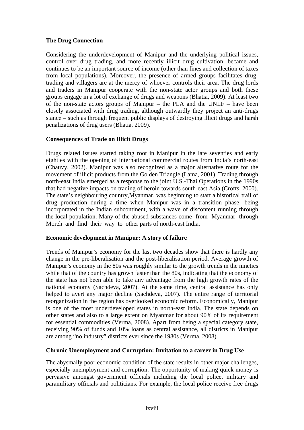# **The Drug Connection**

Considering the underdevelopment of Manipur and the underlying political issues, control over drug trading, and more recently illicit drug cultivation, became and continues to be an important source of income (other than fines and collection of taxes from local populations). Moreover, the presence of armed groups facilitates drugtrading and villagers are at the mercy of whoever controls their area. The drug lords and traders in Manipur cooperate with the non-state actor groups and both these groups engage in a lot of exchange of drugs and weapons (Bhatia, 2009). At least two of the non-state actors groups of Manipur – the PLA and the UNLF – have been closely associated with drug trading, although outwardly they project an anti-drugs stance – such as through frequent public displays of destroying illicit drugs and harsh penalizations of drug users (Bhatia, 2009).

# **Consequences of Trade on Illicit Drugs**

Drugs related issues started taking root in Manipur in the late seventies and early eighties with the opening of international commercial routes from India's north-east (Chauvy, 2002). Manipur was also recognized as a major alternative route for the movement of illicit products from the Golden Triangle (Lama, 2001). Trading through north-east India emerged as a response to the joint U.S.-Thai Operations in the 1990s that had negative impacts on trading of heroin towards south-east Asia (Crofts, 2000). The state's neighbouring country,Myanmar, was beginning to start a historical trail of drug production during a time when Manipur was in a transition phase- being incorporated in the Indian subcontinent, with a wave of discontent running through the local population. Many of the abused substances come from Myanmar through Moreh and find their way to other parts of north-east India.

# **Economic development in Manipur: A story of failure**

Trends of Manipur's economy for the last two decades show that there is hardly any change in the pre-liberalisation and the post-liberalisation period. Average growth of Manipur's economy in the 80s was roughly similar to the growth trends in the nineties while that of the country has grown faster than the 80s, indicating that the economy of the state has not been able to take any advantage from the high growth rates of the national economy (Sachdeva, 2007). At the same time, central assistance has only helped to avert any major decline (Sachdeva, 2007). The entire range of territorial reorganization in the region has overlooked economic reform. Economically, Manipur is one of the most underdeveloped states in north-east India. The state depends on other states and also to a large extent on Myanmar for about 90% of its requirement for essential commodities (Verma, 2008). Apart from being a special category state, receiving 90% of funds and 10% loans as central assistance, all districts in Manipur are among "no industry" districts ever since the 1980s (Verma, 2008).

# **Chronic Unemployment and Corruption: Invitation to a career in Drug Use**

The abysmally poor economic condition of the state results in other major challenges, especially unemployment and corruption. The opportunity of making quick money is pervasive amongst government officials including the local police, military and paramilitary officials and politicians. For example, the local police receive free drugs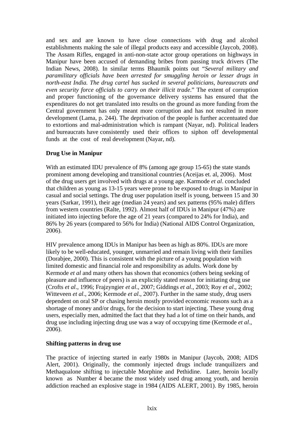and sex and are known to have close connections with drug and alcohol establishments making the sale of illegal products easy and accessible (Jaycob, 2008). The Assam Rifles, engaged in anti-non-state actor group operations on highways in Manipur have been accused of demanding bribes from passing truck drivers (The Indian News, 2008). In similar terms Bhaumik points out "*Several military and paramilitary officials have been arrested for smuggling heroin or lesser drugs in north-east India. The drug cartel has sucked in several politicians, bureaucrats and even security force officials to carry on their illicit trade*." The extent of corruption and proper functioning of the governance delivery systems has ensured that the expenditures do not get translated into results on the ground as more funding from the Central government has only meant more corruption and has not resulted in more development (Lama, p. 244). The deprivation of the people is further accentuated due to extortions and mal-administration which is rampant (Nayar, nd). Political leaders and bureaucrats have consistently used their offices to siphon off developmental funds at the cost of real development (Nayar, nd).

# **Drug Use in Manipur**

With an estimated IDU prevalence of 8% (among age group 15-65) the state stands prominent among developing and transitional countries (Aceijas et. al, 2006). Most of the drug users get involved with drugs at a young age. Karmode *et al*. concluded that children as young as 13-15 years were prone to be exposed to drugs in Manipur in casual and social settings. The drug user population itself is young, between 15 and 30 years (Sarkar, 1991), their age (median 24 years) and sex patterns (95% male) differs from western countries (Ralte, 1992). Almost half of IDUs in Manipur (47%) are initiated into injecting before the age of 21 years (compared to 24% for India), and 86% by 26 years (compared to 56% for India) (National AIDS Control Organization, 2006).

HIV prevalence among IDUs in Manipur has been as high as 80%. IDUs are more likely to be well-educated, younger, unmarried and remain living with their families (Dorabjee, 2000). This is consistent with the picture of a young population with limited domestic and financial role and responsibility as adults. Work done by Kermode *et al* and many others has shown that economics (others being seeking of pleasure and influence of peers) is an explicitly stated reason for initiating drug use (Crofts *et al*., 1996; Frajzyngier *et al*., 2007; Giddings *et al*., 2003; Roy *et al*., 2002; Witteveen *et al*., 2006; Kermode *et al*., 2007). Further in the same study, drug users dependent on oral SP or chasing heroin mostly provided economic reasons such as a shortage of money and/or drugs, for the decision to start injecting. These young drug users, especially men, admitted the fact that they had a lot of time on their hands, and drug use including injecting drug use was a way of occupying time (Kermode *et al*., 2006).

# **Shifting patterns in drug use**

The practice of injecting started in early 1980s in Manipur (Jaycob, 2008; AIDS Alert, 2001). Originally, the commonly injected drugs include tranquilizers and Methaqualone shifting to injectable Morphine and Pethidine. Later, heroin locally known as Number 4 became the most widely used drug among youth, and heroin addiction reached an explosive stage in 1984 (AIDS ALERT, 2001). By 1985, heroin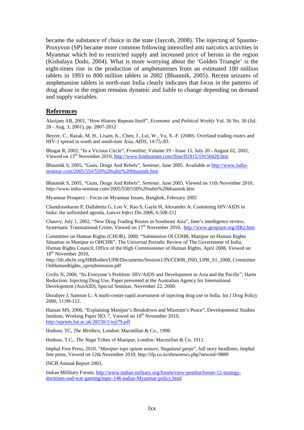became the substance of choice in the state (Jaycob, 2008). The injecting of Spasmo-Proxyvon (SP) became more common following intensified anti narcotics activities in Myanmar which led to restricted supply and increased price of heroin in the region (Kishalaya Dodo, 2004). What is more worrying about the 'Golden Triangle' is the eight-times rise in the production of amphetamines from an estimated 100 million tablets in 1993 to 800 million tablets in 2002 (Bhaumik, 2005). Recent seizures of amphetamine tablets in north-east India clearly indicates that focus in the patterns of drug abuse in the region remains dynamic and liable to change depending on demand and supply variables.

#### **References**

Akoijam AB, 2001, "How History Repeats Itself", *[Economic and Political Weekly](http://www.jstor.org/action/showPublication?journalCode=econpoliweek)* Vol. 36 No. 30 (Jul. 28 - Aug. 3, 2001), pp. 2807-2812

Beyrer, C., Razak, M. H., Lisam, K., Chen, J., Lui, W., Yu, X.-F. (2000). Overland trading routes and HIV-1 spread in south and south-east Asia, *AIDS*, 14:75–83.

Bhagat R, 2002, "In a Vicious Circle", *Frontline*, Volume 19 - Issue 15, July 20 - August 02, 2002, Viewed on 13th November 2010,<http://www.hinduonnet.com/fline/fl1915/19150420.htm>

Bhaumik S, 2005, "Guns, Drugs And Rebels", *Seminar*, June 2005. Available at [http://www.india](http://www.india-seminar.com/2005/550/550%20subir%20bhaumik.htm)[seminar.com/2005/550/550%20subir%20bhaumik.htm](http://www.india-seminar.com/2005/550/550%20subir%20bhaumik.htm)

Bhaumik S, 2005, "Guns, Drugs And Rebels", *Seminar*, June 2005. Viewed on 11th November 2010, http://www.india-seminar.com/2005/550/550%20subir%20bhaumik.htm

Myanmar Prospect – Focus on Myanmar Issues, Bangkok, February 2002

Chandrasekaran P, Dallabetta G, Loo V, Rao S, Gayle H, Alexander A: Containing HIV/AIDS in India: the unfinished agenda. *Lancet Infect Dis* 2006, 6:508-21]

Chauvy, July 1, 2002, "New Drug Trading Routes in Southeast Asia", Jane's intelligence review, Systematic Transnational Crime, Viewed on 17<sup>th</sup> November 2010, <http://www.geopium.org/JIR2.htm>

Committee on Human Rights (CHOR), 2008, "Submission Of COHR, Manipur on Human Rights Situation in Manipur to OHCHR", The Universal Periodic Review of The Government of India, Human Rights Council, Office of the High Commissioner of Human Rights, April 2008. Viewed on 18<sup>th</sup> November 2010,

http://lib.ohchr.org/HRBodies/UPR/Documents/Session1/IN/COHR\_IND\_UPR\_S1\_2008\_Committee OnHumanRights\_uprsubmission.pdf

Crofts N, 2000, "Its Everyone's Problem: HIV/AIDS and Development in Asia and the Pacific", Harm Reduction: Injecting Drug Use, Paper presented at the Australian Agency for International Development (AusAID), Special Seminar, November 22, 2000:

Dorabjee J, Samson L: A multi-centre rapid assessment of injecting drug use in India. Int J Drug Policy 2000, 11:99-112.

Hassan MS, 2006, "Explaining Manipur's Breakdown and Mizoram's Peace", Developmental Studies Institute, Working Paper NO. 7, Viewed on  $18<sup>th</sup>$  November 2010, <http://eprints.lse.ac.uk/28150/1/wp79.pdf>

Hodson, TC, *The Meitheis*, London: Macmillan & Co., 1908.

Hodson, T.C., *The Naga* Tribes of Manipur, London: Macmillan & Co. 1911.

Imphal Free Press, 2010, "*Manipur tops opium seizure, Nagaland ganja*", full story headlines, Imphal free press, Viewed on 12th November 2010, http://ifp.co.in/shownews.php?newsid=9889

INCB Annual Report 2003,

Indian Millitary Forum, [http://www.indian-military.org/forum/view-postlist/forum-12-strategy](http://www.indian-military.org/forum/view-postlist/forum-12-strategy-doctrines-and-war-gaming/topic-146-indias-burma-policy.html)[doctrines-and-war-gaming/topic-146-indias-Myanmar-policy.html](http://www.indian-military.org/forum/view-postlist/forum-12-strategy-doctrines-and-war-gaming/topic-146-indias-burma-policy.html)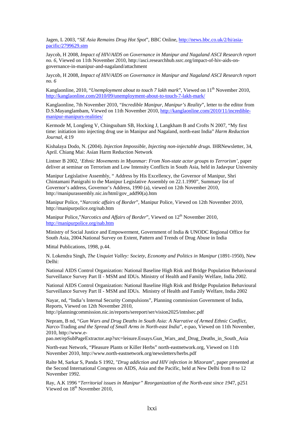Jagen, L 2003, "*SE Asia Remains Drug Hot Spot*", BBC Online, [http://news.bbc.co.uk/2/hi/asia](http://news.bbc.co.uk/2/hi/asia-pacific/2799629.stm)[pacific/2799629.stm](http://news.bbc.co.uk/2/hi/asia-pacific/2799629.stm)

Jaycob, H 2008, *Impact of HIV/AIDS on Governance in Manipur and Nagaland ASCI Research report no. 6*, Viewed on 11th November 2010, http://asci.researchhub.ssrc.org/impact-of-hiv-aids-ongovernance-in-manipur-and-nagaland/attachment

Jaycob, H 2008, *Impact of HIV/AIDS on Governance in Manipur and Nagaland ASCI Research report no. 6* 

Kanglaonline, 2010, "*Unemployment about to touch 7 lakh mark*", Viewed on 11<sup>th</sup> November 2010, <http://kanglaonline.com/2010/09/unemployment-about-to-touch-7-lakh-mark/>

Kanglaonline, 7th November 2010, "*Incredible Manipur, Manipur's Reality*", letter to the editor from D.S.Mayanglambam, Viewed on 11th November 2010, [http://kanglaonline.com/2010/11/incredible](http://kanglaonline.com/2010/11/incredible-manipur-manipurs-realities/)[manipur-manipurs-realities/](http://kanglaonline.com/2010/11/incredible-manipur-manipurs-realities/)

Kermode M, Longleng V, Chingsubam SB, Hocking J, Langkham B and Crofts N 2007, "My first time: initiation into injecting drug use in Manipur and Nagaland, north-east India" *Harm Reduction Journal*, 4:19

Kishalaya Dodo, N. (2004). *Injection Impossible, Injecting non-injectable drugs*. IHRNewsletter, 34, April. Chiang Mai: Asían Harm Reduction Network

Lintner B 2002, '*Ethnic Movements in Myanmar: From Non-state actor groups to Terrorism'*, paper deliver at seminar on Terrorism and Low Intensity Conflicts in South Asia, held in Jadavpur University

Manipur Legislative Assembly, " Address by His Excellency, the Governor of Manipur, Shri Chintamani Panigrahi to the Manipur Legislative Assembly on 22.1.1990", Summary list of Governor's address, Governor's Address, 1990 (a), viewed on 12th November 2010, http://manipurassembly.nic.in/html/gov\_add90(a).htm

Manipur Police, "*Narcotic affairs of Border*", Manipur Police, Viewed on 12th November 2010, <http://manipurpolice.org/nab.htm>

Manipur Police,"*Narcotics and Affairs of Border*", Viewed on 12<sup>th</sup> November 2010, <http://manipurpolice.org/nab.htm>

Ministry of Social Justice and Empowerment, Government of India & UNODC Regional Office for South Asia, 2004.National Survey on Extent, Pattern and Trends of Drug Abuse in India

Mittal Publications, 1998, p.44.

N. Lokendra Singh, *The Unquiet Valley: Society, Economy and Politics in Manipur* (1891-1950), New Delhi:

National AIDS Control Organization: National Baseline High Risk and Bridge Population Behavioural Surveillance Survey Part II - MSM and IDUs. Ministry of Health and Family Welfare, India 2002.

National AIDS Control Organization: National Baseline High Risk and Bridge Population Behavioural Surveillance Survey Part II - MSM and IDUs. Ministry of Health and Family Welfare, India 2002

Nayar, nd, "India's Internal Security Compulsions", Planning commission Government of India, Reports, Viewed on 12th November 2010,

<http://planningcommission.nic.in/reports/sereport/ser/vision2025/intnlsec.pdf>

Nepram, B nd, "*Gun Wars and Drug Deaths in South Asia: A Narrative of Armed Ethnic Conflict, Narco-*Trading *and the Spread of Small Arms in North-east India*", e-pao, Viewed on 11th November, 2010, http://www.e-

pao.net/epSubPageExtractor.asp?src=leisure.Essays.Gun\_Wars\_and\_Drug\_Deaths\_in\_South\_Asia

North-east Network, "Pleasure Plants or Killer Herbs" north-eastnetwork.org, Viewed on 11th November 2010, [http://www.north-eastnetwork.org/newsletters/herbs.pdf](http://www.northeastnetwork.org/newsletters/herbs.pdf)

Ralte M, Sarkar S, Panda S 1992, "*Drug addiction and HIV infection in Mizoram*", paper presented at the Second International Congress on AIDS, Asia and the Pacific, held at New Delhi from 8 to 12 November 1992.

Ray, A.K 1996 "*Territorial issues in Manipur" Reorganization of the North-east since 194*7, p251 Viewed on 18<sup>th</sup> November 2010.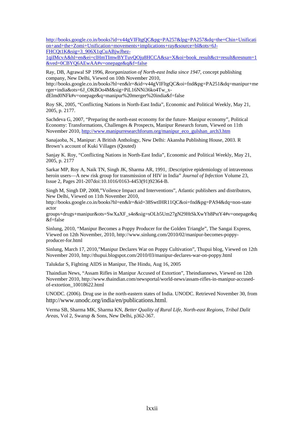[http://books.google.co.in/books?id=v44gVIFltgQC&pg=PA257&lpg=PA257&dq=the+Chin+Unificati](http://books.google.co.in/books?id=v44gVIFltgQC&pg=PA257&lpg=PA257&dq=the+Chin+Unification+and+the+Zomi+Unification+movements+implications+ray&source=bl&ots=6J-FHCQt1K&sig=3_906X1qCuABjwJhez-1qiIMcvA&hl=en&ei=clHmTImwBYTuvQOju8HCCA&sa=X&oi=book_result&ct=result&resnum=1&ved=0CBYQ6AEwAA#v=onepage&q&f=false) [on+and+the+Zomi+Unification+movements+implications+ray&source=bl&ots=6J-](http://books.google.co.in/books?id=v44gVIFltgQC&pg=PA257&lpg=PA257&dq=the+Chin+Unification+and+the+Zomi+Unification+movements+implications+ray&source=bl&ots=6J-FHCQt1K&sig=3_906X1qCuABjwJhez-1qiIMcvA&hl=en&ei=clHmTImwBYTuvQOju8HCCA&sa=X&oi=book_result&ct=result&resnum=1&ved=0CBYQ6AEwAA#v=onepage&q&f=false)[FHCQt1K&sig=3\\_906X1qCuABjwJhez-](http://books.google.co.in/books?id=v44gVIFltgQC&pg=PA257&lpg=PA257&dq=the+Chin+Unification+and+the+Zomi+Unification+movements+implications+ray&source=bl&ots=6J-FHCQt1K&sig=3_906X1qCuABjwJhez-1qiIMcvA&hl=en&ei=clHmTImwBYTuvQOju8HCCA&sa=X&oi=book_result&ct=result&resnum=1&ved=0CBYQ6AEwAA#v=onepage&q&f=false)

[1qiIMcvA&hl=en&ei=clHmTImwBYTuvQOju8HCCA&sa=X&oi=book\\_result&ct=result&resnum=1](http://books.google.co.in/books?id=v44gVIFltgQC&pg=PA257&lpg=PA257&dq=the+Chin+Unification+and+the+Zomi+Unification+movements+implications+ray&source=bl&ots=6J-FHCQt1K&sig=3_906X1qCuABjwJhez-1qiIMcvA&hl=en&ei=clHmTImwBYTuvQOju8HCCA&sa=X&oi=book_result&ct=result&resnum=1&ved=0CBYQ6AEwAA#v=onepage&q&f=false) [&ved=0CBYQ6AEwAA#v=onepage&q&f=false](http://books.google.co.in/books?id=v44gVIFltgQC&pg=PA257&lpg=PA257&dq=the+Chin+Unification+and+the+Zomi+Unification+movements+implications+ray&source=bl&ots=6J-FHCQt1K&sig=3_906X1qCuABjwJhez-1qiIMcvA&hl=en&ei=clHmTImwBYTuvQOju8HCCA&sa=X&oi=book_result&ct=result&resnum=1&ved=0CBYQ6AEwAA#v=onepage&q&f=false)

Ray, DB, Agrawal SP 1996, *Reorganization of North-east India since 1947*, concept publishing company, New Delhi, Viewed on 10th November 2010,

[http://books.google.co.in/books?hl=en&lr=&id=v44gVIFltgQC&oi=fnd&pg=PA251&dq=manipur+me](http://books.google.co.in/books?hl=en&lr=&id=v44gVIFltgQC&oi=fnd&pg=PA251&dq=manipur+merger+india&ots=6J_OKBOo4M&sig=PiL16NNi36ko4Tw_x-dElmd0NFk#v=onepage&q=manipur%20merger%20india&f=false) [rger+india&ots=6J\\_OKBOo4M&sig=PiL16NNi36ko4Tw\\_x](http://books.google.co.in/books?hl=en&lr=&id=v44gVIFltgQC&oi=fnd&pg=PA251&dq=manipur+merger+india&ots=6J_OKBOo4M&sig=PiL16NNi36ko4Tw_x-dElmd0NFk#v=onepage&q=manipur%20merger%20india&f=false)[dElmd0NFk#v=onepage&q=manipur%20merger%20india&f=false](http://books.google.co.in/books?hl=en&lr=&id=v44gVIFltgQC&oi=fnd&pg=PA251&dq=manipur+merger+india&ots=6J_OKBOo4M&sig=PiL16NNi36ko4Tw_x-dElmd0NFk#v=onepage&q=manipur%20merger%20india&f=false)

Roy SK, 2005, "Conflicting Nations in North-East India", Economic and Political Weekly, May 21, 2005, p. 2177.

Sachdeva G, 2007, "Preparing the north-east economy for the future- Manipur economy", Political Economy: Transformations, Challenges & Prospects, Manipur Research forum, Viewed on 11th November 2010, [http://www.manipurresearchforum.org/manipur\\_eco\\_gulshan\\_arch3.htm](http://www.manipurresearchforum.org/manipur_eco_gulshan_arch3.htm)

Sanajaoba, N., Manipur: A British Anthology, New Delhi: Akansha Publishing House, 2003. R Brown's account of Kuki Villages (Qouted)

Sanjay K. Roy, "Conflicting Nations in North-East India", Economic and Political Weekly, May 21, 2005, p. 2177

Sarkar MP, Roy A, Naik TN, Singh JK, Sharma AR, 1991, :Descriptive epidemiology of intravenous heroin users—A new risk group for transmission of HIV in India" *[Journal of Infection](http://www.sciencedirect.com/science/journal/01634453)* [Volume 23,](http://www.sciencedirect.com/science?_ob=PublicationURL&_tockey=%23TOC%236887%231991%23999769997%23584169%23FLP%23&_cdi=6887&_pubType=J&view=c&_auth=y&_acct=C000050221&_version=1&_urlVersion=0&_userid=10&md5=7c935413dd894c66924c0c8cf6274bc1)  [Issue 2](http://www.sciencedirect.com/science?_ob=PublicationURL&_tockey=%23TOC%236887%231991%23999769997%23584169%23FLP%23&_cdi=6887&_pubType=J&view=c&_auth=y&_acct=C000050221&_version=1&_urlVersion=0&_userid=10&md5=7c935413dd894c66924c0c8cf6274bc1), Pages 201-20[7doi:10.1016/0163-4453\(91\)92364-B.](http://dx.doi.org/10.1016/0163-4453(91)92364-B)

Singh M, Singh DP, 2008,"Voilence Impact and Interventions", Atlantic publishers and distributors, New Delhi, Viewed on 11th November 2010,

http://books.google.co.in/books?hl=en&lr=&id=38SwtIHR11QC&oi=fnd&pg=PA94&dq=non-state actor

groups+drugs+manipur&ots=SwXaXF\_s4e&sig=sOLb5Um27gN29HtSkXwYh8PstY4#v=onepage&q &f=false

Sinlung, 2010, "Manipur Becomes a Poppy Producer for the Golden Triangle", The Sangai Express, Viewed on 12th November, 2010, [http://www.sinlung.com/2010/02/manipur-becomes-poppy](http://www.sinlung.com/2010/02/manipur-becomes-poppy-producer-for.html)[producer-for.html](http://www.sinlung.com/2010/02/manipur-becomes-poppy-producer-for.html)

Sinlung, March 17, 2010,"Manipur Declares War on Poppy Cultivation", Thupui blog, Viewed on 12th November 2010, <http://thupui.blogspot.com/2010/03/manipur-declares-war-on-poppy.html>

Talukdar S, Fighting AIDS in Manipur, The Hindu, Aug 16, 2005

Thaindian News, "Assam Rifles in Manipur Accused of Extortion", Theindiannews, Viewed on 12th November 2010, [http://www.thaindian.com/newsportal/world-news/assam-rifles-in-manipur-accused](http://www.thaindian.com/newsportal/world-news/assam-rifles-in-manipur-accused-of-extortion_10018622.html)[of-extortion\\_10018622.html](http://www.thaindian.com/newsportal/world-news/assam-rifles-in-manipur-accused-of-extortion_10018622.html)

UNODC. (2006). Drug use in the north-eastern states of India. UNODC. Retrieved November 30, from [http://www.unodc.org/india/en/publications.html.](http://www.unodc.org/india/en/publications.html)

Verma SB, Sharma MK, Sharma KN, *Better Quality of Rural Life, North-east Regions, Tribal Dalit Areas*, Vol 2, Swarup & Sons, New Delhi, p362-367.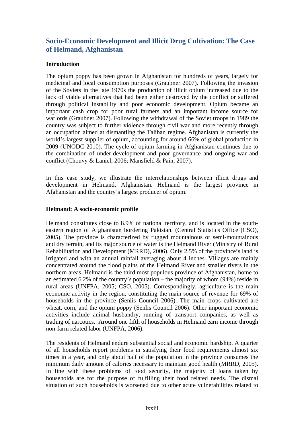# **Socio-Economic Development and Illicit Drug Cultivation: The Case of Helmand, Afghanistan**

# **Introduction**

The opium poppy has been grown in Afghanistan for hundreds of years, largely for medicinal and local consumption purposes (Graubner 2007). Following the invasion of the Soviets in the late 1970s the production of illicit opium increased due to the lack of viable alternatives that had been either destroyed by the conflict or suffered through political instability and poor economic development. Opium became an important cash crop for poor rural farmers and an important income source for warlords (Graubner 2007). Following the withdrawal of the Soviet troops in 1989 the country was subject to further violence through civil war and more recently through an occupation aimed at dismantling the Taliban regime. Afghanistan is currently the world's largest supplier of opium, accounting for around 66% of global production in 2009 (UNODC 2010). The cycle of opium farming in Afghanistan continues due to the combination of under-development and poor governance and ongoing war and conflict (Chouvy & Laniel, 2006; Mansfield & Pain, 2007).

In this case study, we illustrate the interrelationships between illicit drugs and development in Helmand, Afghanistan. Helmand is the largest province in Afghanistan and the country's largest producer of opium.

# **Helmand: A socio-economic profile**

Helmand constitutes close to 8.9% of national territory, and is located in the southeastern region of Afghanistan bordering Pakistan. (Central Statistics Office (CSO), 2005). The province is characterized by rugged mountainous or semi-mountainous and dry terrain, and its major source of water is the Helmand River (Ministry of Rural Rehabilitation and Development (MRRD), 2006). Only 2.5% of the province's land is irrigated and with an annual rainfall averaging about 4 inches. Villages are mainly concentrated around the flood plains of the Helmand River and smaller rivers in the northern areas. Helmand is the third most populous province of Afghanistan, home to an estimated 6.2% of the country's population – the majority of whom (94%) reside in rural areas (UNFPA, 2005; CSO, 2005). Correspondingly, agriculture is the main economic activity in the region, constituting the main source of revenue for 69% of households in the province (Senlis Council 2006). The main crops cultivated are wheat, corn, and the opium poppy (Senlis Council 2006). Other important economic activities include animal husbandry, running of transport companies, as well as trading of narcotics. Around one fifth of households in Helmand earn income through non-farm related labor (UNFPA, 2006).

The residents of Helmand endure substantial social and economic hardship. A quarter of all households report problems in satisfying their food requirements almost six times in a year, and only about half of the population in the province consumes the minimum daily amount of calories necessary to maintain good health (MRRD, 2005). In line with these problems of food security, the majority of loans taken by households are for the purpose of fulfilling their food related needs. The dismal situation of such households is worsened due to other acute vulnerabilities related to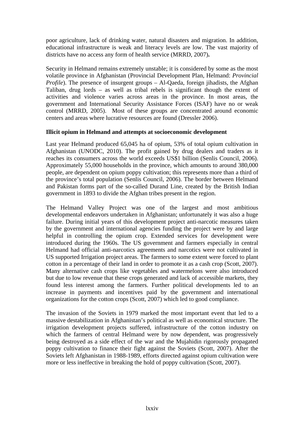poor agriculture, lack of drinking water, natural disasters and migration. In addition, educational infrastructure is weak and literacy levels are low. The vast majority of districts have no access any form of health service (MRRD, 2007)**.**

Security in Helmand remains extremely unstable; it is considered by some as the most volatile province in Afghanistan (Provincial Development Plan, Helmand: *Provincial Profile*). The presence of insurgent groups – Al-Qaeda, foreign jihadists, the Afghan Taliban, drug lords – as well as tribal rebels is significant though the extent of activities and violence varies across areas in the province. In most areas, the government and International Security Assistance Forces (ISAF) have no or weak control (MRRD, 2005). Most of these groups are concentrated around economic centers and areas where lucrative resources are found (Dressler 2006).

#### **Illicit opium in Helmand and attempts at socioeconomic development**

Last year Helmand produced 65,045 ha of opium, 53% of total opium cultivation in Afghanistan (UNODC, 2010). The profit gained by drug dealers and traders as it reaches its consumers across the world exceeds US\$1 billion (Senlis Council, 2006). Approximately 55,000 households in the province, which amounts to around 380,000 people, are dependent on opium poppy cultivation; this represents more than a third of the province's total population (Senlis Council, 2006). The border between Helmand and Pakistan forms part of the so-called Durand Line, created by the British Indian government in 1893 to divide the Afghan tribes present in the region.

The Helmand Valley Project was one of the largest and most ambitious developmental endeavors undertaken in Afghanistan; unfortunately it was also a huge failure. During initial years of this development project anti-narcotic measures taken by the government and international agencies funding the project were by and large helpful in controlling the opium crop. Extended services for development were introduced during the 1960s. The US government and farmers especially in central Helmand had official anti-narcotics agreements and narcotics were not cultivated in US supported Irrigation project areas. The farmers to some extent were forced to plant cotton in a percentage of their land in order to promote it as a cash crop (Scott, 2007). Many alternative cash crops like vegetables and watermelons were also introduced but due to low revenue that these crops generated and lack of accessible markets, they found less interest among the farmers. Further political developments led to an increase in payments and incentives paid by the government and international organizations for the cotton crops (Scott, 2007) which led to good compliance.

The invasion of the Soviets in 1979 marked the most important event that led to a massive destabilization in Afghanistan's political as well as economical structure. The irrigation development projects suffered, infrastructure of the cotton industry on which the farmers of central Helmand were by now dependent, was progressively being destroyed as a side effect of the war and the Mujahidin rigorously propagated poppy cultivation to finance their fight against the Soviets (Scott, 2007). After the Soviets left Afghanistan in 1988-1989, efforts directed against opium cultivation were more or less ineffective in breaking the hold of poppy cultivation (Scott, 2007).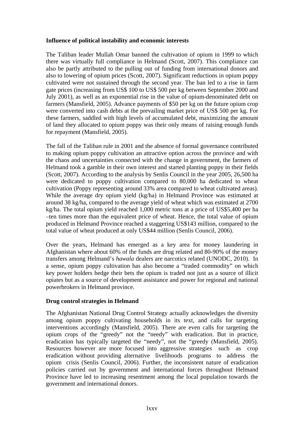#### **Influence of political instability and economic interests**

The Taliban leader Mullah Omar banned the cultivation of opium in 1999 to which there was virtually full compliance in Helmand (Scott, 2007). This compliance can also be partly attributed to the pulling out of funding from international donors and also to lowering of opium prices (Scott, 2007). Significant reductions in opium poppy cultivated were not sustained through the second year. The ban led to a rise in farm gate prices (increasing from US\$ 100 to US\$ 500 per kg between September 2000 and July 2001), as well as an exponential rise in the value of opium-denominated debt on farmers (Mansfield, 2005). Advance payments of \$50 per kg on the future opium crop were converted into cash debts at the prevailing market price of US\$ 500 per kg. For these farmers, saddled with high levels of accumulated debt, maximizing the amount of land they allocated to opium poppy was their only means of raising enough funds for repayment (Mansfield, 2005).

The fall of the Taliban rule in 2001 and the absence of formal governance contributed to making opium poppy cultivation an attractive option across the province and with the chaos and uncertainties connected with the change in government, the farmers of Helmand took a gamble in their own interest and started planting poppy in their fields (Scott, 2007). According to the analysis by Senlis Council in the year 2005, 26,500 ha were dedicated to poppy cultivation compared to 80,000 ha dedicated to wheat cultivation (Poppy representing around 33% area compared to wheat cultivated areas). While the average dry opium yield (kg/ha) in Helmand Province was estimated at around 38 kg/ha, compared to the average yield of wheat which was estimated at 2700 kg/ha. The total opium yield reached 1,000 metric tons at a price of US\$5,400 per ha –ten times more than the equivalent price of wheat. Hence, the total value of opium produced in Helmand Province reached a staggering US\$143 million, compared to the total value of wheat produced at only US\$44 million (Senlis Council, 2006).

Over the years, Helmand has emerged as a key area for money laundering in Afghanistan where about 60% of the funds are drug related and 80-90% of the money transfers among Helmand's *hawala* dealers are narcotics related (UNODC, 2010). In a sense, opium poppy cultivation has also become a "traded commodity" on which key power holders hedge their bets the opium is traded not just as a source of illicit opiates but as a source of development assistance and power for regional and national powerbrokers in Helmand province.

# **Drug control strategies in Helmand**

The Afghanistan National Drug Control Strategy actually acknowledges the diversity among opium poppy cultivating households in its text, and calls for targeting interventions accordingly (Mansfield, 2005). There are even calls for targeting the opium crops of the "greedy" not the "needy" with eradication. But in practice, eradication has typically targeted the "needy", not the "greedy (Mansfield, 2005). Resources however are more focused into aggressive strategies such as crop eradication without providing alternative livelihoods programs to address the opium crisis (Senlis Council, 2006). Further, the inconsistent nature of eradication policies carried out by government and international forces throughout Helmand Province have led to increasing resentment among the local population towards the government and international donors.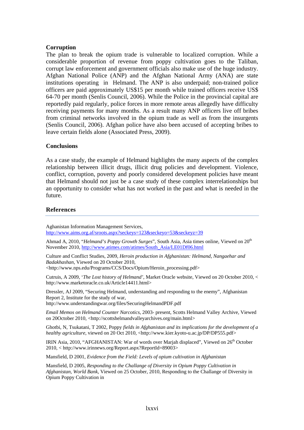#### **Corruption**

The plan to break the opium trade is vulnerable to localized corruption. While a considerable proportion of revenue from poppy cultivation goes to the Taliban, corrupt law enforcement and government officials also make use of the huge industry. Afghan National Police (ANP) and the Afghan National Army (ANA) are state institutions operating in Helmand. The ANP is also underpaid; non-trained police officers are paid approximately US\$15 per month while trained officers receive US\$ 64-70 per month (Senlis Council, 2006). While the Police in the provincial capital are reportedly paid regularly, police forces in more remote areas allegedly have difficulty receiving payments for many months. As a result many ANP officers live off bribes from criminal networks involved in the opium trade as well as from the insurgents (Senlis Council, 2006). Afghan police have also been accused of accepting bribes to leave certain fields alone (Associated Press, 2009).

#### **Conclusions**

As a case study, the example of Helmand highlights the many aspects of the complex relationship between illicit drugs, illicit drug policies and development. Violence, conflict, corruption, poverty and poorly considered development policies have meant that Helmand should not just be a case study of these complex interrelationships but an opportunity to consider what has not worked in the past and what is needed in the future.

#### **References**

Aghanistan Information Management Services, <http://www.aims.org.af/sroots.aspx?seckeys=123&seckeyo=53&seckeyz=39>

Ahmad A, 2010, "*Helmand's Poppy Growth Surges*", South Asia, Asia times online, Viewed on 20<sup>th</sup> November 2010, [http://www.atimes.com/atimes/South\\_Asia/LE01Df06.html](http://www.atimes.com/atimes/South_Asia/LE01Df06.html)

Culture and Conflict Studies, 2009, *Heroin production in Afghanistan: Helmand, Nangaehar and Badakhashan*, Viewed on 20 October 2010, <http://www.nps.edu/Programs/CCS/Docs/Opium/Heroin\_processing.pdf>

Cutruis, A 2009, '*The Lost history of Helmand',* Market Oracle website, Viewed on 20 October 2010, <

http://www.marketoracle.co.uk/Article14411.html> Dressler, AJ 2009, "Securing Helmand, understanding and responding to the enemy", Afghanistan Report 2, Institute for the study of war,

http://www.understandingwar.org/files/SecuringHelmandPDF.pdf

*Email Memos on Helmand Counter Narcotics*, 2003- present, Scotts Helmand Valley Archive, Viewed on 20October 2010, <http://scottshelmandvalleyarchives.org/main.html>

Ghotbi, N, Tsukatani, T 2002, Poppy *fields in Afghanistan and its implications for the development of a healthy agriculture*, viewed on 20 Oct 2010, <http://www.kier.kyoto-u.ac.jp/DP/DP555.pdf>

IRIN Asia, 2010, "AFGHANISTAN: War of words over Marjah displaced", Viewed on 26<sup>th</sup> October 2010, < http://www.irinnews.org/Report.aspx?ReportId=89003>

Mansfield, D 2001, *Evidence from the Field: Levels of opium cultivation in Afghanistan*

Mansfield, D 2005, *Responding to the Challange of Diversity in Opium Poppy Cultivation in Afghanistan, World Bank*, Viewed on 25 October, 2010, Responding to the Challange of Diversity in Opium Poppy Cultivation in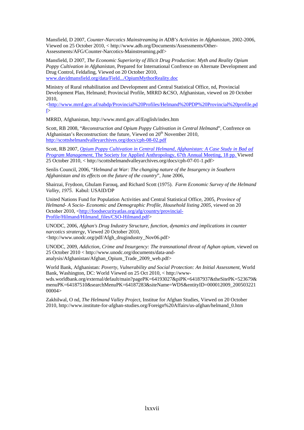Mansfield, D 2007, *Counter-Narcotics Mainstreaming in ADB's Activities in Afghanistan*, 2002-2006, Viewed on 25 October 2010, < http://www.adb.org/Documents/Assessments/Other-Assessments/AFG/Counter-Narcotics-Mainstreaming.pdf>

Mansfield, D 2007, *The Economic Superiority of Illicit Drug Production: Myth and Reality Opium Poppy Cultivation in Afghanistan*, Prepared for International Confrence on Alternate Development and Drug Control, Feldafing, Viewed on 20 October 2010, [www.davidmansfield.org/data/Field.../OpiumMythorReality.doc](http://www.davidmansfield.org/data/Field.../OpiumMythorReality.doc)

Ministry of Rural rehabilitation and Development and Central Statistical Office, nd, Provincial Development Plan, Helmand; Provincial Profile, MRRD &CSO, Afghanistan, viewed on 20 October 2010,

<[http://www.mrrd.gov.af/nabdp/Provincial%20Profiles/Helmand%20PDP%20Provincial%20profile.pd](http://www.mrrd.gov.af/nabdp/Provincial%20Profiles/Helmand%20PDP%20Provincial%20profile.pdf) [f](http://www.mrrd.gov.af/nabdp/Provincial%20Profiles/Helmand%20PDP%20Provincial%20profile.pdf)>

MRRD, Afghanistan, http://www.mrrd.gov.af/English/index.htm

Scott, RB 2008, "*Reconstruction and Opium Poppy Cultivation in Central Helmand*", Confrence on Afghanistan's Reconstruction: the future, Viewed on  $20<sup>th</sup>$  November 2010, <http://scottshelmandvalleyarchives.org/docs/cph-08-02.pdf>

Scott, RB 2007, *[Opium Poppy Cultivation in Central Helmand, Afghanistan: A Case Study in Bad ad](http://scottshelmandvalleyarchives.org/docs/cph-07-01-1.pdf)  Program Management*[, The Society for Applied Anthropology, 67th Annual Meeting, 18 pp.](http://scottshelmandvalleyarchives.org/docs/cph-07-01-1.pdf) Viewed 25 October 2010, < http://scottshelmandvalleyarchives.org/docs/cph-07-01-1.pdf>

Senlis Council, 2006, "*Helmand at War: The changing nature of the Insurgency in Southern Afghanistan and its effects on the future of the country*", June 2006,

Shairzai, Frydoon, Ghulam Farouq, and Richard Scott (1975). *Farm Economic Survey of the Helmand Valley, 1975*. Kabul: USAID/DP

United Nations Fund for Population Activities and Central Statistical Office, 2005*, Province of Helmand- A Socio- Economic and Demographic Profile, Household listing 2005*, viewed on 20 October 2010, [<http://foodsecurityatlas.org/afg/country/provincial-](http://foodsecurityatlas.org/afg/country/provincial-Profile/Hilmand/Hilmand_files/CSO-Hilmand.pdf)[Profile/Hilmand/Hilmand\\_files/CSO-Hilmand.pdf](http://foodsecurityatlas.org/afg/country/provincial-Profile/Hilmand/Hilmand_files/CSO-Hilmand.pdf)>

UNODC, 2006, *Afghan's Drug Industry Structure, function, dynamics and implications in counter narcotics stratergy*, Viewed 20 October 2010, <http://www.unodc.org/pdf/Afgh\_drugindustry\_Nov06.pdf>

UNODC, 2009*, Addiction, Crime and Insurgency: The transnational threat of Aghan opium,* viewed on 25 October 2010 < http://www.unodc.org/documents/data-andanalysis/Afghanistan/Afghan\_Opium\_Trade\_2009\_web.pdf>

World Bank, Afghanistan: *Poverty, Vulnerability and Social Protection: An Initial Assessment,* World Bank, Washington, DC: World Viewed on 25 Oct 2010, < http://wwwwds.worldbank.org/external/default/main?pagePK=64193027&piPK=64187937&theSitePK=523679& menuPK=64187510&searchMenuPK=64187283&siteName=WDS&entityID=000012009\_200503221 00004>

Zakhilwal, O nd, *The Helmand Valley Project*, Institue for Afghan Studies, Viewed on 20 October 2010, http://www.institute-for-afghan-studies.org/Foreign%20Affairs/us-afghan/helmand\_0.htm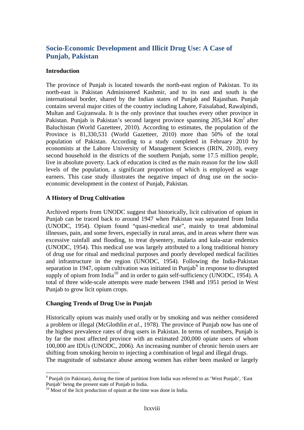# **Socio-Economic Development and Illicit Drug Use: A Case of Punjab, Pakistan**

#### **Introduction**

The province of Punjab is located towards the north-east region of Pakistan. To its north-east is Pakistan Administered Kashmir, and to its east and south is the international border, shared by the Indian states of Punjab and Rajasthan. Punjab contains several major cities of the country including Lahore, Faisalabad, Rawalpindi, Multan and Gujranwala. It is the only province that touches every other province in Pakistan. Punjab is Pakistan's second largest province spanning  $205,344$  Km<sup>2</sup> after Baluchistan (World Gazetteer, 2010). According to estimates, the population of the Province is 81,330,531 (World Gazetteer, 2010) more than 50% of the total population of Pakistan. According to a study completed in February 2010 by economists at the Lahore University of Management Sciences (IRIN, 2010), every second household in the districts of the southern Punjab, some 17.5 million people, live in absolute poverty. Lack of education is cited as the main reason for the low skill levels of the population, a significant proportion of which is employed as wage earners. This case study illustrates the negative impact of drug use on the socioeconomic development in the context of Punjab, Pakistan.

# **A History of Drug Cultivation**

Archived reports from UNODC suggest that historically, licit cultivation of opium in Punjab can be traced back to around 1947 when Pakistan was separated from India (UNODC, 1954). Opium found "quasi-medical use", mainly to treat abdominal illnesses, pain, and some fevers, especially in rural areas, and in areas where there was excessive rainfall and flooding, to treat dysentery, malaria and kala-azar endemics (UNODC, 1954). This medical use was largely attributed to a long traditional history of drug use for ritual and medicinal purposes and poorly developed medical facilities and infrastructure in the region (UNODC, 1954). Following the India-Pakistan separation in 1[9](#page-89-0)47, opium cultivation was initiated in Punjab<sup>9</sup> in response to disrupted supply of opium from India<sup>[10](#page-89-1)</sup> and in order to gain self-sufficiency (UNODC, 1954). A total of three wide-scale attempts were made between 1948 and 1951 period in West Punjab to grow licit opium crops.

# **Changing Trends of Drug Use in Punjab**

 $\overline{a}$ 

Historically opium was mainly used orally or by smoking and was neither considered a problem or illegal (McGlothlin *et al*., 1978). The province of Punjab now has one of the highest prevalence rates of drug users in Pakistan. In terms of numbers, Punjab is by far the most affected province with an estimated 200,000 opiate users of whom 100,000 are IDUs (UNODC, 2006). An increasing number of chronic heroin users are shifting from smoking heroin to injecting a combination of legal and illegal drugs. The magnitude of substance abuse among women has either been masked or largely

<span id="page-89-0"></span><sup>&</sup>lt;sup>9</sup> Punjab (in Pakistan), during the time of partition from India was referred to as 'West Punjab', 'East Punjab' being the present state of Punjab in India.

<span id="page-89-1"></span><sup>&</sup>lt;sup>10</sup> Most of the licit production of opium at the time was done in India.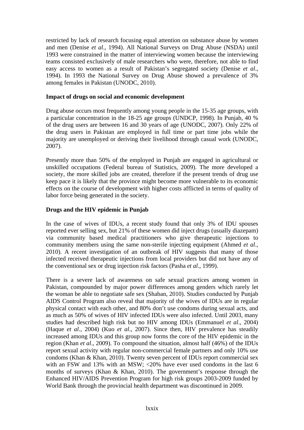restricted by lack of research focusing equal attention on substance abuse by women and men (Denise *et al*., 1994). All National Surveys on Drug Abuse (NSDA) until 1993 were constrained in the matter of interviewing women because the interviewing teams consisted exclusively of male researchers who were, therefore, not able to find easy access to women as a result of Pakistan's segregated society (Denise *et al*., 1994). In 1993 the National Survey on Drug Abuse showed a prevalence of 3% among females in Pakistan (UNODC, 2010).

#### **Impact of drugs on social and economic development**

Drug abuse occurs most frequently among young people in the 15-35 age groups, with a particular concentration in the 18-25 age groups (UNDCP, 1998). In Punjab, 40 % of the drug users are between 16 and 30 years of age (UNODC, 2007). Only 22% of the drug users in Pakistan are employed in full time or part time jobs while the majority are unemployed or deriving their livelihood through casual work (UNODC, 2007).

Presently more than 50% of the employed in Punjab are engaged in agricultural or unskilled occupations (Federal bureau of Statistics, 2009). The more developed a society, the more skilled jobs are created, therefore if the present trends of drug use keep pace it is likely that the province might become more vulnerable to its economic effects on the course of development with higher costs afflicted in terms of quality of labor force being generated in the society.

# **Drugs and the HIV epidemic in Punjab**

In the case of wives of IDUs, a recent study found that only 3% of IDU spouses reported ever selling sex, but 21% of these women did inject drugs (usually diazepam) via community based medical practitioners who give therapeutic injections to community members using the same non-sterile injecting equipment (Ahmed *et al*., 2010). A recent investigation of an outbreak of HIV suggests that many of those infected received therapeutic injections from local providers but did not have any of the conventional sex or drug injection risk factors (Pasha *et al*., 1999).

There is a severe lack of awareness on safe sexual practices among women in Pakistan, compounded by major power differences among genders which rarely let the woman be able to negotiate safe sex (Shaban, 2010). Studies conducted by Punjab AIDS Control Program also reveal that majority of the wives of IDUs are in regular physical contact with each other, and 80% don't use condoms during sexual acts, and as much as 50% of wives of HIV infected IDUs were also infected. Until 2003, many studies had described high risk but no HIV among IDUs (Emmanuel *et al*., 2004) (Haque *et al*., 2004) (Kuo *et al*., 2007). Since then, HIV prevalence has steadily increased among IDUs and this group now forms the core of the HIV epidemic in the region (Khan *et al*., 2009). To compound the situation, almost half (46%) of the IDUs report sexual activity with regular non-commercial female partners and only 10% use condoms (Khan & Khan, 2010). Twenty seven percent of IDUs report commercial sex with an FSW and 13% with an MSW; <20% have ever used condoms in the last 6 months of surveys (Khan & Khan, 2010). The government's response through the Enhanced HIV/AIDS Prevention Program for high risk groups 2003-2009 funded by World Bank through the provincial health department was discontinued in 2009.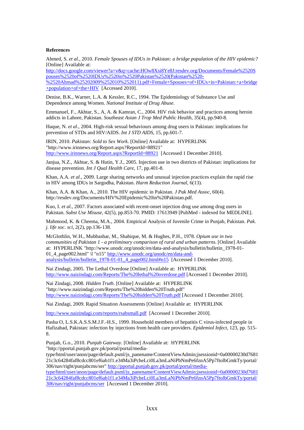#### **References**

Ahmed, S. *et al*., 2010. *Female Spouses of IDUs in Pakistan: a bridge population of the HIV epidemic?* [Online] Available at:

http://docs.google.com/viewer?a=v&q=cache:HOw8Xsi8Ye8J:resdev.org/Documents/Female%2520S pouses%2520of%2520IDUs%2520in%2520Pakistan%2520(Pakistan%2520- %2520Ahmad%25202009%252010%252011).pdf+Female+Spouses+of+IDUs+in+Pakistan:+a+bridge +population+of+the+HIV [Accessed 2010].

Denise, B.K., Warner, L.A. & Kessler, R.C., 1994. The Epidemiology of Substance Use and Dependence among Women. *National Institute of Drug Abuse*.

Emmanuel, F., Akhtar, S., A, A. & Kamran, C., 2004. HIV risk behavior and practices among heroin addicts in Lahore, Pakistan. *Southeast Asian J Trop Med Public Health*, 35(4), pp.940-8.

Haque, N. *et al*., 2004. High-risk sexual behaviours among drug users in Pakistan: implications for prevention of STDs and HIV/AIDS. *Int J STD AIDS*, 15, pp.601-7.

IRIN, 2010. *Pakistan: Sold to Sex Work*. [Online] Available at: HYPERLINK "http://www.irinnews.org/Report.aspx?ReportId=88921" http://www.irinnews.org/Report.aspx?ReportId=88921 [Accessed 1 December 2010].

Janjua, N.Z., Akhtar, S. & Hutin, Y.J., 2005. Injection use in two districts of Pakistan: implications for disease prevention. *Int J Qual Health Care*, 17, pp.401-8.

Khan, A.A. *et al*., 2009. Large sharing networks and unusual injection practices explain the rapid rise in HIV among IDUs in Sargodha, Pakistan. *Harm Reduction Journal*, 6(13).

Khan, A.A. & Khan, A., 2010. The HIV epidemic in Pakistan. *J Pak Med Assoc*, 60(4). http://resdev.org/Documents/HIV%20Epidemic%20in%20Pakistan.pdf.

Kuo, I. *et al*., 2007. Factors associated with recent-onset injection drug use among drug users in Pakistan. *Subst Use Misuse*, 42(5), pp.853-70. PMID: 17613949 [PubMed - indexed for MEDLINE].

Mahmood, K. & Cheema, M.A., 2004. Empirical Analysis of Juvenile Crime in Punjab, Pakistan. *Pak. j. life soc. sci*, 2(2), pp.136-138.

McGlothlin, W.H., Mubbashar, M., Shahique, M. & Hughes, P.H., 1978. *Opium use in two communities of Pakistan 1 - a preliminary comparison of rural and urban patterns*. [Online] Available at: HYPERLINK "http://www.unodc.org/unodc/en/data-and-analysis/bulletin/bulletin\_1978-01- 01\_4\_page002.html" \l "n15" http://www.unodc.org/unodc/en/data-andanalysis/bulletin/bulletin\_1978-01-01\_4\_page002.html#n15 [Accessed 1 December 2010].

Nai Zindagi, 2005. The Lethal Overdose [Online] Available at: HYPERLINK <http://www.naizindagi.com/Reports/The%20lethal%20overdose.pdf> [Accessed 1 December 2010].

Nai Zindagi, 2008. *Hidden Truth*. [Online] Available at: HYPERLINK "http://www.naizindagi.com/Reports/The%20hidden%20Truth.pdf" http://www.naizindagi.com/Reports/The%20hidden%20Truth.pdf [Accessed 1 December 2010].

Nai Zindagi, 2009. Rapid Situation Assessments [Online] Available at: HYPERLINK

<http://www.naizindagi.com/reports/rsabsmall.pdf>[Accessed 1 December 2010].

Pasha O, L.S.K.A.S.S.M.J.F.-H.S., 1999. Household members of hepatitis C virus-infected people in Hafizabad, Pakistan: infection by injections from health care providers. *Epidemiol Infect*, 123, pp. 515- 8.

Punjab, G.o., 2010. *Punjab Gateway*. [Online] Available at: HYPERLINK "http://pportal.punjab.gov.pk/portal/portal/media-

type/html/user/anon/page/default.psml/js\_panename/ContentViewAdmin;jsessionid=0a00000230d7681 21c3c64284faf8cdcc801ef6ab1f1.e34Ma3iPcheLci0La3mLaNiPbNmPe6fznA5Pp7ftolbGmkTy/portal/ 306/nav/right/punjabcms/ser" http://pportal.punjab.gov.pk/portal/portal/media-

type/html/user/anon/page/default.psml/js\_panename/ContentViewAdmin;jsessionid=0a00000230d7681 21c3c64284faf8cdcc801ef6ab1f1.e34Ma3iPcheLci0La3mLaNiPbNmPe6fznA5Pp7ftolbGmkTy/portal/ 306/nav/right/punjabcms/ser [Accessed 1 December 2010].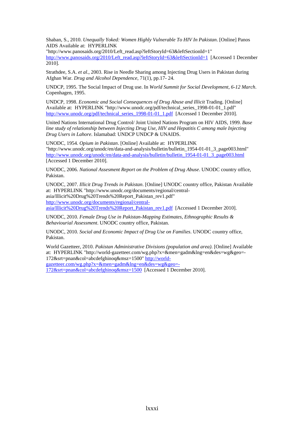Shaban, S., 2010. *Unequally Yoked: Women Highly Vulnerable To HIV In Pakistan*. [Online] Panos AIDS Available at: HYPERLINK

"http://www.panosaids.org/2010/Left\_read.asp?leftStoryId=63&leftSectionId=1" http://www.panosaids.org/2010/Left\_read.asp?leftStoryId=63&leftSectionId=1 [Accessed 1 December 2010].

Strathdee, S.A. *et al*., 2003. Rise in Needle Sharing among Injecting Drug Users in Pakistan during Afghan War. *Drug and Alcohol Dependence*, 71(1), pp.17- 24.

UNDCP, 1995. The Social Impact of Drug use. In *World Summit for Social Development, 6-12 March*. Copenhagen, 1995.

UNDCP, 1998. *Economic and Social Consequences of Drug Abuse and Illicit* Trading. [Online] Available at: HYPERLINK "http://www.unodc.org/pdf/technical\_series\_1998-01-01\_1.pdf" http://www.unodc.org/pdf/technical\_series\_1998-01-01\_1.pdf [Accessed 1 December 2010].

United Nations International Drug Control/ Joint United Nations Program on HIV AIDS, 1999. *Base line study of relationship between Injecting Drug Use, HIV and Hepatitis C among male Injecting Drug Users in Lahore*. Islamabad: UNDCP UNDCP & UNAIDS.

UNODC, 1954. *Opium in Pakistan*. [Online] Available at: HYPERLINK "http://www.unodc.org/unodc/en/data-and-analysis/bulletin/bulletin\_1954-01-01\_3\_page003.html" http://www.unodc.org/unodc/en/data-and-analysis/bulletin/bulletin\_1954-01-01\_3\_page003.html [Accessed 1 December 2010].

UNODC, 2006. *National Assesment Report on the Problem of Drug Abuse*. UNODC country office, Pakistan.

UNODC, 2007. *Illicit Drug Trends in Pakistan*. [Online] UNODC country office, Pakistan Available at: HYPERLINK "http://www.unodc.org/documents/regional/centralasia/Illicit%20Drug%20Trends%20Report\_Pakistan\_rev1.pdf" http://www.unodc.org/documents/regional/centralasia/Illicit%20Drug%20Trends%20Report\_Pakistan\_rev1.pdf [Accessed 1 December 2010].

UNODC, 2010. *Female Drug Use in Pakistan-Mapping Estimates, Ethnographic Results & Behaviourial Assessment*. UNODC country office, Pakistan.

UNODC, 2010. *Social and Economic Impact of Drug Use on Families*. UNODC country office, Pakistan.

World Gazetteer, 2010. *Pakistan Administrative Divisions (population and area)*. [Online] Available at: HYPERLINK "http://world-gazetteer.com/wg.php?x=&men=gadm&lng=en&des=wg&geo=- 172&srt=pnan&col=abcdefghinoq&msz=1500" http://worldgazetteer.com/wg.php?x=&men=gadm&lng=en&des=wg&geo=-

172&srt=pnan&col=abcdefghinoq&msz=1500 [Accessed 1 December 2010].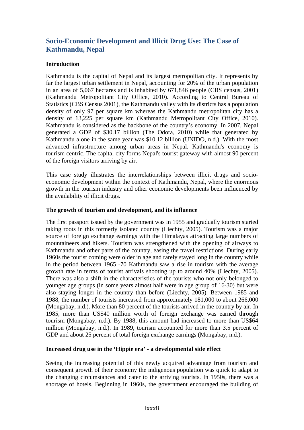# **Socio-Economic Development and Illicit Drug Use: The Case of Kathmandu, Nepal**

# **Introduction**

Kathmandu is the capital of Nepal and its largest metropolitan city. It represents by far the largest urban settlement in Nepal, accounting for 20% of the urban population in an area of 5,067 hectares and is inhabited by 671,846 people (CBS census, 2001) (Kathmandu Metropolitant City Office, 2010). According to Central Bureau of Statistics (CBS Census 2001), the Kathmandu valley with its districts has a population density of only 97 per square km whereas the Kathmandu metropolitan city has a density of 13,225 per square km (Kathmandu Metropolitant City Office, 2010). Kathmandu is considered as the backbone of the country's economy. In 2007, Nepal generated a GDP of \$30.17 billion (The Odora, 2010) while that generated by Kathmandu alone in the same year was \$10.12 billion (UNIDO, n.d.). With the most advanced infrastructure among urban areas in Nepal, Kathmandu's economy is tourism centric. The capital city forms Nepal's tourist gateway with almost 90 percent of the foreign visitors arriving by air.

This case study illustrates the interrelationships between illicit drugs and socioeconomic development within the context of Kathmandu, Nepal, where the enormous growth in the tourism industry and other economic developments been influenced by the availability of illicit drugs.

# **The growth of tourism and development, and its influence**

The first passport issued by the government was in 1955 and gradually tourism started taking roots in this formerly isolated country (Liechty, 2005). Tourism was a major source of foreign exchange earnings with the Himalayas attracting large numbers of mountaineers and hikers. Tourism was strengthened with the opening of airways to Kathmandu and other parts of the country, easing the travel restrictions. During early 1960s the tourist coming were older in age and rarely stayed long in the country while in the period between 1965 -70 Kathmandu saw a rise in tourism with the average growth rate in terms of tourist arrivals shooting up to around 40% (Liechty, 2005). There was also a shift in the characteristics of the tourists who not only belonged to younger age groups (in some years almost half were in age group of 16-30) but were also staying longer in the country than before (Liechty, 2005). Between 1985 and 1988, the number of tourists increased from approximately 181,000 to about 266,000 (Mongabay, n.d.). More than 80 percent of the tourists arrived in the country by air. In 1985, more than US\$40 million worth of foreign exchange was earned through tourism (Mongabay, n.d.). By 1988, this amount had increased to more than US\$64 million (Mongabay, n.d.). In 1989, tourism accounted for more than 3.5 percent of GDP and about 25 percent of total foreign exchange earnings (Mongabay, n.d.).

# **Increased drug use in the 'Hippie era' - a developmental side effect**

Seeing the increasing potential of this newly acquired advantage from tourism and consequent growth of their economy the indigenous population was quick to adapt to the changing circumstances and cater to the arriving tourists. In 1950s, there was a shortage of hotels. Beginning in 1960s, the government encouraged the building of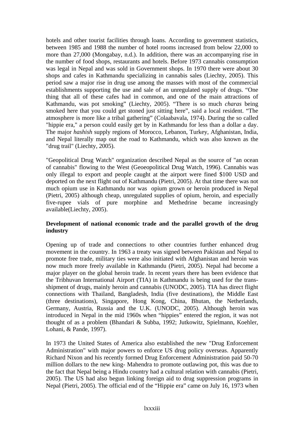hotels and other tourist facilities through loans. According to government statistics, between 1985 and 1988 the number of hotel rooms increased from below 22,000 to more than 27,000 (Mongabay, n.d.). In addition, there was an accompanying rise in the number of food shops, restaurants and hotels. Before 1973 cannabis consumption was legal in Nepal and was sold in Government shops. In 1970 there were about 30 shops and cafes in Kathmandu specializing in cannabis sales (Liechty, 2005). This period saw a major rise in drug use among the masses with most of the commercial establishments supporting the use and sale of an unregulated supply of drugs. "One thing that all of these cafes had in common, and one of the main attractions of Kathmandu, was pot smoking" (Liechty, 2005). "There is so much *charas* being smoked here that you could get stoned just sitting here", said a local resident. "The atmosphere is more like a tribal gathering" (Colaabavala, 1974). During the so called "hippie era," a person could easily get by in Kathmandu for less than a dollar a day. The major *hashish* supply regions of Morocco, Lebanon, Turkey, Afghanistan, India, and Nepal literally map out the road to Kathmandu, which was also known as the "drug trail" (Liechty, 2005).

"Geopolitical Drug Watch" organization described Nepal as the source of "an ocean of cannabis" flowing to the West (Geoeopolitical Drug Watch, 1996). Cannabis was only illegal to export and people caught at the airport were fined \$100 USD and deported on the next flight out of Kathmandu (Pietri, 2005). At that time there was not much opium use in Kathmandu nor was opium grown or heroin produced in Nepal (Pietri, 2005) although cheap, unregulated supplies of opium, heroin, and especially five-rupee vials of pure morphine and Methedrine became increasingly available(Liechty, 2005).

# **Development of national economic trade and the parallel growth of the drug industry**

Opening up of trade and connections to other countries further enhanced drug movement in the country. In 1963 a treaty was signed between Pakistan and Nepal to promote free trade, military ties were also initiated with Afghanistan and heroin was now much more freely available in Kathmandu (Pietri, 2005). Nepal had become a major player on the global heroin trade. In recent years there has been evidence that the Tribhuvan International Airport (TIA) in Kathmandu is being used for the transshipment of drugs, mainly heroin and cannabis (UNODC, 2005). TIA has direct flight connections with Thailand, Bangladesh, India (five destinations), the Middle East (three destinations), Singapore, Hong Kong, China, Bhutan, the Netherlands, Germany, Austria, Russia and the U.K. (UNODC, 2005). Although heroin was introduced in Nepal in the mid 1960s when "hippies" entered the region, it was not thought of as a problem (Bhandari & Subba, 1992; Jutkowitz, Spielmann, Koehler, Lohani, & Pande, 1997).

In 1973 the United States of America also established the new "Drug Enforcement Administration" with major powers to enforce US drug policy overseas. Apparently Richard Nixon and his recently formed Drug Enforcement Administration paid 50-70 million dollars to the new king- Mahendra to promote outlawing pot, this was due to the fact that Nepal being a Hindu country had a cultural relation with cannabis (Pietri, 2005). The US had also begun linking foreign aid to drug suppression programs in Nepal (Pietri, 2005). The official end of the "Hippie era" came on July 16, 1973 when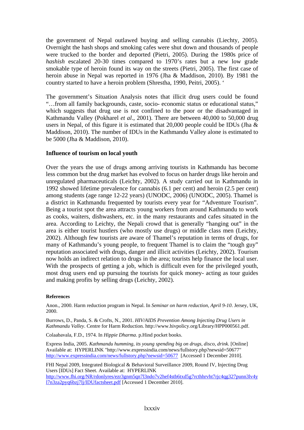the government of Nepal outlawed buying and selling cannabis (Liechty, 2005). Overnight the hash shops and smoking cafes were shut down and thousands of people were trucked to the border and deported (Pietri, 2005). During the 1980s price of *hashish* escalated 20-30 times compared to 1970's rates but a new low grade smokable type of heroin found its way on the streets (Pietri, 2005). The first case of heroin abuse in Nepal was reported in 1976 (Jha & Maddison, 2010). By 1981 the country started to have a heroin problem (Shrestha, 1990, Peitri, 2005). '

The government's Situation Analysis notes that illicit drug users could be found "…from all family backgrounds, caste, socio- economic status or educational status," which suggests that drug use is not confined to the poor or the disadvantaged in Kathmandu Valley (Pokharel *et al*., 2001). There are between 40,000 to 50,000 drug users in Nepal, of this figure it is estimated that 20,000 people could be IDUs (Jha & Maddison, 2010). The number of IDUs in the Kathmandu Valley alone is estimated to be 5000 (Jha & Maddison, 2010).

#### **Influence of tourism on local youth**

Over the years the use of drugs among arriving tourists in Kathmandu has become less common but the drug market has evolved to focus on harder drugs like heroin and unregulated pharmaceuticals (Leichty, 2002). A study carried out in Kathmandu in 1992 showed lifetime prevalence for cannabis (6.1 per cent) and heroin (2.5 per cent) among students (age range 12-22 years) (UNODC, 2006) (UNODC, 2005). Thamel is a district in Kathmandu frequented by tourists every year for "Adventure Tourism". Being a tourist spot the area attracts young workers from around Kathmandu to work as cooks, waiters, dishwashers, etc. in the many restaurants and cafes situated in the area. According to Leichty, the Nepali crowd that is generally "hanging out" in the area is either tourist hustlers (who mostly use drugs) or middle class men (Leichty, 2002). Although few tourists are aware of Thamel's reputation in terms of drugs, for many of Kathmandu's young people, to frequent Thamel is to claim the "tough guy" reputation associated with drugs, danger and illicit activities (Leichty, 2002). Tourism now holds an indirect relation to drugs in the area; tourists help finance the local user. With the prospects of getting a job, which is difficult even for the privileged youth, most drug users end up pursuing the tourists for quick money- acting as tour guides and making profits by selling drugs (Leichty, 2002).

#### **References**

Anon., 2000. Harm reduction program in Nepal. In *Seminar on harm reduction, April 9-10*. Jersey, UK, 2000.

Burrows, D., Panda, S. & Crofts, N., 2001. *HIV/AIDS Prevention Among Injecting Drug Users in Kathmandu Valley*. Centre for Harm Reduction. http://www.hivpolicy.org/Library/HPP000561.pdf.

Colaabavala, F.D., 1974. In *Hippie Dharma*. p.Hind pocket books.

Express India, 2005. *Kathmandu humming, its young spending big on drugs, disco, drink*. [Online] Available at: HYPERLINK "http://www.expressindia.com/news/fullstory.php?newsid=50677" http://www.expressindia.com/news/fullstory.php?newsid=50677 [Accessed 1 December 2010].

FHI Nepal 2009, Integrated Biological & Behavioral Surveillance 2009, Round IV, Injecting Drug Users [IDUs] Fact Sheet. Available at: HYPERLINK

[http://www.fhi.org/NR/rdonlyres/ezr3gnm5qn7l3ndo7v2hef4stb6txd5g7rcthhrvht7rjc4qg327punn3lv4y](http://www.fhi.org/NR/rdonlyres/ezr3gnm5qn7l3ndo7v2hef4stb6txd5g7rcthhrvht7rjc4qg327punn3lv4yl7n3za2pyq6bzj7lj/IDUfactsheet.pdf) [l7n3za2pyq6bzj7lj/IDUfactsheet.pdf](http://www.fhi.org/NR/rdonlyres/ezr3gnm5qn7l3ndo7v2hef4stb6txd5g7rcthhrvht7rjc4qg327punn3lv4yl7n3za2pyq6bzj7lj/IDUfactsheet.pdf) [Accessed 1 December 2010].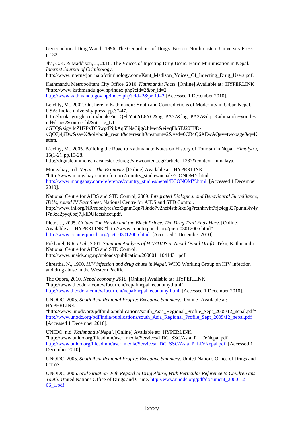Geoeopolitical Drug Watch, 1996. The Geopolitics of Drugs. Boston: North-eastern University Press. p.132.

Jha, C.K. & Maddison, J., 2010. The Voices of Injecting Drug Users: Harm Minimisation in Nepal. *Internet Journal of Criminology*.

http://www.internetjournalofcriminology.com/Kant\_Madison\_Voices\_Of\_Injecting\_Drug\_Users.pdf.

Kathmandu Metropolitant City Office, 2010. *Kathmandu Facts*. [Online] Available at: HYPERLINK "http://www.kathmandu.gov.np/index.php?cid=2&pr\_id=2" http://www.kathmandu.gov.np/index.php?cid=2&pr\_id=2 [Accessed 1 December 2010].

Leichty, M., 2002. Out here in Kathmandu: Youth and Contradictions of Modernity in Urban Nepal. USA: Indiaa university press. pp.37-47.

http://books.google.co.in/books?id=QFhYnt2rL6YC&pg=PA37&lpg=PA37&dq=Kathmandu+youth+a nd+drugs&source=bl&ots=ig\_LT-

qGFQ&sig=4cZH7PzTCSwgdPijkAq55NsCijg&hl=en&ei=qFbSTJ20HJD-

vQO7j4jiDw&sa=X&oi=book\_result&ct=result&resnum=2&ved=0CB4Q6AEwAQ#v=twopage&q=K athm.

Liechty, M., 2005. Building the Road to Kathmandu: Notes on History of Tourism in Nepal. *Himalya ),* 15(1-2), pp.19-28.

http://digitalcommons.macalester.edu/cgi/viewcontent.cgi?article=1287&context=himalaya.

Mongabay, n.d. *Nepal - The Economy*. [Online] Available at: HYPERLINK "http://www.mongabay.com/reference/country\_studies/nepal/ECONOMY.html" http://www.mongabay.com/reference/country\_studies/nepal/ECONOMY.html [Accessed 1 December 2010].

National Centre for AIDS and STD Control, 2009. *Integrated Biological and Behavioural Surveillance, IDUs, round IV Fact Sheet*. National Centre for AIDS and STD Control. http://www.fhi.org/NR/rdonlyres/ezr3gnm5qn7l3ndo7v2hef4stb6txd5g7rcthhrvht7rjc4qg327punn3lv4y l7n3za2pyq6bzj7lj/IDUfactsheet.pdf.

Pietri, J., 2005. *Golden Tar Heroin and the Black Prince, The Drug Trail Ends Here*. [Online] Available at: HYPERLINK "http://www.counterpunch.org/pietri03012005.html" http://www.counterpunch.org/pietri03012005.html [Accessed 1 December 2010].

Pokharel, B.R. *et al*., 2001. *Situation Analysis of HIV/AIDS in Nepal (Final Draft)*. Teku, Kathmandu: National Centre for AIDS and STD Control.

http://www.unaids.org.np/uploads/publication/20060111041431.pdf.

Shrestha, N., 1990. *HIV infection and drug abuse in Nepal*. WHO Working Group on HIV infection and drug abuse in the Western Pacific.

The Odora, 2010. *Nepal economy 2010*. [Online] Available at: HYPERLINK "http://www.theodora.com/wfbcurrent/nepal/nepal\_economy.html" http://www.theodora.com/wfbcurrent/nepal/nepal\_economy.html [Accessed 1 December 2010].

UNDOC, 2005. *South Asia Regional Profile: Executive Summery*. [Online] Available at: HYPERLINK

"http://www.unodc.org/pdf/india/publications/south\_Asia\_Regional\_Profile\_Sept\_2005/12\_nepal.pdf" http://www.unodc.org/pdf/india/publications/south\_Asia\_Regional\_Profile\_Sept\_2005/12\_nepal.pdf [Accessed 1 December 2010].

UNIDO, n.d. *Kathmandu/ Nepal*. [Online] Available at: HYPERLINK "http://www.unido.org/fileadmin/user\_media/Services/LDC\_SSC/Asia\_P\_LD/Nepal.pdf" http://www.unido.org/fileadmin/user\_media/Services/LDC\_SSC/Asia\_P\_LD/Nepal.pdf [Accessed 1] December 2010].

UNODC, 2005. *South Asia Regional Profile: Executive Summery*. United Nations Office of Drugs and Crime.

UNODC, 2006. *orld Situation With Regard to Drug Abuse, With Perticular Reference to Children ans Youth*. United Nations Office of Drugs and Crime. [http://www.unodc.org/pdf/document\\_2000-12-](http://www.unodc.org/pdf/document_2000-12-06_1.pdf) [06\\_1.pdf](http://www.unodc.org/pdf/document_2000-12-06_1.pdf)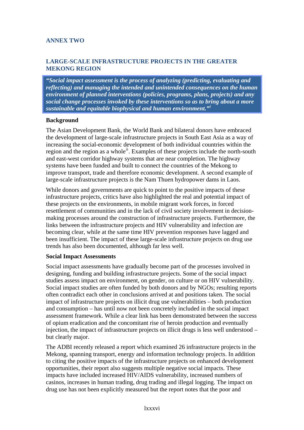# **ANNEX TWO**

# **LARGE-SCALE INFRASTRUCTURE PROJECTS IN THE GREATER MEKONG REGION**

*"Social impact assessment is the process of analyzing (predicting, evaluating and reflecting) and managing the intended and unintended consequences on the human environment of planned interventions (policies, programs, plans, projects) and any social change processes invoked by these interventions so as to bring about a more sustainable and equitable biophysical and human environment."[i](#page-108-0)*

#### **Background**

The Asian Development Bank, the World Bank and bilateral donors have embraced the development of large-scale infrastructure projects in South East Asia as a way of increasing the social-economic development of both individual countries within the region and the region as a whole<sup>[ii](#page-108-1)</sup>. Examples of these projects include the north-south and east-west corridor highway systems that are near completion. The highway systems have been funded and built to connect the countries of the Mekong to improve transport, trade and therefore economic development. A second example of large-scale infrastructure projects is the Nam Thuen hydropower dams in Laos.

While donors and governments are quick to point to the positive impacts of these infrastructure projects, critics have also highlighted the real and potential impact of these projects on the environments, in mobile migrant work forces, in forced resettlement of communities and in the lack of civil society involvement in decisionmaking processes around the construction of infrastructure projects. Furthermore, the links between the infrastructure projects and HIV vulnerability and infection are becoming clear, while at the same time HIV prevention responses have lagged and been insufficient. The impact of these large-scale infrastructure projects on drug use trends has also been documented, although far less well.

#### **Social Impact Assessments**

Social impact assessments have gradually become part of the processes involved in designing, funding and building infrastructure projects. Some of the social impact studies assess impact on environment, on gender, on culture or on HIV vulnerability. Social impact studies are often funded by both donors and by NGOs; resulting reports often contradict each other in conclusions arrived at and positions taken. The social impact of infrastructure projects on illicit drug use vulnerabilities – both production and consumption – has until now not been concretely included in the social impact assessment framework. While a clear link has been demonstrated between the success of opium eradication and the concomitant rise of heroin production and eventually injection, the impact of infrastructure projects on illicit drugs is less well understood – but clearly major.

The ADBI recently released a report which examined 26 infrastructure projects in the Mekong, spanning transport, energy and information technology projects. In addition to citing the positive impacts of the infrastructure projects on enhanced development opportunities, their report also suggests multiple negative social impacts. These impacts have included increased HIV/AIDS vulnerability, increased numbers of casinos, increases in human trading, drug trading and illegal logging. The impact on drug use has not been explicitly measured but the report notes that the poor and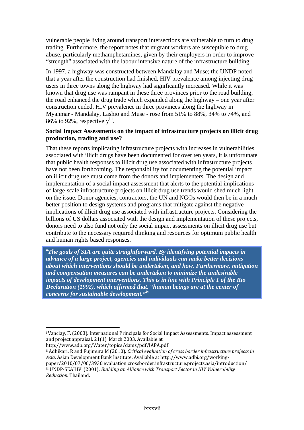vulnerable people living around transport intersections are vulnerable to turn to drug trading. Furthermore, the report notes that migrant workers are susceptible to drug abuse, particularly methamphetamines, given by their employers in order to improve "strength" associated with the labour intensive nature of the infrastructure building.

In 1997, a highway was constructed between Mandalay and Muse; the UNDP noted that a year after the construction had finished, HIV prevalence among injecting drug users in three towns along the highway had significantly increased. While it was known that drug use was rampant in these three provinces prior to the road building, the road enhanced the drug trade which expanded along the highway – one year after construction ended, HIV prevalence in three provinces along the highway in Myanmar - Mandalay, Lashio and Muse - rose from 51% to 88%, 34% to 74%, and 86% to 92%, respectively<sup>[iii](#page-108-1)</sup>.

#### **Social Impact Assessments on the impact of infrastructure projects on illicit drug production, trading and use?**

That these reports implicating infrastructure projects with increases in vulnerabilities associated with illicit drugs have been documented for over ten years, it is unfortunate that public health responses to illicit drug use associated with infrastructure projects have not been forthcoming. The responsibility for documenting the potential impact on illicit drug use must come from the donors and implementers. The design and implementation of a social impact assessment that alerts to the potential implications of large-scale infrastructure projects on illicit drug use trends would shed much light on the issue. Donor agencies, contractors, the UN and NGOs would then be in a much better position to design systems and programs that mitigate against the negative implications of illicit drug use associated with infrastructure projects. Considering the billions of US dollars associated with the design and implementation of these projects, donors need to also fund not only the social impact assessments on illicit drug use but contribute to the necessary required thinking and resources for optimum public health and human rights based responses.

"*The goals of SIA are quite straightforward. By identifying potential impacts in advance of a large project, agencies and individuals can make better decisions about which interventions should be undertaken, and how. Furthermore, mitigation and compensation measures can be undertaken to minimize the undesirable impacts of development interventions. This is in line with Principle 1 of the Rio Declaration (1992), which affirmed that, "human beings are at the center of concerns for sustainable development."[iv](#page-108-2)*

 $\overline{a}$ 

i Vanclay, F. (2003). International Principals for Social Impact Assessments. Impact assessment and project appraisal. 21(1). March 2003. Available at

http://www.adb.org/Water/topics/dams/pdf/IAPA.pdf

ii Adhikari, R and Fujimura M (2010). *Critical evaluation of cross border infrastructure projects in* Asia. Asian Development Bank Institute. Available at http://www.adbi.org/workingpaper/2010/07/06/3930.evaluation.crossborder.infrastructure.projects.asia/introduction/ iii UNDP‐SEAHIV. (2001). *Building an Alliance with Transport Sector in HIV Vulnerability Reduction.* Thailand.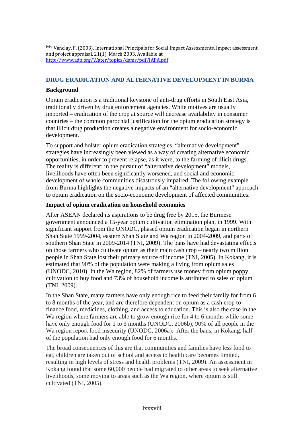iviv Vanclay, F. (2003). International Principals for Social Impact Assessments. Impact assessment and project appraisal. 21(1). March 2003. Available at http://www.adb.org/Water/topics/dams/pdf/IAPA.pdf

#### **DRUG ERADICATION AND ALTERNATIVE DEVELOPMENT IN BURMA**

#### **Background**

 $\overline{a}$ 

Opium eradication is a traditional keystone of anti-drug efforts in South East Asia, traditionally driven by drug enforcement agencies. While motives are usually imported – eradication of the crop at source will decrease availability in consumer countries – the common parochial justification for the opium eradication strategy is that illicit drug production creates a negative environment for socio-economic development.

To support and bolster opium eradication strategies, "alternative development" strategies have increasingly been viewed as a way of creating alternative economic opportunities, in order to prevent relapse, as it were, to the farming of illicit drugs. The reality is different: in the pursuit of "alternative development" models, livelihoods have often been significantly worsened, and social and economic development of whole communities disastrously impaired. The following example from Burma highlights the negative impacts of an "alternative development" approach to opium eradication on the socio-economic development of affected communities.

#### **Impact of opium eradication on household economies**

After ASEAN declared its aspirations to be drug free by 2015, the Burmese government announced a 15-year opium cultivation elimination plan, in 1999. With significant support from the UNODC, phased opium eradication began in northern Shan State 1999-2004, eastern Shan State and Wa region in 2004-2009, and parts of southern Shan State in 2009-2014 (TNI, 2009). The bans have had devastating effects on those farmers who cultivate opium as their main cash crop – nearly two million people in Shan State lost their primary source of income (TNI, 2005). In Kokang, it is estimated that 90% of the population were making a living from opium sales (UNODC, 2010). In the Wa region, 82% of farmers use money from opium poppy cultivation to buy food and 73% of household income is attributed to sales of opium (TNI, 2009).

In the Shan State, many farmers have only enough rice to feed their family for from 6 to 8 months of the year, and are therefore dependent on opium as a cash crop to finance food, medicines, clothing, and access to education. This is also the case in the Wa region where farmers are able to grow enough rice for 4 to 6 months while some have only enough food for 1 to 3 months (UNODC, 2006b); 90% of all people in the Wa region report food insecurity (UNODC, 2006a). After the bans, in Kokang, half of the population had only enough food for 6 months.

The broad consequences of this are that communities and families have less food to eat, children are taken out of school and access to health care becomes limited, resulting in high levels of stress and health problems (TNI, 2009). An assessment in Kokang found that some 60,000 people had migrated to other areas to seek alternative livelihoods, some moving to areas such as the Wa region, where opium is still cultivated (TNI, 2005).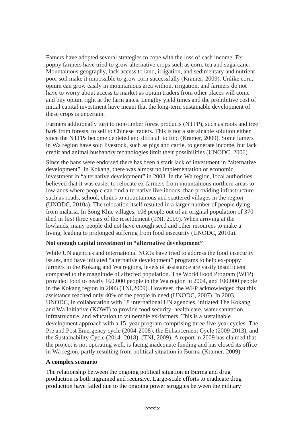Famers have adopted several strategies to cope with the loss of cash income. Expoppy farmers have tried to grow alternative crops such as corn, tea and sugarcane. Mountainous geography, lack access to land, irrigation, and sedimentary and nutrient poor soil make it impossible to grow corn successfully (Kramer, 2009). Unlike corn, opium can grow easily in mountainous area without irrigation, and farmers do not have to worry about access to market as opium traders from other places will come and buy opium right at the farm gates. Lengthy yield times and the prohibitive cost of initial capital investment have meant that the long-term sustainable development of these crops is uncertain.

Farmers additionally turn to non-timber forest products (NTFP), such as roots and tree bark from forests, to sell to Chinese traders. This is not a sustainable solution either since the NTFPs become depleted and difficult to find (Kramer, 2009). Some famers in Wa region have sold livestock, such as pigs and cattle, to generate income, but lack credit and animal husbandry technologies limit their possibilities (UNODC, 2006).

Since the bans were endorsed there has been a stark lack of investment in "alternative development". In Kokang, there was almost no implementation or economic investment in "alternative development" in 2003. In the Wa region, local authorities believed that it was easier to relocate ex-farmers from mountainous northern areas to lowlands where people can find alternative livelihoods, than providing infrastructure such as roads, school, clinics to mountainous and scattered villages in the region (UNODC, 2010a). The relocation itself resulted in a larger number of people dying from malaria. In Song Khie villages, 108 people out of an original population of 370 died in first three years of the resettlement (TNI, 2009). When arriving at the lowlands, many people did not have enough seed and other resources to make a living, leading to prolonged suffering from food insecurity (UNODC, 2010a).

# **Not enough capital investment in "alternative development"**

While UN agencies and international NGOs have tried to address the food insecurity issues, and have initiated "alternative development" programs to help ex-poppy farmers in the Kokang and Wa regions, levels of assistance are vastly insufficient compared to the magnitude of affected population. The World Food Program (WFP) provided food to nearly 160,000 people in the Wa region in 2004, and 100,000 people in the Kokang region in 2003 (TNI,2009). However, the WFP acknowledged that this assistance reached only 40% of the people in need (UNODC, 2007). In 2003, UNODC, in collaboration with 18 international UN agencies, initiated The Kokang and Wa Initiative (KOWI) to provide food security, health care, water sanitation, infrastructure, and education to vulnerable ex-farmers. This is a sustainable development approach with a 15–year program comprising three five-year cycles: The Pre and Post Emergency cycle (2004-2008), the Enhancement Cycle (2009-2013), and the Sustainability Cycle (2014- 2018), (TNI, 2009). A report in 2009 has claimed that the project is not operating well, is facing inadequate funding and has closed its office in Wa region, partly resulting from political situation in Burma (Kramer, 2009).

# **A complex scenario**

 $\overline{a}$ 

The relationship between the ongoing political situation in Burma and drug production is both ingrained and recursive. Large-scale efforts to eradicate drug production have failed due to the ongoing power struggles between the military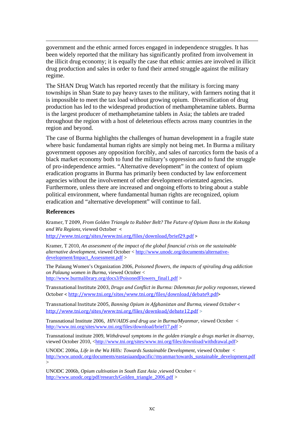government and the ethnic armed forces engaged in independence struggles. It has been widely reported that the military has significantly profited from involvement in the illicit drug economy; it is equally the case that ethnic armies are involved in illicit drug production and sales in order to fund their armed struggle against the military regime.

The SHAN Drug Watch has reported recently that the military is forcing many townships in Shan State to pay heavy taxes to the military, with farmers noting that it is impossible to meet the tax load without growing opium. Diversification of drug production has led to the widespread production of methamphetamine tablets. Burma is the largest producer of methamphetamine tablets in Asia; the tablets are traded throughout the region with a host of deleterious effects across many countries in the region and beyond.

The case of Burma highlights the challenges of human development in a fragile state where basic fundamental human rights are simply not being met. In Burma a military government opposes any opposition forcibly, and sales of narcotics form the basis of a black market economy both to fund the military's oppression and to fund the struggle of pro-independence armies. "Alternative development" in the context of opium eradication programs in Burma has primarily been conducted by law enforcement agencies without the involvement of other development-orientated agencies. Furthermore, unless there are increased and ongoing efforts to bring about a stable political environment, where fundamental human rights are recognized, opium eradication and "alternative development" will continue to fail.

#### **References**

 $\overline{a}$ 

Kramer, T 2009, *From Golden Triangle to Rubber Belt? The Future of Opium Bans in the Kokang and Wa Regions*, viewed October <

<http://www.tni.org/sites/www.tni.org/files/download/brief29.pdf> >

Kramer, T 2010, *An assessment of the impact of the global financial crisis on the sustainable alternative development*, viewed October < [http://www.unodc.org/documents/alternative](http://www.unodc.org/documents/alternative-development/Impact_Assessment.pdf)[development/Impact\\_Assessment.pdf](http://www.unodc.org/documents/alternative-development/Impact_Assessment.pdf) >

The Palaung Women's Organization 2006, *Poisoned flowers, the impacts of spiraling drug addiction on Palaung women in Burma*, viewed October < [http://www.burmalibrary.org/doc](http://www.tni.org/sites/www.tni.org/files/download/debate9.pdf)s3/PoisonedFlowers\_final1.pdf >

Transnational Institute 2003, *Drugs and Conflict in Burma: [Dilemmas](http://www.tni.org/sites/www.tni.org/files/download/debate9.pdf) for policy responses*[, viewed](http://www.tni.org/sites/www.tni.org/files/download/debate9.pdf)  [October < http://www.tni.org](http://www.tni.org/sites/www.tni.org/files/download/debate12.pdf)[/sites/www.tni.org/files/download/debate9.pdf](http://www.tni.org/sites/www.tni.org/files/download/debate9.pdf)>

Transnational Institute 2005, *Banning Opium in [Afghanistan](http://www.tni.org/sites/www.tni.org/files/download/debate12.pdf) and Burma, viewed October* [<](http://www.tni.org/sites/www.tni.org/files/download/debate12.pdf) <http://www.tni.org/sites/www.tni.org/files/download/debate12.pdf> **>**

Transnational Institute 2006, *HIV/AIDS and drug use in Burma/Myanmar,* viewed October < <http://www.tni.org/sites/www.tni.org/files/download/brief17.pdf> >

Transnational institute 2009, *Withdrawal symptoms in the golden triangle a drugs market in disarray,*  viewed October 2010, <[http://www.tni.org/sites/www.tni.org/files/download/withdrawal.pdf>](http://www.tni.org/sites/www.tni.org/files/download/withdrawal.pdf)

UNODC 2006a, *Life in the Wa Hills: Towards Sustainable Development,* viewed October < [http://www.unodc.org/documents/eastasiaandpacific//myanmar/towards\\_sustainable\\_development.pdf](http://www.unodc.org/documents/eastasiaandpacific/myanmar/towards_sustainable_development.pdf)  $>$ 

UNODC 2006b, *Opium cultivation in South East Asia* ,viewed October < [http://www.unodc.org/pdf/research/Golden\\_triangle\\_2006.pdf](http://www.unodc.org/pdf/research/Golden_triangle_2006.pdf) >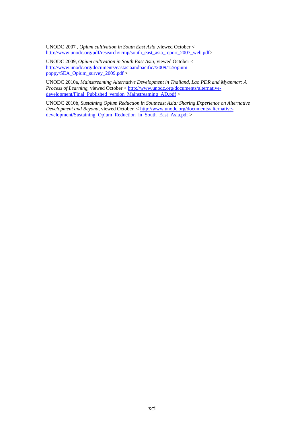UNODC 2007 , *Opium cultivation in South East Asia* ,viewed October < [http://www.unodc.org/pdf/research/icmp/south\\_east\\_asia\\_report\\_2007\\_web.pdf](http://www.unodc.org/pdf/research/icmp/south_east_asia_report_2007_web.pdf)>

UNODC 2009, *Opium cultivation in South East Asia*, viewed October < [http://www.unodc.org/documents/eastasiaandpacific//2009/12/opium](http://www.unodc.org/documents/eastasiaandpacific/2009/12/opium-poppy/SEA_Opium_survey_2009.pdf)[poppy/SEA\\_Opium\\_survey\\_2009.pdf](http://www.unodc.org/documents/eastasiaandpacific/2009/12/opium-poppy/SEA_Opium_survey_2009.pdf) >

UNODC 2010a, *Mainstreaming Alternative Development in Thailand, Lao PDR and Myanmar: A Process of Learning*, viewed October < [http://www.unodc.org/documents/alternative](http://www.unodc.org/documents/alternative-development/Final_Published_version_Mainstreaming_AD.pdf)[development/Final\\_Published\\_version\\_Mainstreaming\\_AD.pdf](http://www.unodc.org/documents/alternative-development/Final_Published_version_Mainstreaming_AD.pdf) >

UNODC 2010b, *Sustaining Opium Reduction in Southeast Asia: Sharing Experience on Alternative Development and Beyond,* viewed October < [http://www.unodc.org/documents/alternative](http://www.unodc.org/documents/alternative-development/Sustaining_Opium_Reduction_in_South_East_Asia.pdf)[development/Sustaining\\_Opium\\_Reduction\\_in\\_South\\_East\\_Asia.pdf](http://www.unodc.org/documents/alternative-development/Sustaining_Opium_Reduction_in_South_East_Asia.pdf) >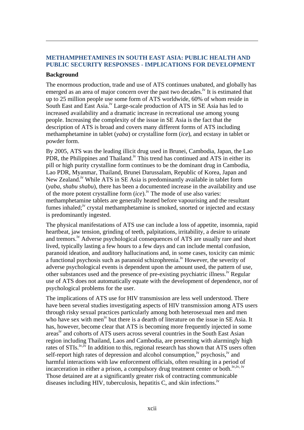# **METHAMPHETAMINES IN SOUTH EAST ASIA: PUBLIC HEALTH AND PUBLIC SECURITY RESPONSES - IMPLICATIONS FOR DEVELOPMENT**

# **Background**

 $\overline{a}$ 

The enormous production, trade and use of ATS continues unabated, and globally has emerged as an area of major concern over the past two decades.<sup>iv</sup> It is estimated that up to 25 million people use some form of ATS worldwide, 60% of whom reside in South East and East Asia.<sup>iv</sup> Large-scale production of ATS in SE Asia has led to increased availability and a dramatic increase in recreational use among young people. Increasing the complexity of the issue in SE Asia is the fact that the description of ATS is broad and covers many different forms of ATS including methamphetamine in tablet (*yaba*) or crystalline form (*ice*), and ecstasy in tablet or powder form.

By 2005, ATS was the leading illicit drug used in Brunei, Cambodia, Japan, the Lao PDR, the Philippines and Thailand.<sup>iv</sup> This trend has continued and ATS in either its pill or high purity crystalline form continues to be the dominant drug in Cambodia, Lao PDR, Myanmar, Thailand, Brunei Darussalam, Republic of Korea, Japan and New Zealand.<sup>iv</sup> While ATS in SE Asia is predominantly available in tablet form (*yaba, shabu shabu*), there has been a documented increase in the availability and use of the more potent crystalline form  $(ice)$ .<sup>iv</sup> The mode of use also varies: methamphetamine tablets are generally heated before vapourising and the resultant fumes inhaled;<sup>iv</sup> crystal methamphetamine is smoked, snorted or injected and ecstasy is predominantly ingested.

The physical manifestations of ATS use can include a loss of appetite, insomnia, rapid heartbeat, jaw tension, grinding of teeth, palpitations, irritability, a desire to urinate and tremors.iv Adverse psychological consequences of ATS are usually rare and short lived, typically lasting a few hours to a few days and can include mental confusion, paranoid ideation, and auditory hallucinations and, in some cases, toxicity can mimic a functional psychosis such as paranoid schizophrenia.<sup>iv</sup> However, the severity of adverse psychological events is dependent upon the amount used, the pattern of use, other substances used and the presence of pre-existing psychiatric illness.<sup>iv</sup> Regular use of ATS does not automatically equate with the development of dependence, nor of psychological problems for the user.

The implications of ATS use for HIV transmission are less well understood. There have been several studies investigating aspects of HIV transmission among ATS users through risky sexual practices particularly among both heterosexual men and men who have sex with men<sup>iv</sup> but there is a dearth of literature on the issue in SE Asia. It has, however, become clear that ATS is becoming more frequently injected in some areas<sup>iv</sup> and cohorts of ATS users across several countries in the South East Asian region including Thailand, Laos and Cambodia, are presenting with alarmingly high rates of STIs.<sup>iv,iv</sup> In addition to this, regional research has shown that ATS users often self-report high rates of depression and alcohol consumption,<sup>iv</sup> psychosis,<sup>iv</sup> and harmful interactions with law enforcement officials, often resulting in a period of incarceration in either a prison, a compulsory drug treatment center or both.<sup>iv,iv, iv</sup> Those detained are at a significantly greater risk of contracting communicable diseases including HIV, tuberculosis, hepatitis C, and skin infections.<sup>iv</sup>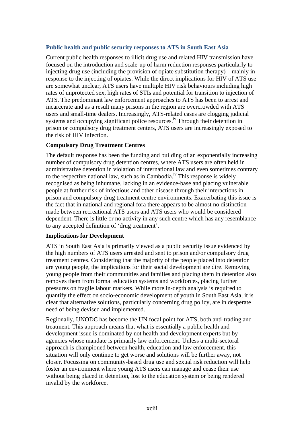#### **Public health and public security responses to ATS in South East Asia**

Current public health responses to illicit drug use and related HIV transmission have focused on the introduction and scale-up of harm reduction responses particularly to injecting drug use (including the provision of opiate substitution therapy) – mainly in response to the injecting of opiates. While the direct implications for HIV of ATS use are somewhat unclear, ATS users have multiple HIV risk behaviours including high rates of unprotected sex, high rates of STIs and potential for transition to injection of ATS. The predominant law enforcement approaches to ATS has been to arrest and incarcerate and as a result many prisons in the region are overcrowded with ATS users and small-time dealers. Increasingly, ATS-related cases are clogging judicial systems and occupying significant police resources.<sup>iv</sup> Through their detention in prison or compulsory drug treatment centers, ATS users are increasingly exposed to the risk of HIV infection.

#### **Compulsory Drug Treatment Centres**

 $\overline{a}$ 

The default response has been the funding and building of an exponentially increasing number of compulsory drug detention centres, where ATS users are often held in administrative detention in violation of international law and even sometimes contrary to the respective national law, such as in Cambodia.<sup>iv</sup> This response is widely recognised as being inhumane, lacking in an evidence-base and placing vulnerable people at further risk of infectious and other disease through their interactions in prison and compulsory drug treatment centre environments. Exacerbating this issue is the fact that in national and regional fora there appears to be almost no distinction made between recreational ATS users and ATS users who would be considered dependent. There is little or no activity in any such centre which has any resemblance to any accepted definition of 'drug treatment'.

#### **Implications for Development**

ATS in South East Asia is primarily viewed as a public security issue evidenced by the high numbers of ATS users arrested and sent to prison and/or compulsory drug treatment centres. Considering that the majority of the people placed into detention are young people, the implications for their social development are dire. Removing young people from their communities and families and placing them in detention also removes them from formal education systems and workforces, placing further pressures on fragile labour markets. While more in-depth analysis is required to quantify the effect on socio-economic development of youth in South East Asia, it is clear that alternative solutions, particularly concerning drug policy, are in desperate need of being devised and implemented.

Regionally, UNODC has become the UN focal point for ATS, both anti-trading and treatment. This approach means that what is essentially a public health and development issue is dominated by not health and development experts but by agencies whose mandate is primarily law enforcement. Unless a multi-sectoral approach is championed between health, education and law enforcement, this situation will only continue to get worse and solutions will be further away, not closer. Focussing on community-based drug use and sexual risk reduction will help foster an environment where young ATS users can manage and cease their use without being placed in detention, lost to the education system or being rendered invalid by the workforce.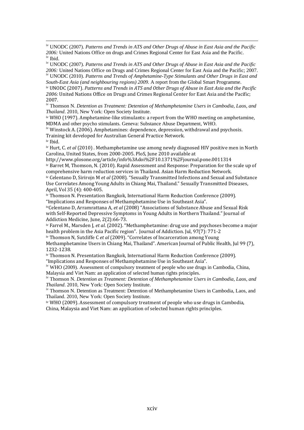iv UNODC (2007). *Patterns and Trends in ATS and Other Drugs of Abuse in East Asia and the Pacific 2006:* United Nations Office on drugs and Crimes Regional Center for East Asia and the Pacific. iv Ibid.

iv UNODC (2007). *Patterns and Trends in ATS and Other Drugs of Abuse in East Asia and the Pacific 2006:* United Nations Office on Drugs and Crimes Regional Center for East Asia and the Pacific; 2007. iv UNODC (2010). *Patterns and Trends of Amphetamine-Type Stimulants and Other Drugs in East and* 

*South-East Asia (and neighbouring regions) 2009.* A report from the Global Smart Programme. iv UNODC (2007). *Patterns and Trends in ATS and Other Drugs of Abuse in East Asia and the Pacific 2006:* United Nations Office on Drugs and Crimes Regional Center for East Asia and the Pacific; 2007.

iv Thomson N. *Detention as Treatment: Detention of Methamphetamine Users in Cambodia, Laos, and Thailand*. 2010, New York: Open Society Institute.

iv WHO (1997). Amphetamine‐like stimulants: a report from the WHO meeting on amphetamine, MDMA and other psycho stimulants. Geneva: Substance Abuse Department, WHO.

 $\frac{1}{10}$  Winstock A. (2006). Amphetamines: dependence, depression, withdrawal and psychosis. Training kit developed for Australian General Practice Network. iv Ibid.

iv Hurt, C. *et al* (2010) . Methamphetamine use among newly diagnosed HIV positive men in North Carolina, United States, from 2000‐2005. PloS, June 2010 available at

http://www.plosone.org/article/info%3Adoi%2F10.1371%2Fjournal.pone.0011314

iv Barret M, Thomson, N. (2010). Rapid Assessment and Response: Preparation for the scale up of comprehensive harm reduction services in Thailand. Asian Harm Reduction Network.

iv Celentano D, Sirirojn M *et al* (2008). "Sexually Transmitted Infections and Sexual and Substance Use Correlates Among Young Adults in Chiang Mai, Thailand." Sexually Transmitted Diseases, April, Vol 35 (4): 400‐405.

iv Thomson N. Presentation Bangkok, International Harm Reduction Conference (2009). "Implications and Responses of Methamphetamine Use in Southeast Asia".

ivCelentano D, Arramrattana A, *et al* (2008) "Associations of Substance Abuse and Sexual Risk with Self‐Reported Depressive Symptoms in Young Adults in Northern Thailand." Journal of Addiction Medicine, June, 2(2):66-73.

iv Farrel M., Marsden J, *et al*. (2002). "Methamphetamine: drug use and psychoses become a major health problem in the Asia Pacific region". Journal of Addiction. Jul, 97(7): 771‐2

iv Thomson N, Sutcliffe C *et al* (2009). "Correlates of Incarceration among Young

Methamphetamine Users in Chiang Mai, Thailand". American Journal of Public Health, Jul 99 (7), 1232‐1238.

iv Thomson N. Presentation Bangkok, International Harm Reduction Conference (2009).

"Implications and Responses of Methamphetamine Use in Southeast Asia".

<sup>iv</sup> WHO (2009). Assessment of compulsory treatment of people who use drugs in Cambodia, China, Malaysia and Viet Nam: an application of selected human rights principles.

iv Thomson N. *Detention as Treatment: Detention of Methamphetamine Users in Cambodia, Laos, and Thailand*. 2010, New York: Open Society Institute.

iv Thomson N. Detention as Treatment: Detention of Methamphetamine Users in Cambodia, Laos, and Thailand. 2010, New York: Open Society Institute.

iv WHO (2009). Assessment of compulsory treatment of people who use drugs in Cambodia, China, Malaysia and Viet Nam: an application of selected human rights principles.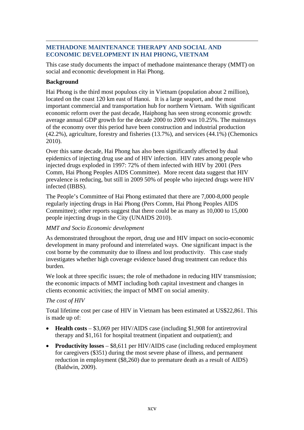#### $\overline{a}$ **METHADONE MAINTENANCE THERAPY AND SOCIAL AND ECONOMIC DEVELOPMENT IN HAI PHONG, VIETNAM**

This case study documents the impact of methadone maintenance therapy (MMT) on social and economic development in Hai Phong.

# **Background**

Hai Phong is the third most populous city in Vietnam (population about 2 million), located on the coast 120 km east of Hanoi. It is a large seaport, and the most important commercial and transportation hub for northern Vietnam. With significant economic reform over the past decade, Haiphong has seen strong economic growth: average annual GDP growth for the decade 2000 to 2009 was 10.25%. The mainstays of the economy over this period have been construction and industrial production (42.2%), agriculture, forestry and fisheries (13.7%), and services (44.1%) (Chemonics 2010).

Over this same decade, Hai Phong has also been significantly affected by dual epidemics of injecting drug use and of HIV infection. HIV rates among people who injected drugs exploded in 1997: 72% of them infected with HIV by 2001 (Pers Comm, Hai Phong Peoples AIDS Committee). More recent data suggest that HIV prevalence is reducing, but still in 2009 50% of people who injected drugs were HIV infected (IBBS).

The People's Committee of Hai Phong estimated that there are 7,000-8,000 people regularly injecting drugs in Hai Phong (Pers Comm, Hai Phong Peoples AIDS Committee); other reports suggest that there could be as many as 10,000 to 15,000 people injecting drugs in the City (UNAIDS 2010).

# *MMT and Socio Economic development*

As demonstrated throughout the report, drug use and HIV impact on socio-economic development in many profound and interrelated ways. One significant impact is the cost borne by the community due to illness and lost productivity. This case study investigates whether high coverage evidence based drug treatment can reduce this burden.

We look at three specific issues; the role of methadone in reducing HIV transmission; the economic impacts of MMT including both capital investment and changes in clients economic activities; the impact of MMT on social amenity.

# *The cost of HIV*

Total lifetime cost per case of HIV in Vietnam has been estimated at US\$22,861. This is made up of:

- **Health costs** \$3,069 per HIV/AIDS case (including \$1,908 for antiretroviral therapy and \$1,161 for hospital treatment (inpatient and outpatient); and
- **Productivity losses** \$8,611 per HIV/AIDS case (including reduced employment for caregivers (\$351) during the most severe phase of illness, and permanent reduction in employment (\$8,260) due to premature death as a result of AIDS) (Baldwin, 2009).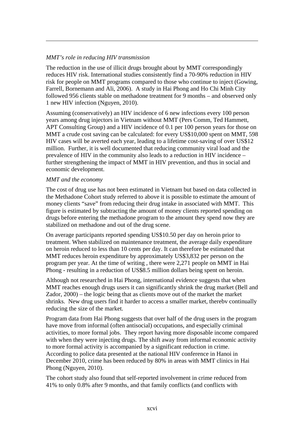# *MMT's role in reducing HIV transmission*

 $\overline{a}$ 

The reduction in the use of illicit drugs brought about by MMT correspondingly reduces HIV risk. International studies consistently find a 70-90% reduction in HIV risk for people on MMT programs compared to those who continue to inject (Gowing, Farrell, Bornemann and Ali, 2006). A study in Hai Phong and Ho Chi Minh City followed 956 clients stable on methadone treatment for 9 months – and observed only 1 new HIV infection (Nguyen, 2010).

Assuming (conservatively) an HIV incidence of 6 new infections every 100 person years among drug injectors in Vietnam without MMT (Pers Comm, Ted Hammett, APT Consulting Group) and a HIV incidence of 0.1 per 100 person years for those on MMT a crude cost saving can be calculated: for every US\$10,000 spent on MMT, 598 HIV cases will be averted each year, leading to a lifetime cost-saving of over US\$12 million. Further, it is well documented that reducing community viral load and the prevalence of HIV in the community also leads to a reduction in HIV incidence – further strengthening the impact of MMT in HIV prevention, and thus in social and economic development.

#### *MMT and the economy*

The cost of drug use has not been estimated in Vietnam but based on data collected in the Methadone Cohort study referred to above it is possible to estimate the amount of money clients "save" from reducing their drug intake in associated with MMT. This figure is estimated by subtracting the amount of money clients reported spending on drugs before entering the methadone program to the amount they spend now they are stabilized on methadone and out of the drug scene.

On average participants reported spending US\$10.50 per day on heroin prior to treatment. When stabilized on maintenance treatment, the average daily expenditure on heroin reduced to less than 10 cents per day. It can therefore be estimated that MMT reduces heroin expenditure by approximately US\$3,832 per person on the program per year. At the time of writing , there were 2,271 people on MMT in Hai Phong - resulting in a reduction of US\$8.5 million dollars being spent on heroin.

Although not researched in Hai Phong, international evidence suggests that when MMT reaches enough drugs users it can significantly shrink the drug market (Bell and Zador, 2000) – the logic being that as clients move out of the market the market shrinks. New drug users find it harder to access a smaller market, therebv continually reducing the size of the market.

Program data from Hai Phong suggests that over half of the drug users in the program have move from informal (often antisocial) occupations, and especially criminal activities, to more formal jobs. They report having more disposable income compared with when they were injecting drugs. The shift away from informal economic activity to more formal activity is accompanied by a significant reduction in crime. According to police data presented at the national HIV conference in Hanoi in December 2010, crime has been reduced by 80% in areas with MMT clinics in Hai Phong (Nguyen, 2010).

The cohort study also found that self-reported involvement in crime reduced from 41% to only 0.8% after 9 months, and that family conflicts (and conflicts with